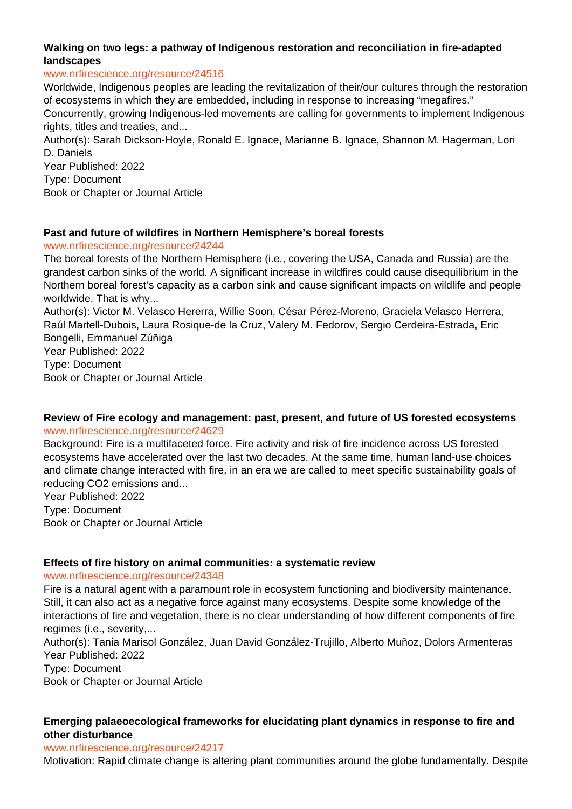# **Walking on two legs: a pathway of Indigenous restoration and reconciliation in fire-adapted landscapes**

#### www.nrfirescience.org/resource/24516

Worldwide, Indigenous peoples are leading the revitalization of their/our cultures through the restoration of ecosystems in which they are embedded, including in response to increasing "megafires."

Concurrently, growing Indigenous-led movements are calling for governments to implement Indigenous rights, titles and treaties, and...

Author(s): Sarah Dickson-Hoyle, Ronald E. Ignace, Marianne B. Ignace, Shannon M. Hagerman, Lori D. Daniels

Year Published: 2022 Type: Document Book or Chapter or Journal Article

## **Past and future of wildfires in Northern Hemisphere's boreal forests**

www.nrfirescience.org/resource/24244

The boreal forests of the Northern Hemisphere (i.e., covering the USA, Canada and Russia) are the grandest carbon sinks of the world. A significant increase in wildfires could cause disequilibrium in the Northern boreal forest's capacity as a carbon sink and cause significant impacts on wildlife and people worldwide. That is why...

Author(s): Victor M. Velasco Hererra, Willie Soon, César Pérez-Moreno, Graciela Velasco Herrera, Raúl Martell-Dubois, Laura Rosique-de la Cruz, Valery M. Fedorov, Sergio Cerdeira-Estrada, Eric Bongelli, Emmanuel Zúñiga

Year Published: 2022 Type: Document Book or Chapter or Journal Article

## **Review of Fire ecology and management: past, present, and future of US forested ecosystems** www.nrfirescience.org/resource/24629

Background: Fire is a multifaceted force. Fire activity and risk of fire incidence across US forested ecosystems have accelerated over the last two decades. At the same time, human land-use choices and climate change interacted with fire, in an era we are called to meet specific sustainability goals of reducing CO2 emissions and...

Year Published: 2022 Type: Document Book or Chapter or Journal Article

# **Effects of fire history on animal communities: a systematic review**

## www.nrfirescience.org/resource/24348

Fire is a natural agent with a paramount role in ecosystem functioning and biodiversity maintenance. Still, it can also act as a negative force against many ecosystems. Despite some knowledge of the interactions of fire and vegetation, there is no clear understanding of how different components of fire regimes (i.e., severity,...

Author(s): Tania Marisol González, Juan David González-Trujillo, Alberto Muñoz, Dolors Armenteras Year Published: 2022 Type: Document

Book or Chapter or Journal Article

# **Emerging palaeoecological frameworks for elucidating plant dynamics in response to fire and other disturbance**

## www.nrfirescience.org/resource/24217

Motivation: Rapid climate change is altering plant communities around the globe fundamentally. Despite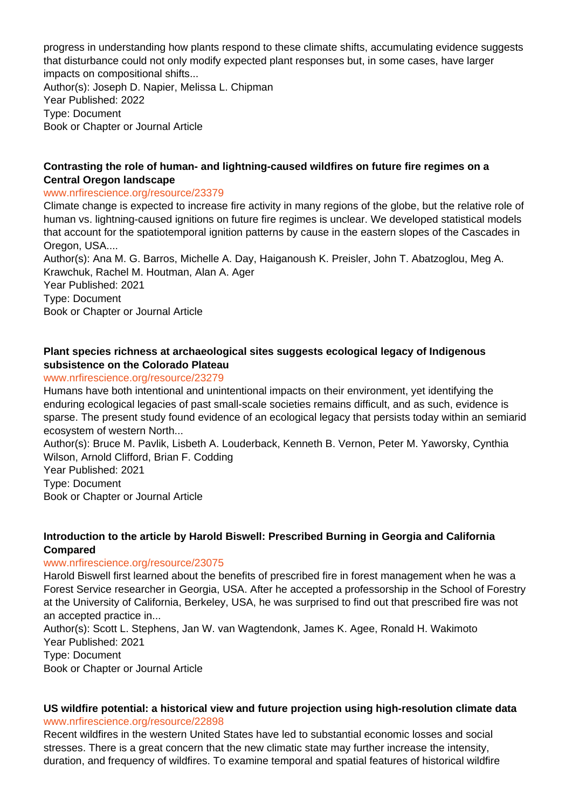progress in understanding how plants respond to these climate shifts, accumulating evidence suggests that disturbance could not only modify expected plant responses but, in some cases, have larger impacts on compositional shifts...

Author(s): Joseph D. Napier, Melissa L. Chipman Year Published: 2022 Type: Document Book or Chapter or Journal Article

## **Contrasting the role of human- and lightning-caused wildfires on future fire regimes on a Central Oregon landscape**

#### www.nrfirescience.org/resource/23379

Climate change is expected to increase fire activity in many regions of the globe, but the relative role of human vs. lightning-caused ignitions on future fire regimes is unclear. We developed statistical models that account for the spatiotemporal ignition patterns by cause in the eastern slopes of the Cascades in Oregon, USA....

Author(s): Ana M. G. Barros, Michelle A. Day, Haiganoush K. Preisler, John T. Abatzoglou, Meg A. Krawchuk, Rachel M. Houtman, Alan A. Ager

Year Published: 2021 Type: Document Book or Chapter or Journal Article

## **Plant species richness at archaeological sites suggests ecological legacy of Indigenous subsistence on the Colorado Plateau**

## www.nrfirescience.org/resource/23279

Humans have both intentional and unintentional impacts on their environment, yet identifying the enduring ecological legacies of past small-scale societies remains difficult, and as such, evidence is sparse. The present study found evidence of an ecological legacy that persists today within an semiarid ecosystem of western North...

Author(s): Bruce M. Pavlik, Lisbeth A. Louderback, Kenneth B. Vernon, Peter M. Yaworsky, Cynthia Wilson, Arnold Clifford, Brian F. Codding

Year Published: 2021

Type: Document

Book or Chapter or Journal Article

## **Introduction to the article by Harold Biswell: Prescribed Burning in Georgia and California Compared**

## www.nrfirescience.org/resource/23075

Harold Biswell first learned about the benefits of prescribed fire in forest management when he was a Forest Service researcher in Georgia, USA. After he accepted a professorship in the School of Forestry at the University of California, Berkeley, USA, he was surprised to find out that prescribed fire was not an accepted practice in...

Author(s): Scott L. Stephens, Jan W. van Wagtendonk, James K. Agee, Ronald H. Wakimoto Year Published: 2021 Type: Document Book or Chapter or Journal Article

# **US wildfire potential: a historical view and future projection using high-resolution climate data**

www.nrfirescience.org/resource/22898

Recent wildfires in the western United States have led to substantial economic losses and social stresses. There is a great concern that the new climatic state may further increase the intensity, duration, and frequency of wildfires. To examine temporal and spatial features of historical wildfire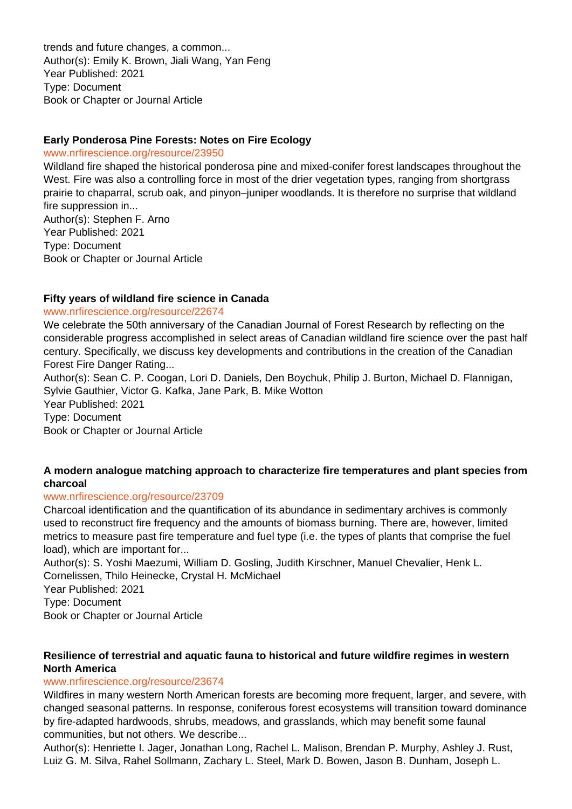trends and future changes, a common... Author(s): Emily K. Brown, Jiali Wang, Yan Feng Year Published: 2021 Type: Document Book or Chapter or Journal Article

## **Early Ponderosa Pine Forests: Notes on Fire Ecology**

www.nrfirescience.org/resource/23950

Wildland fire shaped the historical ponderosa pine and mixed-conifer forest landscapes throughout the West. Fire was also a controlling force in most of the drier vegetation types, ranging from shortgrass prairie to chaparral, scrub oak, and pinyon–juniper woodlands. It is therefore no surprise that wildland fire suppression in... Author(s): Stephen F. Arno

Year Published: 2021 Type: Document Book or Chapter or Journal Article

## **Fifty years of wildland fire science in Canada**

#### www.nrfirescience.org/resource/22674

We celebrate the 50th anniversary of the Canadian Journal of Forest Research by reflecting on the considerable progress accomplished in select areas of Canadian wildland fire science over the past half century. Specifically, we discuss key developments and contributions in the creation of the Canadian Forest Fire Danger Rating...

Author(s): Sean C. P. Coogan, Lori D. Daniels, Den Boychuk, Philip J. Burton, Michael D. Flannigan, Sylvie Gauthier, Victor G. Kafka, Jane Park, B. Mike Wotton Year Published: 2021 Type: Document Book or Chapter or Journal Article

# **A modern analogue matching approach to characterize fire temperatures and plant species from charcoal**

## www.nrfirescience.org/resource/23709

Charcoal identification and the quantification of its abundance in sedimentary archives is commonly used to reconstruct fire frequency and the amounts of biomass burning. There are, however, limited metrics to measure past fire temperature and fuel type (i.e. the types of plants that comprise the fuel load), which are important for...

Author(s): S. Yoshi Maezumi, William D. Gosling, Judith Kirschner, Manuel Chevalier, Henk L. Cornelissen, Thilo Heinecke, Crystal H. McMichael

Year Published: 2021

Type: Document

Book or Chapter or Journal Article

# **Resilience of terrestrial and aquatic fauna to historical and future wildfire regimes in western North America**

## www.nrfirescience.org/resource/23674

Wildfires in many western North American forests are becoming more frequent, larger, and severe, with changed seasonal patterns. In response, coniferous forest ecosystems will transition toward dominance by fire-adapted hardwoods, shrubs, meadows, and grasslands, which may benefit some faunal communities, but not others. We describe...

Author(s): Henriette I. Jager, Jonathan Long, Rachel L. Malison, Brendan P. Murphy, Ashley J. Rust, Luiz G. M. Silva, Rahel Sollmann, Zachary L. Steel, Mark D. Bowen, Jason B. Dunham, Joseph L.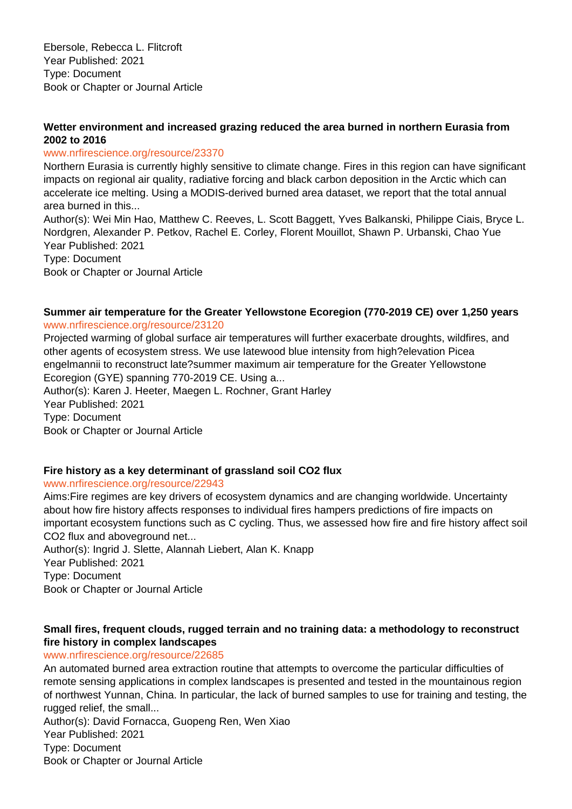Ebersole, Rebecca L. Flitcroft Year Published: 2021 Type: Document Book or Chapter or Journal Article

## **Wetter environment and increased grazing reduced the area burned in northern Eurasia from 2002 to 2016**

## www.nrfirescience.org/resource/23370

Northern Eurasia is currently highly sensitive to climate change. Fires in this region can have significant impacts on regional air quality, radiative forcing and black carbon deposition in the Arctic which can accelerate ice melting. Using a MODIS-derived burned area dataset, we report that the total annual area burned in this...

Author(s): Wei Min Hao, Matthew C. Reeves, L. Scott Baggett, Yves Balkanski, Philippe Ciais, Bryce L. Nordgren, Alexander P. Petkov, Rachel E. Corley, Florent Mouillot, Shawn P. Urbanski, Chao Yue Year Published: 2021 Type: Document

Book or Chapter or Journal Article

## **Summer air temperature for the Greater Yellowstone Ecoregion (770-2019 CE) over 1,250 years** www.nrfirescience.org/resource/23120

Projected warming of global surface air temperatures will further exacerbate droughts, wildfires, and other agents of ecosystem stress. We use latewood blue intensity from high?elevation Picea engelmannii to reconstruct late?summer maximum air temperature for the Greater Yellowstone Ecoregion (GYE) spanning 770-2019 CE. Using a... Author(s): Karen J. Heeter, Maegen L. Rochner, Grant Harley Year Published: 2021 Type: Document Book or Chapter or Journal Article

# **Fire history as a key determinant of grassland soil CO2 flux**

www.nrfirescience.org/resource/22943

Aims:Fire regimes are key drivers of ecosystem dynamics and are changing worldwide. Uncertainty about how fire history affects responses to individual fires hampers predictions of fire impacts on important ecosystem functions such as C cycling. Thus, we assessed how fire and fire history affect soil CO2 flux and aboveground net...

Author(s): Ingrid J. Slette, Alannah Liebert, Alan K. Knapp Year Published: 2021 Type: Document Book or Chapter or Journal Article

## **Small fires, frequent clouds, rugged terrain and no training data: a methodology to reconstruct fire history in complex landscapes**

## www.nrfirescience.org/resource/22685

An automated burned area extraction routine that attempts to overcome the particular difficulties of remote sensing applications in complex landscapes is presented and tested in the mountainous region of northwest Yunnan, China. In particular, the lack of burned samples to use for training and testing, the rugged relief, the small...

Author(s): David Fornacca, Guopeng Ren, Wen Xiao Year Published: 2021 Type: Document Book or Chapter or Journal Article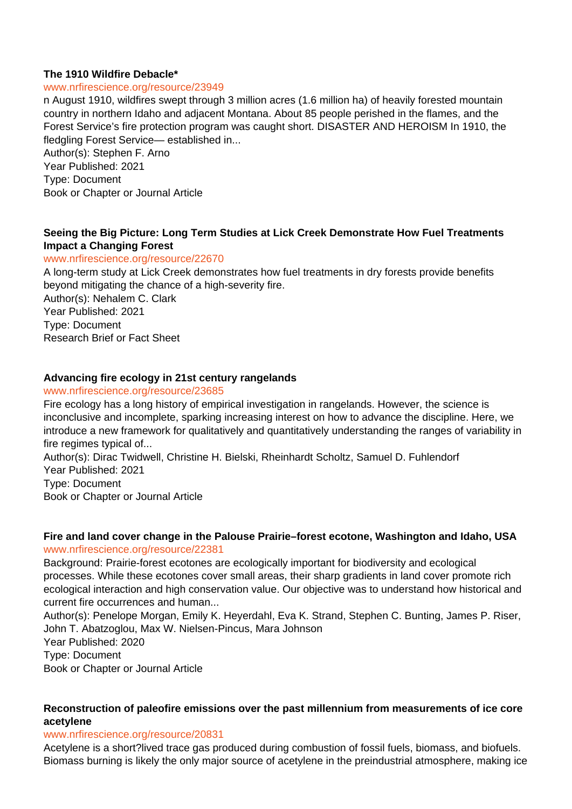## **The 1910 Wildfire Debacle\***

#### www.nrfirescience.org/resource/23949

n August 1910, wildfires swept through 3 million acres (1.6 million ha) of heavily forested mountain country in northern Idaho and adjacent Montana. About 85 people perished in the flames, and the Forest Service's fire protection program was caught short. DISASTER AND HEROISM In 1910, the fledgling Forest Service— established in...

Author(s): Stephen F. Arno Year Published: 2021 Type: Document Book or Chapter or Journal Article

# **Seeing the Big Picture: Long Term Studies at Lick Creek Demonstrate How Fuel Treatments Impact a Changing Forest**

#### www.nrfirescience.org/resource/22670

A long-term study at Lick Creek demonstrates how fuel treatments in dry forests provide benefits beyond mitigating the chance of a high-severity fire. Author(s): Nehalem C. Clark Year Published: 2021 Type: Document Research Brief or Fact Sheet

## **Advancing fire ecology in 21st century rangelands**

#### www.nrfirescience.org/resource/23685

Fire ecology has a long history of empirical investigation in rangelands. However, the science is inconclusive and incomplete, sparking increasing interest on how to advance the discipline. Here, we introduce a new framework for qualitatively and quantitatively understanding the ranges of variability in fire regimes typical of...

Author(s): Dirac Twidwell, Christine H. Bielski, Rheinhardt Scholtz, Samuel D. Fuhlendorf Year Published: 2021 Type: Document

Book or Chapter or Journal Article

#### **Fire and land cover change in the Palouse Prairie–forest ecotone, Washington and Idaho, USA** www.nrfirescience.org/resource/22381

Background: Prairie-forest ecotones are ecologically important for biodiversity and ecological processes. While these ecotones cover small areas, their sharp gradients in land cover promote rich ecological interaction and high conservation value. Our objective was to understand how historical and current fire occurrences and human...

Author(s): Penelope Morgan, Emily K. Heyerdahl, Eva K. Strand, Stephen C. Bunting, James P. Riser, John T. Abatzoglou, Max W. Nielsen-Pincus, Mara Johnson Year Published: 2020 Type: Document Book or Chapter or Journal Article

## **Reconstruction of paleofire emissions over the past millennium from measurements of ice core acetylene**

#### www.nrfirescience.org/resource/20831

Acetylene is a short?lived trace gas produced during combustion of fossil fuels, biomass, and biofuels. Biomass burning is likely the only major source of acetylene in the preindustrial atmosphere, making ice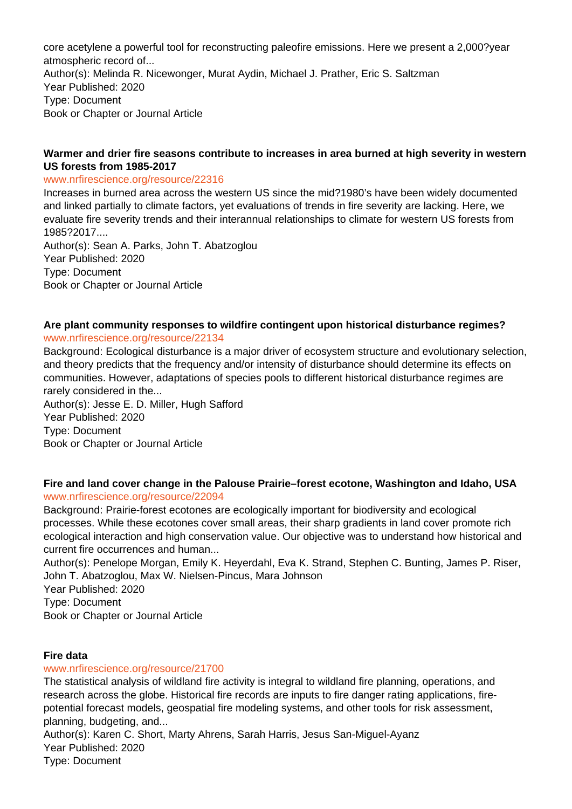core acetylene a powerful tool for reconstructing paleofire emissions. Here we present a 2,000?year atmospheric record of... Author(s): Melinda R. Nicewonger, Murat Aydin, Michael J. Prather, Eric S. Saltzman Year Published: 2020 Type: Document Book or Chapter or Journal Article

## **Warmer and drier fire seasons contribute to increases in area burned at high severity in western US forests from 1985-2017**

#### www.nrfirescience.org/resource/22316

Increases in burned area across the western US since the mid?1980's have been widely documented and linked partially to climate factors, yet evaluations of trends in fire severity are lacking. Here, we evaluate fire severity trends and their interannual relationships to climate for western US forests from 1985?2017....

Author(s): Sean A. Parks, John T. Abatzoglou Year Published: 2020 Type: Document Book or Chapter or Journal Article

#### **Are plant community responses to wildfire contingent upon historical disturbance regimes?** www.nrfirescience.org/resource/22134

Background: Ecological disturbance is a major driver of ecosystem structure and evolutionary selection, and theory predicts that the frequency and/or intensity of disturbance should determine its effects on communities. However, adaptations of species pools to different historical disturbance regimes are rarely considered in the...

Author(s): Jesse E. D. Miller, Hugh Safford Year Published: 2020 Type: Document Book or Chapter or Journal Article

# **Fire and land cover change in the Palouse Prairie–forest ecotone, Washington and Idaho, USA**

## www.nrfirescience.org/resource/22094

Background: Prairie-forest ecotones are ecologically important for biodiversity and ecological processes. While these ecotones cover small areas, their sharp gradients in land cover promote rich ecological interaction and high conservation value. Our objective was to understand how historical and current fire occurrences and human...

Author(s): Penelope Morgan, Emily K. Heyerdahl, Eva K. Strand, Stephen C. Bunting, James P. Riser, John T. Abatzoglou, Max W. Nielsen-Pincus, Mara Johnson

Year Published: 2020

Type: Document

Book or Chapter or Journal Article

## **Fire data**

## www.nrfirescience.org/resource/21700

The statistical analysis of wildland fire activity is integral to wildland fire planning, operations, and research across the globe. Historical fire records are inputs to fire danger rating applications, firepotential forecast models, geospatial fire modeling systems, and other tools for risk assessment, planning, budgeting, and...

Author(s): Karen C. Short, Marty Ahrens, Sarah Harris, Jesus San-Miguel-Ayanz Year Published: 2020 Type: Document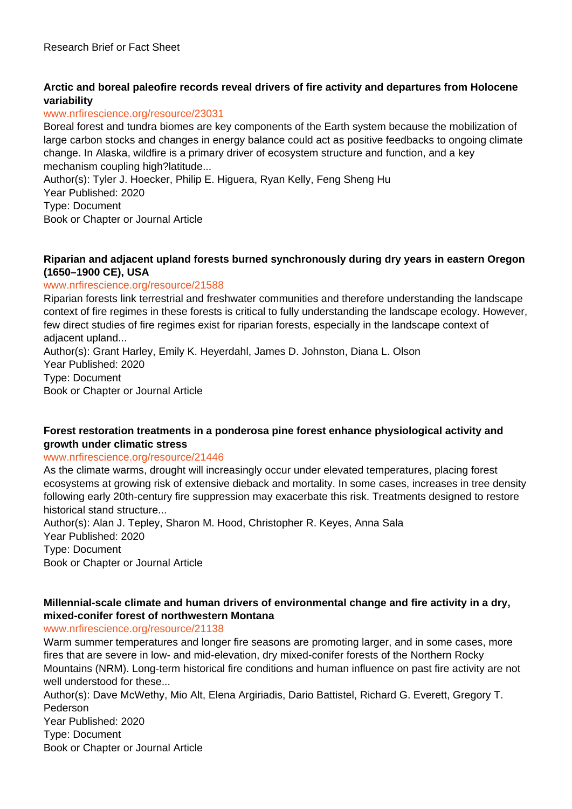# **Arctic and boreal paleofire records reveal drivers of fire activity and departures from Holocene variability**

## www.nrfirescience.org/resource/23031

Boreal forest and tundra biomes are key components of the Earth system because the mobilization of large carbon stocks and changes in energy balance could act as positive feedbacks to ongoing climate change. In Alaska, wildfire is a primary driver of ecosystem structure and function, and a key mechanism coupling high?latitude...

Author(s): Tyler J. Hoecker, Philip E. Higuera, Ryan Kelly, Feng Sheng Hu

Year Published: 2020

Type: Document

Book or Chapter or Journal Article

## **Riparian and adjacent upland forests burned synchronously during dry years in eastern Oregon (1650–1900 CE), USA**

## www.nrfirescience.org/resource/21588

Riparian forests link terrestrial and freshwater communities and therefore understanding the landscape context of fire regimes in these forests is critical to fully understanding the landscape ecology. However, few direct studies of fire regimes exist for riparian forests, especially in the landscape context of adjacent upland...

Author(s): Grant Harley, Emily K. Heyerdahl, James D. Johnston, Diana L. Olson Year Published: 2020 Type: Document Book or Chapter or Journal Article

## **Forest restoration treatments in a ponderosa pine forest enhance physiological activity and growth under climatic stress**

## www.nrfirescience.org/resource/21446

As the climate warms, drought will increasingly occur under elevated temperatures, placing forest ecosystems at growing risk of extensive dieback and mortality. In some cases, increases in tree density following early 20th-century fire suppression may exacerbate this risk. Treatments designed to restore historical stand structure...

Author(s): Alan J. Tepley, Sharon M. Hood, Christopher R. Keyes, Anna Sala Year Published: 2020 Type: Document Book or Chapter or Journal Article

## **Millennial-scale climate and human drivers of environmental change and fire activity in a dry, mixed-conifer forest of northwestern Montana**

www.nrfirescience.org/resource/21138

Warm summer temperatures and longer fire seasons are promoting larger, and in some cases, more fires that are severe in low- and mid-elevation, dry mixed-conifer forests of the Northern Rocky Mountains (NRM). Long-term historical fire conditions and human influence on past fire activity are not well understood for these...

Author(s): Dave McWethy, Mio Alt, Elena Argiriadis, Dario Battistel, Richard G. Everett, Gregory T. Pederson Year Published: 2020 Type: Document Book or Chapter or Journal Article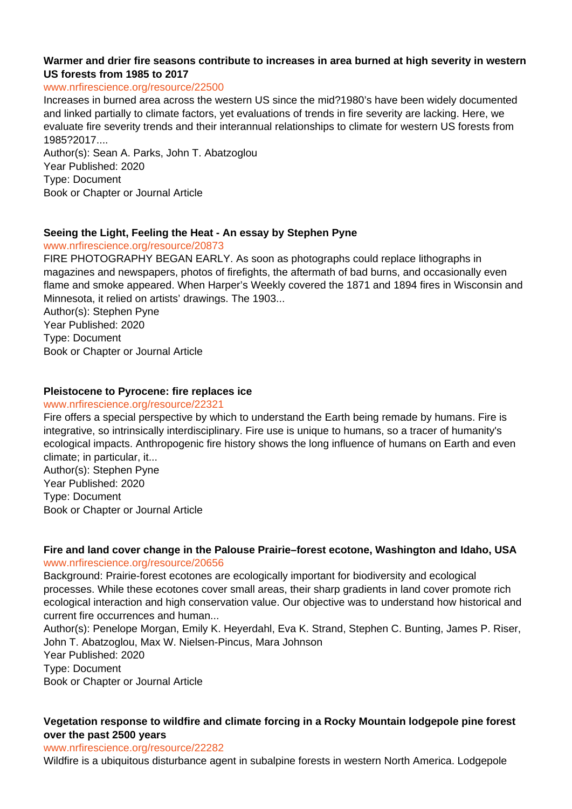## **Warmer and drier fire seasons contribute to increases in area burned at high severity in western US forests from 1985 to 2017**

#### www.nrfirescience.org/resource/22500

Increases in burned area across the western US since the mid?1980's have been widely documented and linked partially to climate factors, yet evaluations of trends in fire severity are lacking. Here, we evaluate fire severity trends and their interannual relationships to climate for western US forests from 1985?2017....

Author(s): Sean A. Parks, John T. Abatzoglou Year Published: 2020 Type: Document Book or Chapter or Journal Article

## **Seeing the Light, Feeling the Heat - An essay by Stephen Pyne**

www.nrfirescience.org/resource/20873

FIRE PHOTOGRAPHY BEGAN EARLY. As soon as photographs could replace lithographs in magazines and newspapers, photos of firefights, the aftermath of bad burns, and occasionally even flame and smoke appeared. When Harper's Weekly covered the 1871 and 1894 fires in Wisconsin and Minnesota, it relied on artists' drawings. The 1903...

Author(s): Stephen Pyne Year Published: 2020 Type: Document Book or Chapter or Journal Article

## **Pleistocene to Pyrocene: fire replaces ice**

#### www.nrfirescience.org/resource/22321

Fire offers a special perspective by which to understand the Earth being remade by humans. Fire is integrative, so intrinsically interdisciplinary. Fire use is unique to humans, so a tracer of humanity's ecological impacts. Anthropogenic fire history shows the long influence of humans on Earth and even climate; in particular, it... Author(s): Stephen Pyne Year Published: 2020 Type: Document Book or Chapter or Journal Article

## **Fire and land cover change in the Palouse Prairie–forest ecotone, Washington and Idaho, USA** www.nrfirescience.org/resource/20656

Background: Prairie-forest ecotones are ecologically important for biodiversity and ecological processes. While these ecotones cover small areas, their sharp gradients in land cover promote rich ecological interaction and high conservation value. Our objective was to understand how historical and current fire occurrences and human...

Author(s): Penelope Morgan, Emily K. Heyerdahl, Eva K. Strand, Stephen C. Bunting, James P. Riser, John T. Abatzoglou, Max W. Nielsen-Pincus, Mara Johnson

Year Published: 2020 Type: Document

Book or Chapter or Journal Article

# **Vegetation response to wildfire and climate forcing in a Rocky Mountain lodgepole pine forest over the past 2500 years**

#### www.nrfirescience.org/resource/22282

Wildfire is a ubiquitous disturbance agent in subalpine forests in western North America. Lodgepole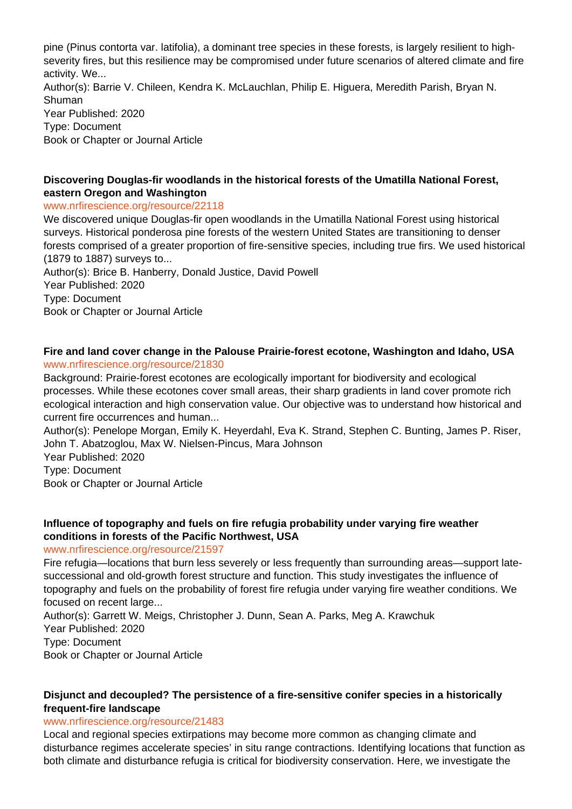pine (Pinus contorta var. latifolia), a dominant tree species in these forests, is largely resilient to highseverity fires, but this resilience may be compromised under future scenarios of altered climate and fire activity. We... Author(s): Barrie V. Chileen, Kendra K. McLauchlan, Philip E. Higuera, Meredith Parish, Bryan N. Shuman Year Published: 2020 Type: Document Book or Chapter or Journal Article

## **Discovering Douglas-fir woodlands in the historical forests of the Umatilla National Forest, eastern Oregon and Washington**

#### www.nrfirescience.org/resource/22118

We discovered unique Douglas-fir open woodlands in the Umatilla National Forest using historical surveys. Historical ponderosa pine forests of the western United States are transitioning to denser forests comprised of a greater proportion of fire-sensitive species, including true firs. We used historical (1879 to 1887) surveys to...

Author(s): Brice B. Hanberry, Donald Justice, David Powell Year Published: 2020 Type: Document Book or Chapter or Journal Article

#### **Fire and land cover change in the Palouse Prairie-forest ecotone, Washington and Idaho, USA** www.nrfirescience.org/resource/21830

Background: Prairie-forest ecotones are ecologically important for biodiversity and ecological processes. While these ecotones cover small areas, their sharp gradients in land cover promote rich ecological interaction and high conservation value. Our objective was to understand how historical and current fire occurrences and human...

Author(s): Penelope Morgan, Emily K. Heyerdahl, Eva K. Strand, Stephen C. Bunting, James P. Riser, John T. Abatzoglou, Max W. Nielsen-Pincus, Mara Johnson

Year Published: 2020 Type: Document

Book or Chapter or Journal Article

## **Influence of topography and fuels on fire refugia probability under varying fire weather conditions in forests of the Pacific Northwest, USA**

## www.nrfirescience.org/resource/21597

Fire refugia—locations that burn less severely or less frequently than surrounding areas—support latesuccessional and old-growth forest structure and function. This study investigates the influence of topography and fuels on the probability of forest fire refugia under varying fire weather conditions. We focused on recent large...

Author(s): Garrett W. Meigs, Christopher J. Dunn, Sean A. Parks, Meg A. Krawchuk Year Published: 2020 Type: Document Book or Chapter or Journal Article

## **Disjunct and decoupled? The persistence of a fire-sensitive conifer species in a historically frequent-fire landscape**

## www.nrfirescience.org/resource/21483

Local and regional species extirpations may become more common as changing climate and disturbance regimes accelerate species' in situ range contractions. Identifying locations that function as both climate and disturbance refugia is critical for biodiversity conservation. Here, we investigate the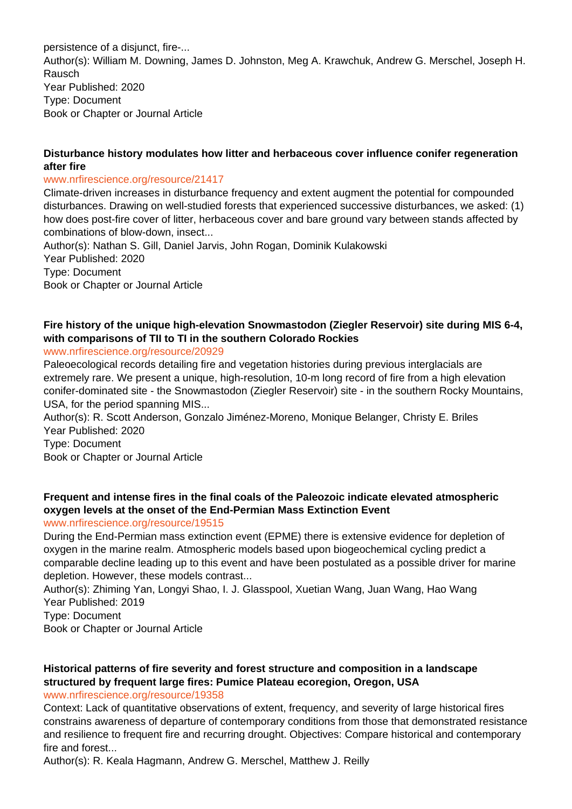persistence of a disjunct, fire-... Author(s): William M. Downing, James D. Johnston, Meg A. Krawchuk, Andrew G. Merschel, Joseph H. Rausch Year Published: 2020 Type: Document Book or Chapter or Journal Article

## **Disturbance history modulates how litter and herbaceous cover influence conifer regeneration after fire**

## www.nrfirescience.org/resource/21417

Climate-driven increases in disturbance frequency and extent augment the potential for compounded disturbances. Drawing on well-studied forests that experienced successive disturbances, we asked: (1) how does post-fire cover of litter, herbaceous cover and bare ground vary between stands affected by combinations of blow-down, insect...

Author(s): Nathan S. Gill, Daniel Jarvis, John Rogan, Dominik Kulakowski Year Published: 2020 Type: Document Book or Chapter or Journal Article

# **Fire history of the unique high-elevation Snowmastodon (Ziegler Reservoir) site during MIS 6-4, with comparisons of TII to TI in the southern Colorado Rockies**

## www.nrfirescience.org/resource/20929

Paleoecological records detailing fire and vegetation histories during previous interglacials are extremely rare. We present a unique, high-resolution, 10-m long record of fire from a high elevation conifer-dominated site - the Snowmastodon (Ziegler Reservoir) site - in the southern Rocky Mountains, USA, for the period spanning MIS...

Author(s): R. Scott Anderson, Gonzalo Jiménez-Moreno, Monique Belanger, Christy E. Briles Year Published: 2020

Type: Document

Book or Chapter or Journal Article

# **Frequent and intense fires in the final coals of the Paleozoic indicate elevated atmospheric oxygen levels at the onset of the End-Permian Mass Extinction Event**

# www.nrfirescience.org/resource/19515

During the End-Permian mass extinction event (EPME) there is extensive evidence for depletion of oxygen in the marine realm. Atmospheric models based upon biogeochemical cycling predict a comparable decline leading up to this event and have been postulated as a possible driver for marine depletion. However, these models contrast...

Author(s): Zhiming Yan, Longyi Shao, I. J. Glasspool, Xuetian Wang, Juan Wang, Hao Wang Year Published: 2019

Type: Document

Book or Chapter or Journal Article

# **Historical patterns of fire severity and forest structure and composition in a landscape structured by frequent large fires: Pumice Plateau ecoregion, Oregon, USA**

www.nrfirescience.org/resource/19358

Context: Lack of quantitative observations of extent, frequency, and severity of large historical fires constrains awareness of departure of contemporary conditions from those that demonstrated resistance and resilience to frequent fire and recurring drought. Objectives: Compare historical and contemporary fire and forest...

Author(s): R. Keala Hagmann, Andrew G. Merschel, Matthew J. Reilly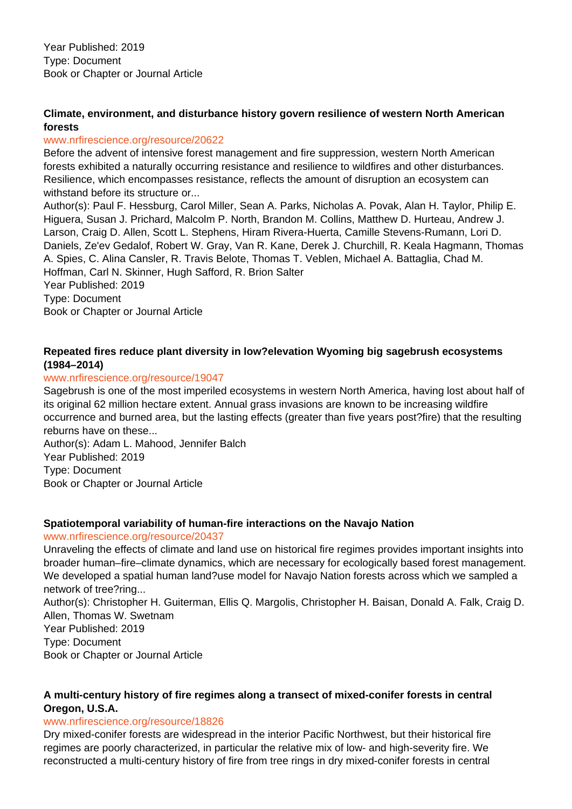# **Climate, environment, and disturbance history govern resilience of western North American forests**

## www.nrfirescience.org/resource/20622

Before the advent of intensive forest management and fire suppression, western North American forests exhibited a naturally occurring resistance and resilience to wildfires and other disturbances. Resilience, which encompasses resistance, reflects the amount of disruption an ecosystem can withstand before its structure or...

Author(s): Paul F. Hessburg, Carol Miller, Sean A. Parks, Nicholas A. Povak, Alan H. Taylor, Philip E. Higuera, Susan J. Prichard, Malcolm P. North, Brandon M. Collins, Matthew D. Hurteau, Andrew J. Larson, Craig D. Allen, Scott L. Stephens, Hiram Rivera-Huerta, Camille Stevens-Rumann, Lori D. Daniels, Ze'ev Gedalof, Robert W. Gray, Van R. Kane, Derek J. Churchill, R. Keala Hagmann, Thomas A. Spies, C. Alina Cansler, R. Travis Belote, Thomas T. Veblen, Michael A. Battaglia, Chad M. Hoffman, Carl N. Skinner, Hugh Safford, R. Brion Salter

Year Published: 2019 Type: Document Book or Chapter or Journal Article

# **Repeated fires reduce plant diversity in low?elevation Wyoming big sagebrush ecosystems (1984–2014)**

## www.nrfirescience.org/resource/19047

Sagebrush is one of the most imperiled ecosystems in western North America, having lost about half of its original 62 million hectare extent. Annual grass invasions are known to be increasing wildfire occurrence and burned area, but the lasting effects (greater than five years post?fire) that the resulting reburns have on these...

Author(s): Adam L. Mahood, Jennifer Balch Year Published: 2019 Type: Document Book or Chapter or Journal Article

# **Spatiotemporal variability of human-fire interactions on the Navajo Nation**

## www.nrfirescience.org/resource/20437

Unraveling the effects of climate and land use on historical fire regimes provides important insights into broader human–fire–climate dynamics, which are necessary for ecologically based forest management. We developed a spatial human land?use model for Navajo Nation forests across which we sampled a network of tree?ring...

Author(s): Christopher H. Guiterman, Ellis Q. Margolis, Christopher H. Baisan, Donald A. Falk, Craig D. Allen, Thomas W. Swetnam

Year Published: 2019 Type: Document

Book or Chapter or Journal Article

## **A multi-century history of fire regimes along a transect of mixed-conifer forests in central Oregon, U.S.A.**

## www.nrfirescience.org/resource/18826

Dry mixed-conifer forests are widespread in the interior Pacific Northwest, but their historical fire regimes are poorly characterized, in particular the relative mix of low- and high-severity fire. We reconstructed a multi-century history of fire from tree rings in dry mixed-conifer forests in central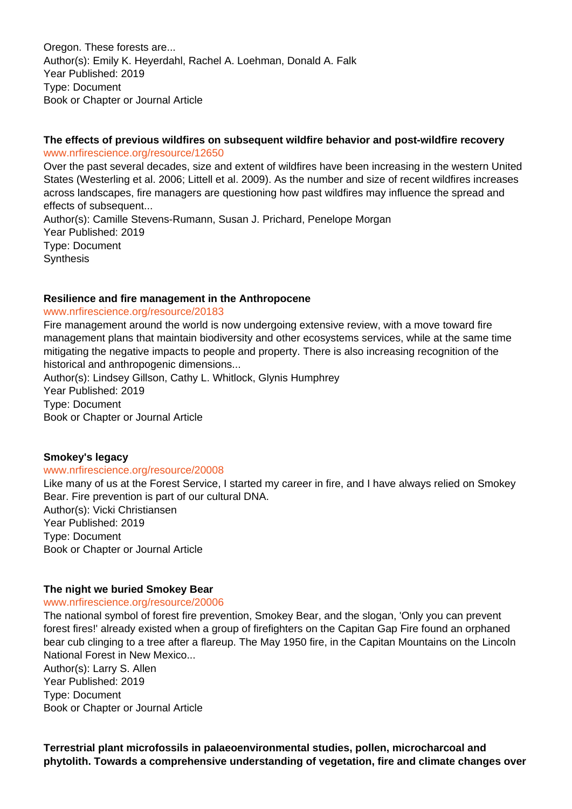Oregon. These forests are... Author(s): Emily K. Heyerdahl, Rachel A. Loehman, Donald A. Falk Year Published: 2019 Type: Document Book or Chapter or Journal Article

## **The effects of previous wildfires on subsequent wildfire behavior and post-wildfire recovery** www.nrfirescience.org/resource/12650

Over the past several decades, size and extent of wildfires have been increasing in the western United States (Westerling et al. 2006; Littell et al. 2009). As the number and size of recent wildfires increases across landscapes, fire managers are questioning how past wildfires may influence the spread and effects of subsequent...

Author(s): Camille Stevens-Rumann, Susan J. Prichard, Penelope Morgan Year Published: 2019 Type: Document **Synthesis** 

## **Resilience and fire management in the Anthropocene**

#### www.nrfirescience.org/resource/20183

Fire management around the world is now undergoing extensive review, with a move toward fire management plans that maintain biodiversity and other ecosystems services, while at the same time mitigating the negative impacts to people and property. There is also increasing recognition of the historical and anthropogenic dimensions...

Author(s): Lindsey Gillson, Cathy L. Whitlock, Glynis Humphrey Year Published: 2019 Type: Document Book or Chapter or Journal Article

## **Smokey's legacy**

#### www.nrfirescience.org/resource/20008

Like many of us at the Forest Service, I started my career in fire, and I have always relied on Smokey Bear. Fire prevention is part of our cultural DNA. Author(s): Vicki Christiansen Year Published: 2019 Type: Document Book or Chapter or Journal Article

## **The night we buried Smokey Bear**

#### www.nrfirescience.org/resource/20006

The national symbol of forest fire prevention, Smokey Bear, and the slogan, 'Only you can prevent forest fires!' already existed when a group of firefighters on the Capitan Gap Fire found an orphaned bear cub clinging to a tree after a flareup. The May 1950 fire, in the Capitan Mountains on the Lincoln National Forest in New Mexico...

Author(s): Larry S. Allen Year Published: 2019 Type: Document Book or Chapter or Journal Article

**Terrestrial plant microfossils in palaeoenvironmental studies, pollen, microcharcoal and phytolith. Towards a comprehensive understanding of vegetation, fire and climate changes over**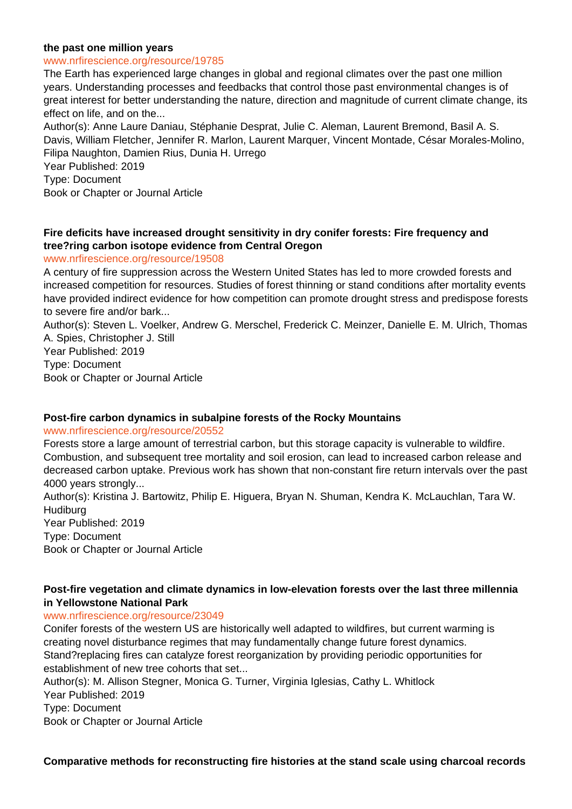#### **the past one million years**

#### www.nrfirescience.org/resource/19785

The Earth has experienced large changes in global and regional climates over the past one million years. Understanding processes and feedbacks that control those past environmental changes is of great interest for better understanding the nature, direction and magnitude of current climate change, its effect on life, and on the...

Author(s): Anne Laure Daniau, Stéphanie Desprat, Julie C. Aleman, Laurent Bremond, Basil A. S. Davis, William Fletcher, Jennifer R. Marlon, Laurent Marquer, Vincent Montade, César Morales-Molino, Filipa Naughton, Damien Rius, Dunia H. Urrego

Year Published: 2019

Type: Document

Book or Chapter or Journal Article

## **Fire deficits have increased drought sensitivity in dry conifer forests: Fire frequency and tree?ring carbon isotope evidence from Central Oregon**

## www.nrfirescience.org/resource/19508

A century of fire suppression across the Western United States has led to more crowded forests and increased competition for resources. Studies of forest thinning or stand conditions after mortality events have provided indirect evidence for how competition can promote drought stress and predispose forests to severe fire and/or bark...

Author(s): Steven L. Voelker, Andrew G. Merschel, Frederick C. Meinzer, Danielle E. M. Ulrich, Thomas A. Spies, Christopher J. Still

Year Published: 2019 Type: Document Book or Chapter or Journal Article

## **Post-fire carbon dynamics in subalpine forests of the Rocky Mountains**

#### www.nrfirescience.org/resource/20552

Forests store a large amount of terrestrial carbon, but this storage capacity is vulnerable to wildfire. Combustion, and subsequent tree mortality and soil erosion, can lead to increased carbon release and decreased carbon uptake. Previous work has shown that non-constant fire return intervals over the past 4000 years strongly...

Author(s): Kristina J. Bartowitz, Philip E. Higuera, Bryan N. Shuman, Kendra K. McLauchlan, Tara W. **Hudiburg** Year Published: 2019

Type: Document Book or Chapter or Journal Article

## **Post-fire vegetation and climate dynamics in low-elevation forests over the last three millennia in Yellowstone National Park**

## www.nrfirescience.org/resource/23049

Conifer forests of the western US are historically well adapted to wildfires, but current warming is creating novel disturbance regimes that may fundamentally change future forest dynamics. Stand?replacing fires can catalyze forest reorganization by providing periodic opportunities for establishment of new tree cohorts that set...

Author(s): M. Allison Stegner, Monica G. Turner, Virginia Iglesias, Cathy L. Whitlock

Year Published: 2019

Type: Document

Book or Chapter or Journal Article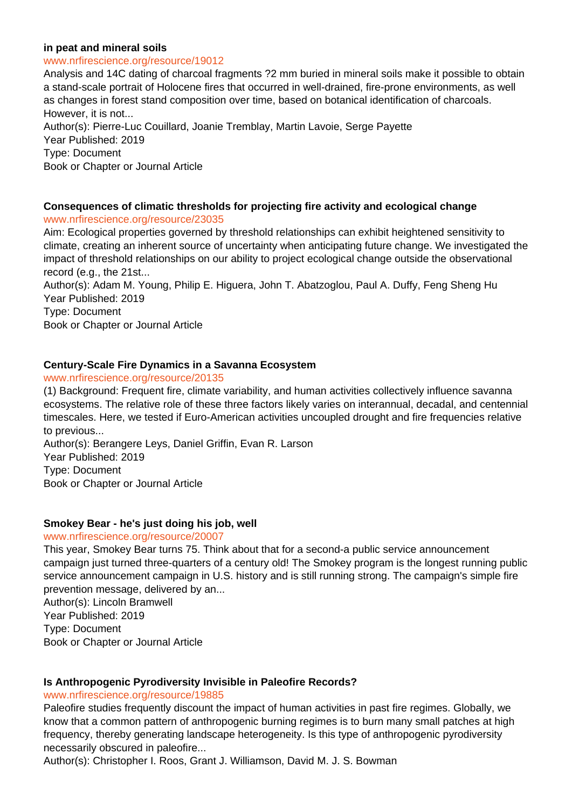## **in peat and mineral soils**

#### www.nrfirescience.org/resource/19012

Analysis and 14C dating of charcoal fragments ?2 mm buried in mineral soils make it possible to obtain a stand-scale portrait of Holocene fires that occurred in well-drained, fire-prone environments, as well as changes in forest stand composition over time, based on botanical identification of charcoals. However, it is not... Author(s): Pierre-Luc Couillard, Joanie Tremblay, Martin Lavoie, Serge Payette Year Published: 2019 Type: Document Book or Chapter or Journal Article

## **Consequences of climatic thresholds for projecting fire activity and ecological change** www.nrfirescience.org/resource/23035

Aim: Ecological properties governed by threshold relationships can exhibit heightened sensitivity to climate, creating an inherent source of uncertainty when anticipating future change. We investigated the impact of threshold relationships on our ability to project ecological change outside the observational record (e.g., the 21st...

Author(s): Adam M. Young, Philip E. Higuera, John T. Abatzoglou, Paul A. Duffy, Feng Sheng Hu Year Published: 2019 Type: Document

Book or Chapter or Journal Article

## **Century-Scale Fire Dynamics in a Savanna Ecosystem**

#### www.nrfirescience.org/resource/20135

(1) Background: Frequent fire, climate variability, and human activities collectively influence savanna ecosystems. The relative role of these three factors likely varies on interannual, decadal, and centennial timescales. Here, we tested if Euro-American activities uncoupled drought and fire frequencies relative to previous...

Author(s): Berangere Leys, Daniel Griffin, Evan R. Larson Year Published: 2019 Type: Document Book or Chapter or Journal Article

## **Smokey Bear - he's just doing his job, well**

#### www.nrfirescience.org/resource/20007

This year, Smokey Bear turns 75. Think about that for a second-a public service announcement campaign just turned three-quarters of a century old! The Smokey program is the longest running public service announcement campaign in U.S. history and is still running strong. The campaign's simple fire prevention message, delivered by an...

Author(s): Lincoln Bramwell Year Published: 2019 Type: Document Book or Chapter or Journal Article

## **Is Anthropogenic Pyrodiversity Invisible in Paleofire Records?**

#### www.nrfirescience.org/resource/19885

Paleofire studies frequently discount the impact of human activities in past fire regimes. Globally, we know that a common pattern of anthropogenic burning regimes is to burn many small patches at high frequency, thereby generating landscape heterogeneity. Is this type of anthropogenic pyrodiversity necessarily obscured in paleofire...

Author(s): Christopher I. Roos, Grant J. Williamson, David M. J. S. Bowman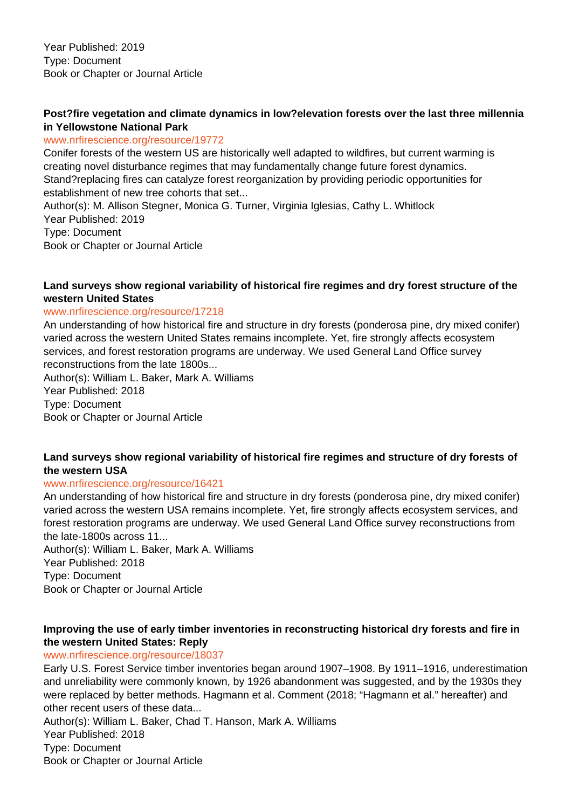# **Post?fire vegetation and climate dynamics in low?elevation forests over the last three millennia in Yellowstone National Park**

## www.nrfirescience.org/resource/19772

Conifer forests of the western US are historically well adapted to wildfires, but current warming is creating novel disturbance regimes that may fundamentally change future forest dynamics. Stand?replacing fires can catalyze forest reorganization by providing periodic opportunities for establishment of new tree cohorts that set...

Author(s): M. Allison Stegner, Monica G. Turner, Virginia Iglesias, Cathy L. Whitlock Year Published: 2019 Type: Document Book or Chapter or Journal Article

# **Land surveys show regional variability of historical fire regimes and dry forest structure of the western United States**

## www.nrfirescience.org/resource/17218

An understanding of how historical fire and structure in dry forests (ponderosa pine, dry mixed conifer) varied across the western United States remains incomplete. Yet, fire strongly affects ecosystem services, and forest restoration programs are underway. We used General Land Office survey reconstructions from the late 1800s...

Author(s): William L. Baker, Mark A. Williams Year Published: 2018 Type: Document Book or Chapter or Journal Article

## **Land surveys show regional variability of historical fire regimes and structure of dry forests of the western USA**

## www.nrfirescience.org/resource/16421

An understanding of how historical fire and structure in dry forests (ponderosa pine, dry mixed conifer) varied across the western USA remains incomplete. Yet, fire strongly affects ecosystem services, and forest restoration programs are underway. We used General Land Office survey reconstructions from the late-1800s across 11...

Author(s): William L. Baker, Mark A. Williams Year Published: 2018 Type: Document Book or Chapter or Journal Article

# **Improving the use of early timber inventories in reconstructing historical dry forests and fire in the western United States: Reply**

## www.nrfirescience.org/resource/18037

Early U.S. Forest Service timber inventories began around 1907–1908. By 1911–1916, underestimation and unreliability were commonly known, by 1926 abandonment was suggested, and by the 1930s they were replaced by better methods. Hagmann et al. Comment (2018; "Hagmann et al." hereafter) and other recent users of these data...

Author(s): William L. Baker, Chad T. Hanson, Mark A. Williams Year Published: 2018 Type: Document Book or Chapter or Journal Article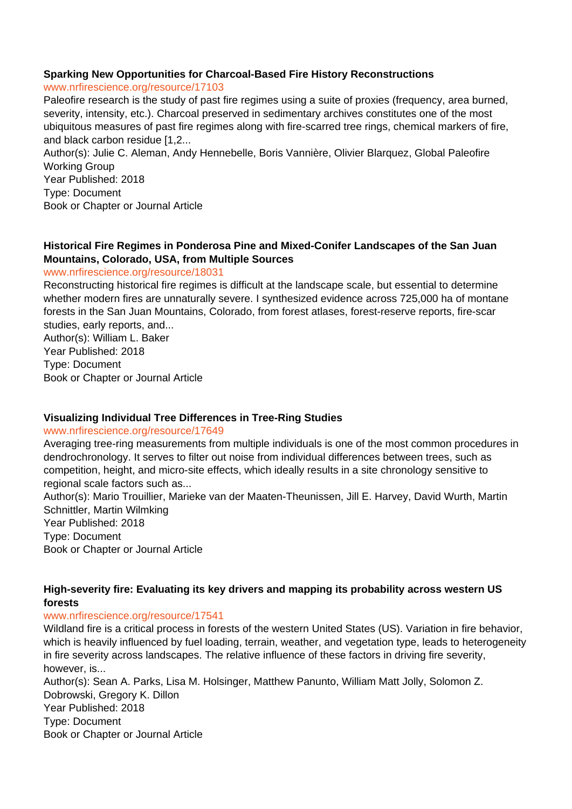## **Sparking New Opportunities for Charcoal-Based Fire History Reconstructions**

#### www.nrfirescience.org/resource/17103

Paleofire research is the study of past fire regimes using a suite of proxies (frequency, area burned, severity, intensity, etc.). Charcoal preserved in sedimentary archives constitutes one of the most ubiquitous measures of past fire regimes along with fire-scarred tree rings, chemical markers of fire, and black carbon residue [1,2...

Author(s): Julie C. Aleman, Andy Hennebelle, Boris Vannière, Olivier Blarquez, Global Paleofire Working Group

Year Published: 2018 Type: Document Book or Chapter or Journal Article

# **Historical Fire Regimes in Ponderosa Pine and Mixed-Conifer Landscapes of the San Juan Mountains, Colorado, USA, from Multiple Sources**

## www.nrfirescience.org/resource/18031

Reconstructing historical fire regimes is difficult at the landscape scale, but essential to determine whether modern fires are unnaturally severe. I synthesized evidence across 725,000 ha of montane forests in the San Juan Mountains, Colorado, from forest atlases, forest-reserve reports, fire-scar studies, early reports, and...

Author(s): William L. Baker Year Published: 2018 Type: Document Book or Chapter or Journal Article

# **Visualizing Individual Tree Differences in Tree-Ring Studies**

## www.nrfirescience.org/resource/17649

Averaging tree-ring measurements from multiple individuals is one of the most common procedures in dendrochronology. It serves to filter out noise from individual differences between trees, such as competition, height, and micro-site effects, which ideally results in a site chronology sensitive to regional scale factors such as...

Author(s): Mario Trouillier, Marieke van der Maaten-Theunissen, Jill E. Harvey, David Wurth, Martin Schnittler, Martin Wilmking

Year Published: 2018 Type: Document Book or Chapter or Journal Article

# **High-severity fire: Evaluating its key drivers and mapping its probability across western US forests**

## www.nrfirescience.org/resource/17541

Wildland fire is a critical process in forests of the western United States (US). Variation in fire behavior, which is heavily influenced by fuel loading, terrain, weather, and vegetation type, leads to heterogeneity in fire severity across landscapes. The relative influence of these factors in driving fire severity, however, is...

Author(s): Sean A. Parks, Lisa M. Holsinger, Matthew Panunto, William Matt Jolly, Solomon Z. Dobrowski, Gregory K. Dillon Year Published: 2018 Type: Document Book or Chapter or Journal Article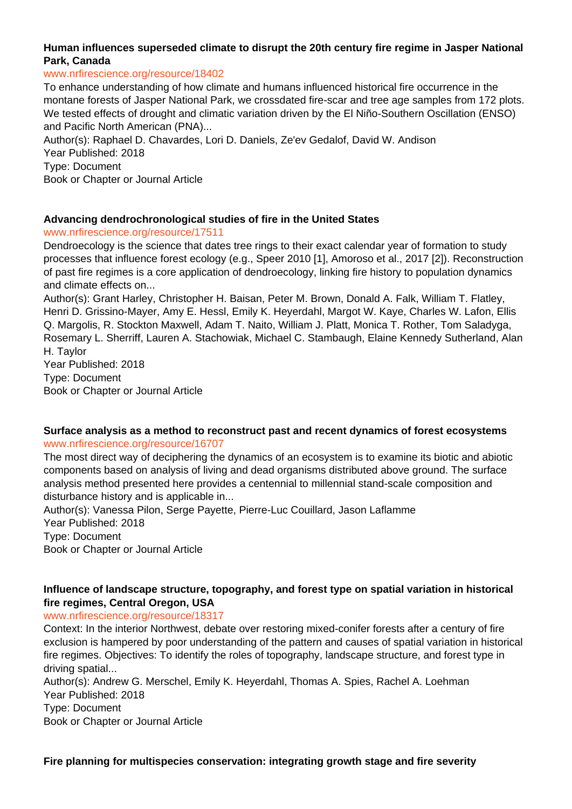# **Human influences superseded climate to disrupt the 20th century fire regime in Jasper National Park, Canada**

#### www.nrfirescience.org/resource/18402

To enhance understanding of how climate and humans influenced historical fire occurrence in the montane forests of Jasper National Park, we crossdated fire-scar and tree age samples from 172 plots. We tested effects of drought and climatic variation driven by the El Niño-Southern Oscillation (ENSO) and Pacific North American (PNA)...

Author(s): Raphael D. Chavardes, Lori D. Daniels, Ze'ev Gedalof, David W. Andison Year Published: 2018 Type: Document Book or Chapter or Journal Article

## **Advancing dendrochronological studies of fire in the United States**

www.nrfirescience.org/resource/17511

Dendroecology is the science that dates tree rings to their exact calendar year of formation to study processes that influence forest ecology (e.g., Speer 2010 [1], Amoroso et al., 2017 [2]). Reconstruction of past fire regimes is a core application of dendroecology, linking fire history to population dynamics and climate effects on...

Author(s): Grant Harley, Christopher H. Baisan, Peter M. Brown, Donald A. Falk, William T. Flatley, Henri D. Grissino-Mayer, Amy E. Hessl, Emily K. Heyerdahl, Margot W. Kaye, Charles W. Lafon, Ellis Q. Margolis, R. Stockton Maxwell, Adam T. Naito, William J. Platt, Monica T. Rother, Tom Saladyga, Rosemary L. Sherriff, Lauren A. Stachowiak, Michael C. Stambaugh, Elaine Kennedy Sutherland, Alan H. Taylor

Year Published: 2018 Type: Document Book or Chapter or Journal Article

## **Surface analysis as a method to reconstruct past and recent dynamics of forest ecosystems** www.nrfirescience.org/resource/16707

The most direct way of deciphering the dynamics of an ecosystem is to examine its biotic and abiotic components based on analysis of living and dead organisms distributed above ground. The surface analysis method presented here provides a centennial to millennial stand-scale composition and disturbance history and is applicable in...

Author(s): Vanessa Pilon, Serge Payette, Pierre-Luc Couillard, Jason Laflamme Year Published: 2018 Type: Document Book or Chapter or Journal Article

# **Influence of landscape structure, topography, and forest type on spatial variation in historical fire regimes, Central Oregon, USA**

## www.nrfirescience.org/resource/18317

Context: In the interior Northwest, debate over restoring mixed-conifer forests after a century of fire exclusion is hampered by poor understanding of the pattern and causes of spatial variation in historical fire regimes. Objectives: To identify the roles of topography, landscape structure, and forest type in driving spatial...

Author(s): Andrew G. Merschel, Emily K. Heyerdahl, Thomas A. Spies, Rachel A. Loehman Year Published: 2018 Type: Document

Book or Chapter or Journal Article

**Fire planning for multispecies conservation: integrating growth stage and fire severity**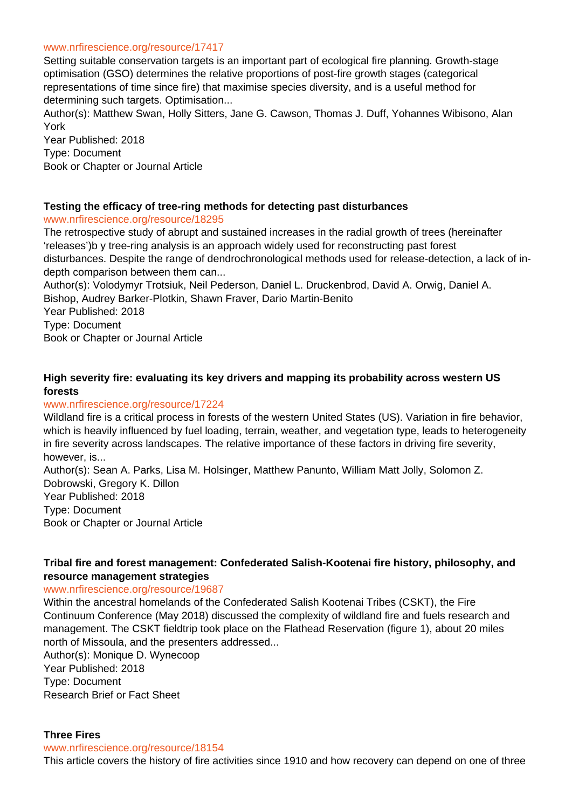#### www.nrfirescience.org/resource/17417

Setting suitable conservation targets is an important part of ecological fire planning. Growth-stage optimisation (GSO) determines the relative proportions of post-fire growth stages (categorical representations of time since fire) that maximise species diversity, and is a useful method for determining such targets. Optimisation...

Author(s): Matthew Swan, Holly Sitters, Jane G. Cawson, Thomas J. Duff, Yohannes Wibisono, Alan York

Year Published: 2018 Type: Document Book or Chapter or Journal Article

## **Testing the efficacy of tree-ring methods for detecting past disturbances**

## www.nrfirescience.org/resource/18295

The retrospective study of abrupt and sustained increases in the radial growth of trees (hereinafter 'releases')b y tree-ring analysis is an approach widely used for reconstructing past forest disturbances. Despite the range of dendrochronological methods used for release-detection, a lack of indepth comparison between them can...

Author(s): Volodymyr Trotsiuk, Neil Pederson, Daniel L. Druckenbrod, David A. Orwig, Daniel A. Bishop, Audrey Barker-Plotkin, Shawn Fraver, Dario Martin-Benito

Year Published: 2018 Type: Document

Book or Chapter or Journal Article

# **High severity fire: evaluating its key drivers and mapping its probability across western US forests**

## www.nrfirescience.org/resource/17224

Wildland fire is a critical process in forests of the western United States (US). Variation in fire behavior, which is heavily influenced by fuel loading, terrain, weather, and vegetation type, leads to heterogeneity in fire severity across landscapes. The relative importance of these factors in driving fire severity, however, is...

Author(s): Sean A. Parks, Lisa M. Holsinger, Matthew Panunto, William Matt Jolly, Solomon Z. Dobrowski, Gregory K. Dillon Year Published: 2018 Type: Document Book or Chapter or Journal Article

## **Tribal fire and forest management: Confederated Salish-Kootenai fire history, philosophy, and resource management strategies**

## www.nrfirescience.org/resource/19687

Within the ancestral homelands of the Confederated Salish Kootenai Tribes (CSKT), the Fire Continuum Conference (May 2018) discussed the complexity of wildland fire and fuels research and management. The CSKT fieldtrip took place on the Flathead Reservation (figure 1), about 20 miles north of Missoula, and the presenters addressed...

Author(s): Monique D. Wynecoop Year Published: 2018 Type: Document Research Brief or Fact Sheet

## **Three Fires**

www.nrfirescience.org/resource/18154

This article covers the history of fire activities since 1910 and how recovery can depend on one of three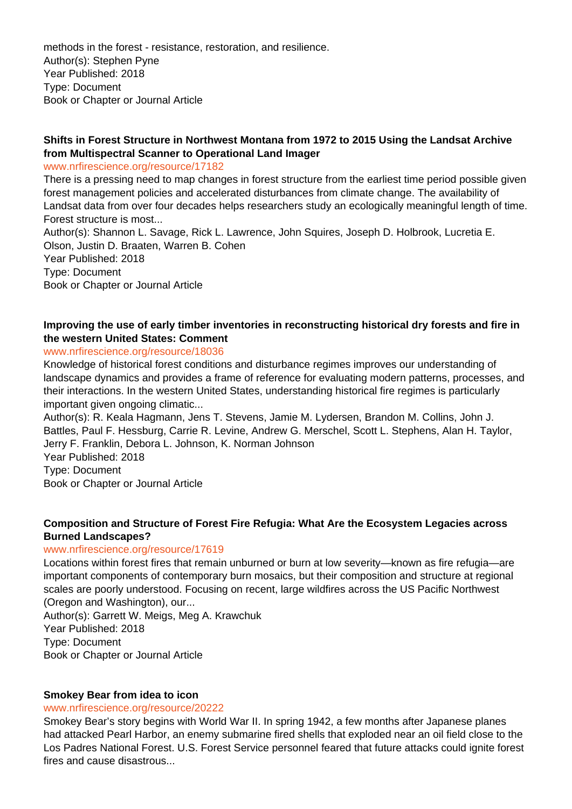methods in the forest - resistance, restoration, and resilience. Author(s): Stephen Pyne Year Published: 2018 Type: Document Book or Chapter or Journal Article

# **Shifts in Forest Structure in Northwest Montana from 1972 to 2015 Using the Landsat Archive from Multispectral Scanner to Operational Land Imager**

www.nrfirescience.org/resource/17182

There is a pressing need to map changes in forest structure from the earliest time period possible given forest management policies and accelerated disturbances from climate change. The availability of Landsat data from over four decades helps researchers study an ecologically meaningful length of time. Forest structure is most...

Author(s): Shannon L. Savage, Rick L. Lawrence, John Squires, Joseph D. Holbrook, Lucretia E. Olson, Justin D. Braaten, Warren B. Cohen

Year Published: 2018 Type: Document Book or Chapter or Journal Article

## **Improving the use of early timber inventories in reconstructing historical dry forests and fire in the western United States: Comment**

## www.nrfirescience.org/resource/18036

Knowledge of historical forest conditions and disturbance regimes improves our understanding of landscape dynamics and provides a frame of reference for evaluating modern patterns, processes, and their interactions. In the western United States, understanding historical fire regimes is particularly important given ongoing climatic...

Author(s): R. Keala Hagmann, Jens T. Stevens, Jamie M. Lydersen, Brandon M. Collins, John J. Battles, Paul F. Hessburg, Carrie R. Levine, Andrew G. Merschel, Scott L. Stephens, Alan H. Taylor, Jerry F. Franklin, Debora L. Johnson, K. Norman Johnson Year Published: 2018

Type: Document

Book or Chapter or Journal Article

## **Composition and Structure of Forest Fire Refugia: What Are the Ecosystem Legacies across Burned Landscapes?**

## www.nrfirescience.org/resource/17619

Locations within forest fires that remain unburned or burn at low severity—known as fire refugia—are important components of contemporary burn mosaics, but their composition and structure at regional scales are poorly understood. Focusing on recent, large wildfires across the US Pacific Northwest (Oregon and Washington), our...

Author(s): Garrett W. Meigs, Meg A. Krawchuk Year Published: 2018 Type: Document Book or Chapter or Journal Article

## **Smokey Bear from idea to icon**

## www.nrfirescience.org/resource/20222

Smokey Bear's story begins with World War II. In spring 1942, a few months after Japanese planes had attacked Pearl Harbor, an enemy submarine fired shells that exploded near an oil field close to the Los Padres National Forest. U.S. Forest Service personnel feared that future attacks could ignite forest fires and cause disastrous...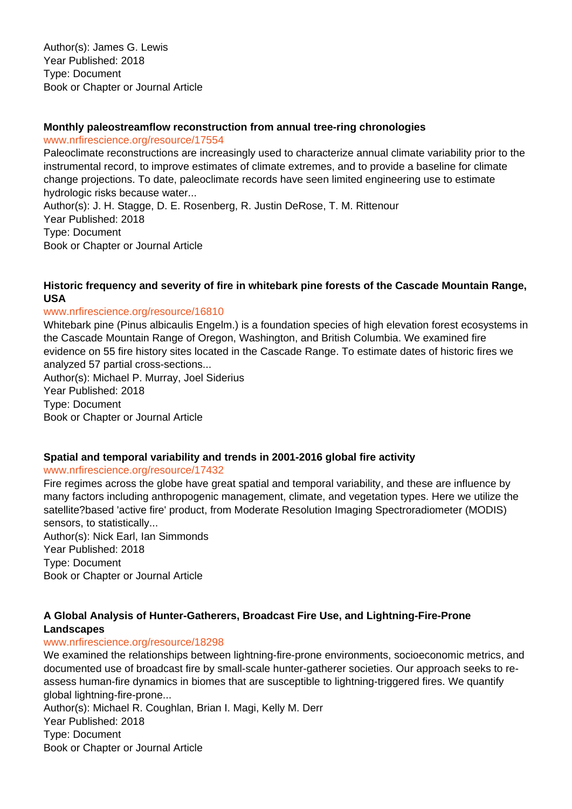Author(s): James G. Lewis Year Published: 2018 Type: Document Book or Chapter or Journal Article

## **Monthly paleostreamflow reconstruction from annual tree-ring chronologies**

www.nrfirescience.org/resource/17554

Paleoclimate reconstructions are increasingly used to characterize annual climate variability prior to the instrumental record, to improve estimates of climate extremes, and to provide a baseline for climate change projections. To date, paleoclimate records have seen limited engineering use to estimate hydrologic risks because water... Author(s): J. H. Stagge, D. E. Rosenberg, R. Justin DeRose, T. M. Rittenour

Year Published: 2018 Type: Document Book or Chapter or Journal Article

## **Historic frequency and severity of fire in whitebark pine forests of the Cascade Mountain Range, USA**

## www.nrfirescience.org/resource/16810

Whitebark pine (Pinus albicaulis Engelm.) is a foundation species of high elevation forest ecosystems in the Cascade Mountain Range of Oregon, Washington, and British Columbia. We examined fire evidence on 55 fire history sites located in the Cascade Range. To estimate dates of historic fires we analyzed 57 partial cross-sections...

Author(s): Michael P. Murray, Joel Siderius Year Published: 2018 Type: Document Book or Chapter or Journal Article

## **Spatial and temporal variability and trends in 2001-2016 global fire activity**

## www.nrfirescience.org/resource/17432

Fire regimes across the globe have great spatial and temporal variability, and these are influence by many factors including anthropogenic management, climate, and vegetation types. Here we utilize the satellite?based 'active fire' product, from Moderate Resolution Imaging Spectroradiometer (MODIS) sensors, to statistically...

Author(s): Nick Earl, Ian Simmonds Year Published: 2018 Type: Document Book or Chapter or Journal Article

# **A Global Analysis of Hunter-Gatherers, Broadcast Fire Use, and Lightning-Fire-Prone Landscapes**

## www.nrfirescience.org/resource/18298

We examined the relationships between lightning-fire-prone environments, socioeconomic metrics, and documented use of broadcast fire by small-scale hunter-gatherer societies. Our approach seeks to reassess human-fire dynamics in biomes that are susceptible to lightning-triggered fires. We quantify global lightning-fire-prone...

Author(s): Michael R. Coughlan, Brian I. Magi, Kelly M. Derr Year Published: 2018 Type: Document Book or Chapter or Journal Article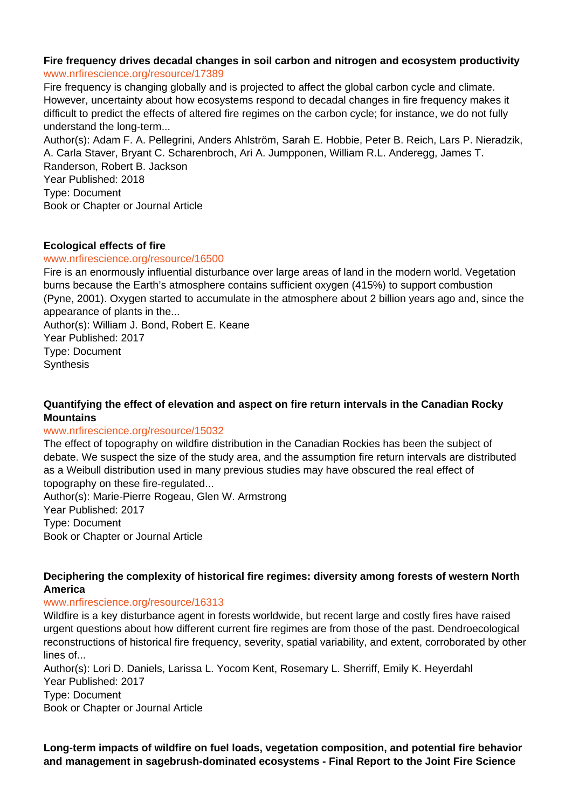#### **Fire frequency drives decadal changes in soil carbon and nitrogen and ecosystem productivity** www.nrfirescience.org/resource/17389

Fire frequency is changing globally and is projected to affect the global carbon cycle and climate. However, uncertainty about how ecosystems respond to decadal changes in fire frequency makes it difficult to predict the effects of altered fire regimes on the carbon cycle; for instance, we do not fully understand the long-term...

Author(s): Adam F. A. Pellegrini, Anders Ahlström, Sarah E. Hobbie, Peter B. Reich, Lars P. Nieradzik, A. Carla Staver, Bryant C. Scharenbroch, Ari A. Jumpponen, William R.L. Anderegg, James T. Randerson, Robert B. Jackson Year Published: 2018 Type: Document Book or Chapter or Journal Article

# **Ecological effects of fire**

## www.nrfirescience.org/resource/16500

Fire is an enormously influential disturbance over large areas of land in the modern world. Vegetation burns because the Earth's atmosphere contains sufficient oxygen (415%) to support combustion (Pyne, 2001). Oxygen started to accumulate in the atmosphere about 2 billion years ago and, since the appearance of plants in the...

Author(s): William J. Bond, Robert E. Keane Year Published: 2017 Type: Document **Synthesis** 

# **Quantifying the effect of elevation and aspect on fire return intervals in the Canadian Rocky Mountains**

# www.nrfirescience.org/resource/15032

The effect of topography on wildfire distribution in the Canadian Rockies has been the subject of debate. We suspect the size of the study area, and the assumption fire return intervals are distributed as a Weibull distribution used in many previous studies may have obscured the real effect of topography on these fire-regulated...

Author(s): Marie-Pierre Rogeau, Glen W. Armstrong Year Published: 2017 Type: Document Book or Chapter or Journal Article

## **Deciphering the complexity of historical fire regimes: diversity among forests of western North America**

## www.nrfirescience.org/resource/16313

Wildfire is a key disturbance agent in forests worldwide, but recent large and costly fires have raised urgent questions about how different current fire regimes are from those of the past. Dendroecological reconstructions of historical fire frequency, severity, spatial variability, and extent, corroborated by other lines of...

Author(s): Lori D. Daniels, Larissa L. Yocom Kent, Rosemary L. Sherriff, Emily K. Heyerdahl Year Published: 2017

Type: Document

Book or Chapter or Journal Article

**Long-term impacts of wildfire on fuel loads, vegetation composition, and potential fire behavior and management in sagebrush-dominated ecosystems - Final Report to the Joint Fire Science**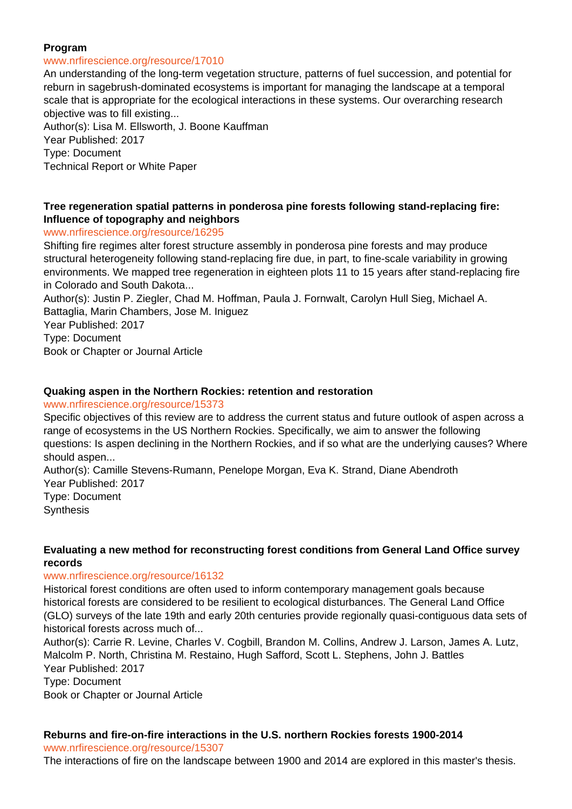## **Program**

#### www.nrfirescience.org/resource/17010

An understanding of the long-term vegetation structure, patterns of fuel succession, and potential for reburn in sagebrush-dominated ecosystems is important for managing the landscape at a temporal scale that is appropriate for the ecological interactions in these systems. Our overarching research objective was to fill existing...

Author(s): Lisa M. Ellsworth, J. Boone Kauffman Year Published: 2017 Type: Document

Technical Report or White Paper

## **Tree regeneration spatial patterns in ponderosa pine forests following stand-replacing fire: Influence of topography and neighbors**

## www.nrfirescience.org/resource/16295

Shifting fire regimes alter forest structure assembly in ponderosa pine forests and may produce structural heterogeneity following stand-replacing fire due, in part, to fine-scale variability in growing environments. We mapped tree regeneration in eighteen plots 11 to 15 years after stand-replacing fire in Colorado and South Dakota...

Author(s): Justin P. Ziegler, Chad M. Hoffman, Paula J. Fornwalt, Carolyn Hull Sieg, Michael A. Battaglia, Marin Chambers, Jose M. Iniguez

Year Published: 2017

Type: Document

Book or Chapter or Journal Article

## **Quaking aspen in the Northern Rockies: retention and restoration**

#### www.nrfirescience.org/resource/15373

Specific objectives of this review are to address the current status and future outlook of aspen across a range of ecosystems in the US Northern Rockies. Specifically, we aim to answer the following questions: Is aspen declining in the Northern Rockies, and if so what are the underlying causes? Where should aspen...

Author(s): Camille Stevens-Rumann, Penelope Morgan, Eva K. Strand, Diane Abendroth Year Published: 2017

Type: Document **Synthesis** 

## **Evaluating a new method for reconstructing forest conditions from General Land Office survey records**

## www.nrfirescience.org/resource/16132

Historical forest conditions are often used to inform contemporary management goals because historical forests are considered to be resilient to ecological disturbances. The General Land Office (GLO) surveys of the late 19th and early 20th centuries provide regionally quasi-contiguous data sets of historical forests across much of...

Author(s): Carrie R. Levine, Charles V. Cogbill, Brandon M. Collins, Andrew J. Larson, James A. Lutz, Malcolm P. North, Christina M. Restaino, Hugh Safford, Scott L. Stephens, John J. Battles Year Published: 2017

Type: Document

Book or Chapter or Journal Article

# **Reburns and fire-on-fire interactions in the U.S. northern Rockies forests 1900-2014**

www.nrfirescience.org/resource/15307

The interactions of fire on the landscape between 1900 and 2014 are explored in this master's thesis.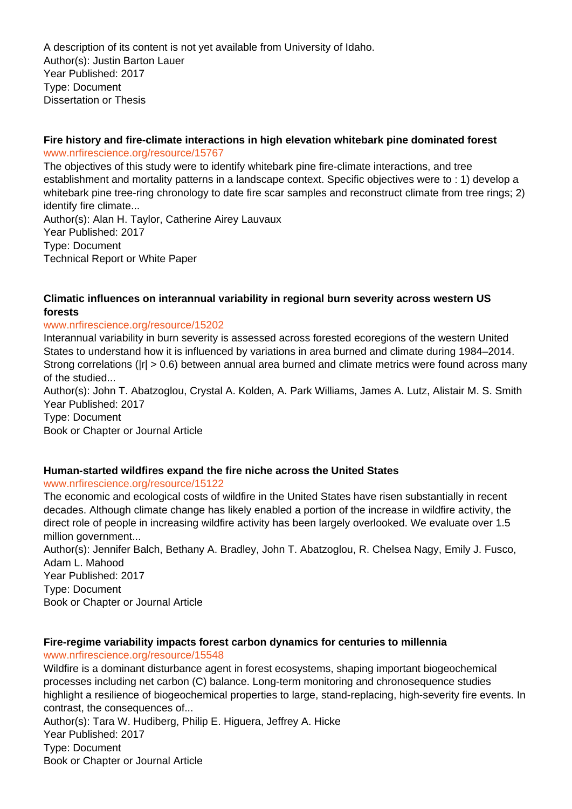A description of its content is not yet available from University of Idaho. Author(s): Justin Barton Lauer Year Published: 2017 Type: Document Dissertation or Thesis

## **Fire history and fire-climate interactions in high elevation whitebark pine dominated forest** www.nrfirescience.org/resource/15767

The objectives of this study were to identify whitebark pine fire-climate interactions, and tree establishment and mortality patterns in a landscape context. Specific objectives were to : 1) develop a whitebark pine tree-ring chronology to date fire scar samples and reconstruct climate from tree rings; 2) identify fire climate...

Author(s): Alan H. Taylor, Catherine Airey Lauvaux Year Published: 2017 Type: Document Technical Report or White Paper

## **Climatic influences on interannual variability in regional burn severity across western US forests**

## www.nrfirescience.org/resource/15202

Interannual variability in burn severity is assessed across forested ecoregions of the western United States to understand how it is influenced by variations in area burned and climate during 1984–2014. Strong correlations ( $|r| > 0.6$ ) between annual area burned and climate metrics were found across many of the studied...

Author(s): John T. Abatzoglou, Crystal A. Kolden, A. Park Williams, James A. Lutz, Alistair M. S. Smith Year Published: 2017

Type: Document

Book or Chapter or Journal Article

# **Human-started wildfires expand the fire niche across the United States**

www.nrfirescience.org/resource/15122

The economic and ecological costs of wildfire in the United States have risen substantially in recent decades. Although climate change has likely enabled a portion of the increase in wildfire activity, the direct role of people in increasing wildfire activity has been largely overlooked. We evaluate over 1.5 million government...

Author(s): Jennifer Balch, Bethany A. Bradley, John T. Abatzoglou, R. Chelsea Nagy, Emily J. Fusco, Adam L. Mahood Year Published: 2017

Type: Document Book or Chapter or Journal Article

# **Fire-regime variability impacts forest carbon dynamics for centuries to millennia**

www.nrfirescience.org/resource/15548 Wildfire is a dominant disturbance agent in forest ecosystems, shaping important biogeochemical processes including net carbon (C) balance. Long-term monitoring and chronosequence studies highlight a resilience of biogeochemical properties to large, stand-replacing, high-severity fire events. In contrast, the consequences of...

Author(s): Tara W. Hudiberg, Philip E. Higuera, Jeffrey A. Hicke Year Published: 2017 Type: Document Book or Chapter or Journal Article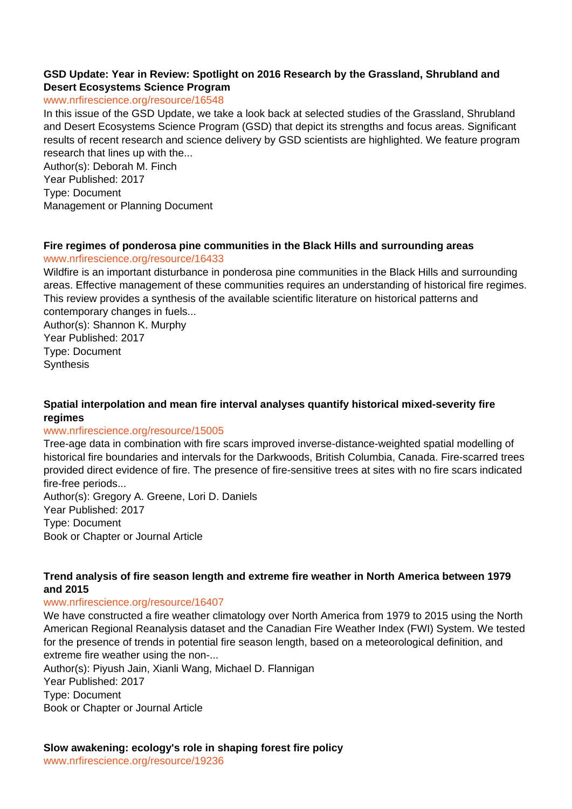## **GSD Update: Year in Review: Spotlight on 2016 Research by the Grassland, Shrubland and Desert Ecosystems Science Program**

## www.nrfirescience.org/resource/16548

In this issue of the GSD Update, we take a look back at selected studies of the Grassland, Shrubland and Desert Ecosystems Science Program (GSD) that depict its strengths and focus areas. Significant results of recent research and science delivery by GSD scientists are highlighted. We feature program research that lines up with the...

Author(s): Deborah M. Finch Year Published: 2017 Type: Document Management or Planning Document

## **Fire regimes of ponderosa pine communities in the Black Hills and surrounding areas**

## www.nrfirescience.org/resource/16433

Wildfire is an important disturbance in ponderosa pine communities in the Black Hills and surrounding areas. Effective management of these communities requires an understanding of historical fire regimes. This review provides a synthesis of the available scientific literature on historical patterns and contemporary changes in fuels...

Author(s): Shannon K. Murphy Year Published: 2017 Type: Document **Synthesis** 

## **Spatial interpolation and mean fire interval analyses quantify historical mixed-severity fire regimes**

## www.nrfirescience.org/resource/15005

Tree-age data in combination with fire scars improved inverse-distance-weighted spatial modelling of historical fire boundaries and intervals for the Darkwoods, British Columbia, Canada. Fire-scarred trees provided direct evidence of fire. The presence of fire-sensitive trees at sites with no fire scars indicated fire-free periods...

Author(s): Gregory A. Greene, Lori D. Daniels Year Published: 2017 Type: Document Book or Chapter or Journal Article

## **Trend analysis of fire season length and extreme fire weather in North America between 1979 and 2015**

## www.nrfirescience.org/resource/16407

We have constructed a fire weather climatology over North America from 1979 to 2015 using the North American Regional Reanalysis dataset and the Canadian Fire Weather Index (FWI) System. We tested for the presence of trends in potential fire season length, based on a meteorological definition, and extreme fire weather using the non-...

Author(s): Piyush Jain, Xianli Wang, Michael D. Flannigan Year Published: 2017 Type: Document Book or Chapter or Journal Article

**Slow awakening: ecology's role in shaping forest fire policy**

www.nrfirescience.org/resource/19236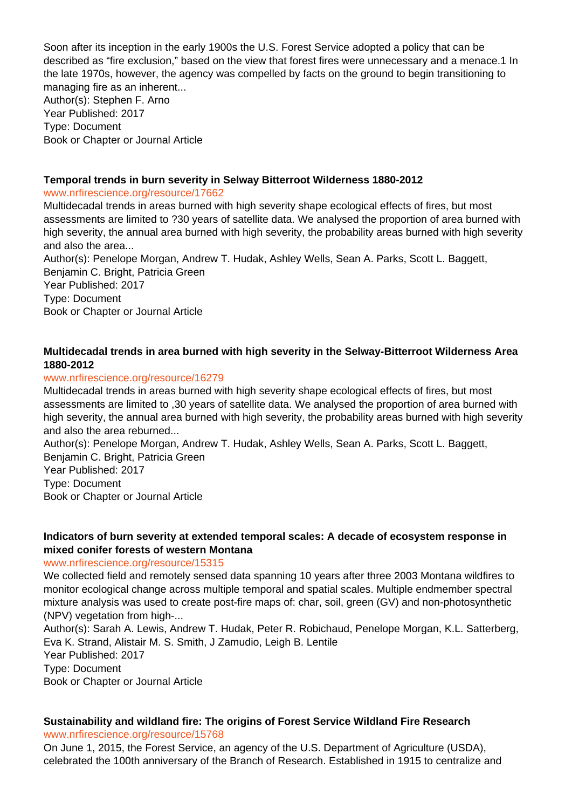Soon after its inception in the early 1900s the U.S. Forest Service adopted a policy that can be described as "fire exclusion," based on the view that forest fires were unnecessary and a menace.1 In the late 1970s, however, the agency was compelled by facts on the ground to begin transitioning to managing fire as an inherent... Author(s): Stephen F. Arno Year Published: 2017

Type: Document Book or Chapter or Journal Article

# **Temporal trends in burn severity in Selway Bitterroot Wilderness 1880-2012**

## www.nrfirescience.org/resource/17662

Multidecadal trends in areas burned with high severity shape ecological effects of fires, but most assessments are limited to ?30 years of satellite data. We analysed the proportion of area burned with high severity, the annual area burned with high severity, the probability areas burned with high severity and also the area...

Author(s): Penelope Morgan, Andrew T. Hudak, Ashley Wells, Sean A. Parks, Scott L. Baggett, Benjamin C. Bright, Patricia Green Year Published: 2017

Type: Document Book or Chapter or Journal Article

# **Multidecadal trends in area burned with high severity in the Selway-Bitterroot Wilderness Area 1880-2012**

## www.nrfirescience.org/resource/16279

Multidecadal trends in areas burned with high severity shape ecological effects of fires, but most assessments are limited to ,30 years of satellite data. We analysed the proportion of area burned with high severity, the annual area burned with high severity, the probability areas burned with high severity and also the area reburned...

Author(s): Penelope Morgan, Andrew T. Hudak, Ashley Wells, Sean A. Parks, Scott L. Baggett, Benjamin C. Bright, Patricia Green Year Published: 2017 Type: Document Book or Chapter or Journal Article

## **Indicators of burn severity at extended temporal scales: A decade of ecosystem response in mixed conifer forests of western Montana**

# www.nrfirescience.org/resource/15315

We collected field and remotely sensed data spanning 10 years after three 2003 Montana wildfires to monitor ecological change across multiple temporal and spatial scales. Multiple endmember spectral mixture analysis was used to create post-fire maps of: char, soil, green (GV) and non-photosynthetic (NPV) vegetation from high-...

Author(s): Sarah A. Lewis, Andrew T. Hudak, Peter R. Robichaud, Penelope Morgan, K.L. Satterberg, Eva K. Strand, Alistair M. S. Smith, J Zamudio, Leigh B. Lentile Year Published: 2017 Type: Document

Book or Chapter or Journal Article

# **Sustainability and wildland fire: The origins of Forest Service Wildland Fire Research**

www.nrfirescience.org/resource/15768

On June 1, 2015, the Forest Service, an agency of the U.S. Department of Agriculture (USDA), celebrated the 100th anniversary of the Branch of Research. Established in 1915 to centralize and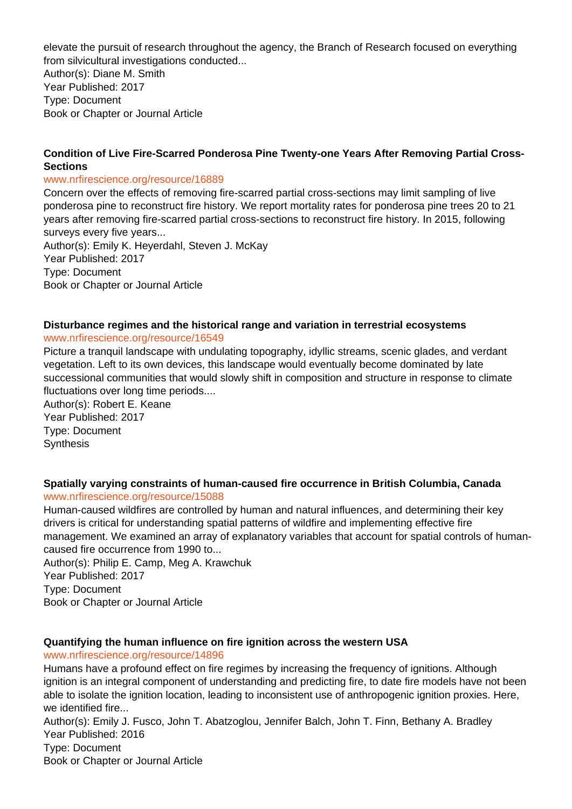elevate the pursuit of research throughout the agency, the Branch of Research focused on everything from silvicultural investigations conducted...

Author(s): Diane M. Smith Year Published: 2017 Type: Document Book or Chapter or Journal Article

## **Condition of Live Fire-Scarred Ponderosa Pine Twenty-one Years After Removing Partial Cross-Sections**

## www.nrfirescience.org/resource/16889

Concern over the effects of removing fire-scarred partial cross-sections may limit sampling of live ponderosa pine to reconstruct fire history. We report mortality rates for ponderosa pine trees 20 to 21 years after removing fire-scarred partial cross-sections to reconstruct fire history. In 2015, following surveys every five years... Author(s): Emily K. Heyerdahl, Steven J. McKay Year Published: 2017 Type: Document

Book or Chapter or Journal Article

# **Disturbance regimes and the historical range and variation in terrestrial ecosystems**

## www.nrfirescience.org/resource/16549

Picture a tranquil landscape with undulating topography, idyllic streams, scenic glades, and verdant vegetation. Left to its own devices, this landscape would eventually become dominated by late successional communities that would slowly shift in composition and structure in response to climate fluctuations over long time periods....

Author(s): Robert E. Keane Year Published: 2017 Type: Document **Synthesis** 

# **Spatially varying constraints of human-caused fire occurrence in British Columbia, Canada**

## www.nrfirescience.org/resource/15088

Human-caused wildfires are controlled by human and natural influences, and determining their key drivers is critical for understanding spatial patterns of wildfire and implementing effective fire management. We examined an array of explanatory variables that account for spatial controls of humancaused fire occurrence from 1990 to...

Author(s): Philip E. Camp, Meg A. Krawchuk Year Published: 2017 Type: Document Book or Chapter or Journal Article

# **Quantifying the human influence on fire ignition across the western USA**

www.nrfirescience.org/resource/14896

Humans have a profound effect on fire regimes by increasing the frequency of ignitions. Although ignition is an integral component of understanding and predicting fire, to date fire models have not been able to isolate the ignition location, leading to inconsistent use of anthropogenic ignition proxies. Here, we identified fire...

Author(s): Emily J. Fusco, John T. Abatzoglou, Jennifer Balch, John T. Finn, Bethany A. Bradley Year Published: 2016 Type: Document Book or Chapter or Journal Article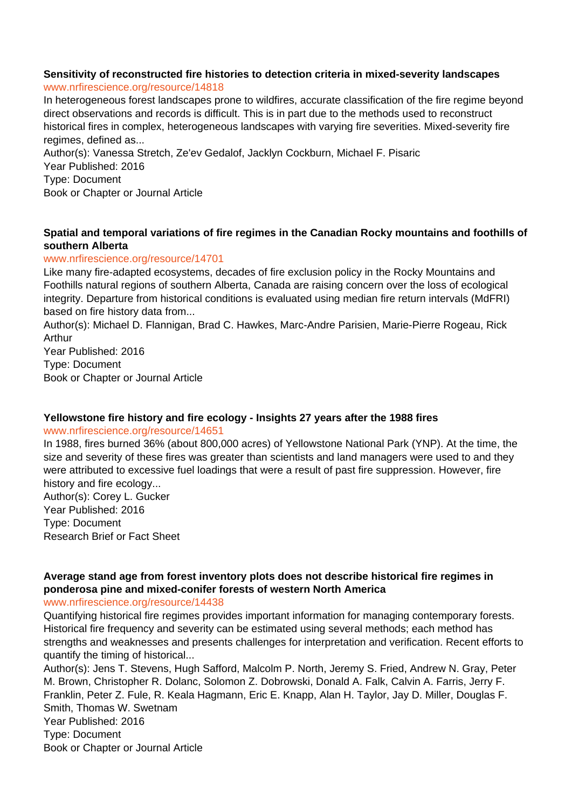# **Sensitivity of reconstructed fire histories to detection criteria in mixed-severity landscapes**

## www.nrfirescience.org/resource/14818

In heterogeneous forest landscapes prone to wildfires, accurate classification of the fire regime beyond direct observations and records is difficult. This is in part due to the methods used to reconstruct historical fires in complex, heterogeneous landscapes with varying fire severities. Mixed-severity fire regimes, defined as...

Author(s): Vanessa Stretch, Ze'ev Gedalof, Jacklyn Cockburn, Michael F. Pisaric Year Published: 2016 Type: Document Book or Chapter or Journal Article

# **Spatial and temporal variations of fire regimes in the Canadian Rocky mountains and foothills of southern Alberta**

## www.nrfirescience.org/resource/14701

Like many fire-adapted ecosystems, decades of fire exclusion policy in the Rocky Mountains and Foothills natural regions of southern Alberta, Canada are raising concern over the loss of ecological integrity. Departure from historical conditions is evaluated using median fire return intervals (MdFRI) based on fire history data from...

Author(s): Michael D. Flannigan, Brad C. Hawkes, Marc-Andre Parisien, Marie-Pierre Rogeau, Rick Arthur

Year Published: 2016 Type: Document Book or Chapter or Journal Article

# **Yellowstone fire history and fire ecology - Insights 27 years after the 1988 fires**

## www.nrfirescience.org/resource/14651

In 1988, fires burned 36% (about 800,000 acres) of Yellowstone National Park (YNP). At the time, the size and severity of these fires was greater than scientists and land managers were used to and they were attributed to excessive fuel loadings that were a result of past fire suppression. However, fire history and fire ecology...

Author(s): Corey L. Gucker Year Published: 2016 Type: Document Research Brief or Fact Sheet

# **Average stand age from forest inventory plots does not describe historical fire regimes in ponderosa pine and mixed-conifer forests of western North America**

www.nrfirescience.org/resource/14438

Quantifying historical fire regimes provides important information for managing contemporary forests. Historical fire frequency and severity can be estimated using several methods; each method has strengths and weaknesses and presents challenges for interpretation and verification. Recent efforts to quantify the timing of historical...

Author(s): Jens T. Stevens, Hugh Safford, Malcolm P. North, Jeremy S. Fried, Andrew N. Gray, Peter M. Brown, Christopher R. Dolanc, Solomon Z. Dobrowski, Donald A. Falk, Calvin A. Farris, Jerry F. Franklin, Peter Z. Fule, R. Keala Hagmann, Eric E. Knapp, Alan H. Taylor, Jay D. Miller, Douglas F. Smith, Thomas W. Swetnam Year Published: 2016 Type: Document Book or Chapter or Journal Article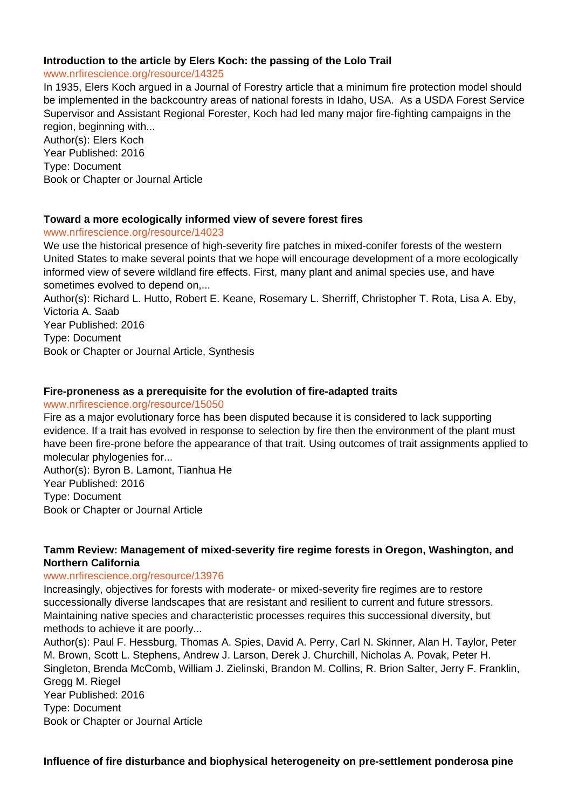## **Introduction to the article by Elers Koch: the passing of the Lolo Trail**

www.nrfirescience.org/resource/14325

In 1935, Elers Koch argued in a Journal of Forestry article that a minimum fire protection model should be implemented in the backcountry areas of national forests in Idaho, USA. As a USDA Forest Service Supervisor and Assistant Regional Forester, Koch had led many major fire-fighting campaigns in the region, beginning with...

Author(s): Elers Koch Year Published: 2016 Type: Document Book or Chapter or Journal Article

## **Toward a more ecologically informed view of severe forest fires**

www.nrfirescience.org/resource/14023

We use the historical presence of high-severity fire patches in mixed-conifer forests of the western United States to make several points that we hope will encourage development of a more ecologically informed view of severe wildland fire effects. First, many plant and animal species use, and have sometimes evolved to depend on,...

Author(s): Richard L. Hutto, Robert E. Keane, Rosemary L. Sherriff, Christopher T. Rota, Lisa A. Eby, Victoria A. Saab

Year Published: 2016

Type: Document

Book or Chapter or Journal Article, Synthesis

## **Fire-proneness as a prerequisite for the evolution of fire-adapted traits**

#### www.nrfirescience.org/resource/15050

Fire as a major evolutionary force has been disputed because it is considered to lack supporting evidence. If a trait has evolved in response to selection by fire then the environment of the plant must have been fire-prone before the appearance of that trait. Using outcomes of trait assignments applied to molecular phylogenies for...

Author(s): Byron B. Lamont, Tianhua He Year Published: 2016 Type: Document Book or Chapter or Journal Article

# **Tamm Review: Management of mixed-severity fire regime forests in Oregon, Washington, and Northern California**

## www.nrfirescience.org/resource/13976

Increasingly, objectives for forests with moderate- or mixed-severity fire regimes are to restore successionally diverse landscapes that are resistant and resilient to current and future stressors. Maintaining native species and characteristic processes requires this successional diversity, but methods to achieve it are poorly...

Author(s): Paul F. Hessburg, Thomas A. Spies, David A. Perry, Carl N. Skinner, Alan H. Taylor, Peter M. Brown, Scott L. Stephens, Andrew J. Larson, Derek J. Churchill, Nicholas A. Povak, Peter H. Singleton, Brenda McComb, William J. Zielinski, Brandon M. Collins, R. Brion Salter, Jerry F. Franklin, Gregg M. Riegel Year Published: 2016 Type: Document Book or Chapter or Journal Article

**Influence of fire disturbance and biophysical heterogeneity on pre-settlement ponderosa pine**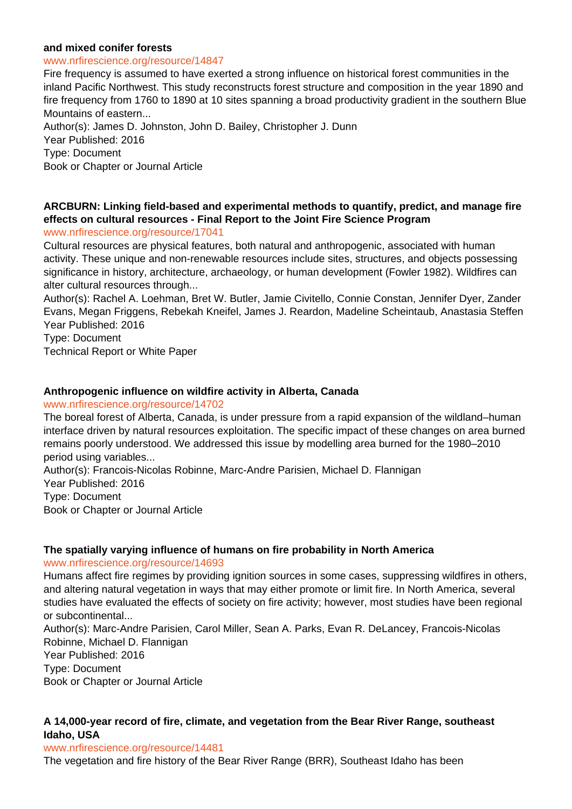## **and mixed conifer forests**

#### www.nrfirescience.org/resource/14847

Fire frequency is assumed to have exerted a strong influence on historical forest communities in the inland Pacific Northwest. This study reconstructs forest structure and composition in the year 1890 and fire frequency from 1760 to 1890 at 10 sites spanning a broad productivity gradient in the southern Blue Mountains of eastern... Author(s): James D. Johnston, John D. Bailey, Christopher J. Dunn Year Published: 2016 Type: Document

Book or Chapter or Journal Article

# **ARCBURN: Linking field-based and experimental methods to quantify, predict, and manage fire effects on cultural resources - Final Report to the Joint Fire Science Program**

www.nrfirescience.org/resource/17041

Cultural resources are physical features, both natural and anthropogenic, associated with human activity. These unique and non-renewable resources include sites, structures, and objects possessing significance in history, architecture, archaeology, or human development (Fowler 1982). Wildfires can alter cultural resources through...

Author(s): Rachel A. Loehman, Bret W. Butler, Jamie Civitello, Connie Constan, Jennifer Dyer, Zander Evans, Megan Friggens, Rebekah Kneifel, James J. Reardon, Madeline Scheintaub, Anastasia Steffen Year Published: 2016

Type: Document

Technical Report or White Paper

## **Anthropogenic influence on wildfire activity in Alberta, Canada**

#### www.nrfirescience.org/resource/14702

The boreal forest of Alberta, Canada, is under pressure from a rapid expansion of the wildland–human interface driven by natural resources exploitation. The specific impact of these changes on area burned remains poorly understood. We addressed this issue by modelling area burned for the 1980–2010 period using variables...

Author(s): Francois-Nicolas Robinne, Marc-Andre Parisien, Michael D. Flannigan

Year Published: 2016 Type: Document Book or Chapter or Journal Article

## **The spatially varying influence of humans on fire probability in North America**

#### www.nrfirescience.org/resource/14693

Humans affect fire regimes by providing ignition sources in some cases, suppressing wildfires in others, and altering natural vegetation in ways that may either promote or limit fire. In North America, several studies have evaluated the effects of society on fire activity; however, most studies have been regional or subcontinental...

Author(s): Marc-Andre Parisien, Carol Miller, Sean A. Parks, Evan R. DeLancey, Francois-Nicolas Robinne, Michael D. Flannigan

Year Published: 2016 Type: Document

Book or Chapter or Journal Article

# **A 14,000-year record of fire, climate, and vegetation from the Bear River Range, southeast Idaho, USA**

#### www.nrfirescience.org/resource/14481

The vegetation and fire history of the Bear River Range (BRR), Southeast Idaho has been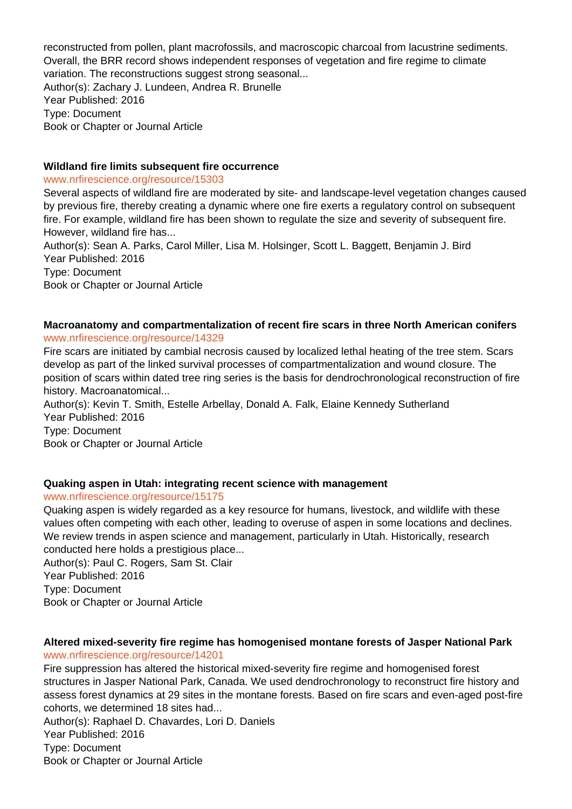reconstructed from pollen, plant macrofossils, and macroscopic charcoal from lacustrine sediments. Overall, the BRR record shows independent responses of vegetation and fire regime to climate variation. The reconstructions suggest strong seasonal... Author(s): Zachary J. Lundeen, Andrea R. Brunelle Year Published: 2016 Type: Document Book or Chapter or Journal Article

#### **Wildland fire limits subsequent fire occurrence**

#### www.nrfirescience.org/resource/15303

Several aspects of wildland fire are moderated by site- and landscape-level vegetation changes caused by previous fire, thereby creating a dynamic where one fire exerts a regulatory control on subsequent fire. For example, wildland fire has been shown to regulate the size and severity of subsequent fire. However, wildland fire has... Author(s): Sean A. Parks, Carol Miller, Lisa M. Holsinger, Scott L. Baggett, Benjamin J. Bird Year Published: 2016

Type: Document Book or Chapter or Journal Article

## **Macroanatomy and compartmentalization of recent fire scars in three North American conifers** www.nrfirescience.org/resource/14329

Fire scars are initiated by cambial necrosis caused by localized lethal heating of the tree stem. Scars develop as part of the linked survival processes of compartmentalization and wound closure. The position of scars within dated tree ring series is the basis for dendrochronological reconstruction of fire history. Macroanatomical...

Author(s): Kevin T. Smith, Estelle Arbellay, Donald A. Falk, Elaine Kennedy Sutherland Year Published: 2016 Type: Document

Book or Chapter or Journal Article

## **Quaking aspen in Utah: integrating recent science with management**

#### www.nrfirescience.org/resource/15175

Quaking aspen is widely regarded as a key resource for humans, livestock, and wildlife with these values often competing with each other, leading to overuse of aspen in some locations and declines. We review trends in aspen science and management, particularly in Utah. Historically, research conducted here holds a prestigious place...

Author(s): Paul C. Rogers, Sam St. Clair Year Published: 2016 Type: Document Book or Chapter or Journal Article

## **Altered mixed-severity fire regime has homogenised montane forests of Jasper National Park** www.nrfirescience.org/resource/14201

Fire suppression has altered the historical mixed-severity fire regime and homogenised forest structures in Jasper National Park, Canada. We used dendrochronology to reconstruct fire history and assess forest dynamics at 29 sites in the montane forests. Based on fire scars and even-aged post-fire cohorts, we determined 18 sites had...

Author(s): Raphael D. Chavardes, Lori D. Daniels Year Published: 2016 Type: Document Book or Chapter or Journal Article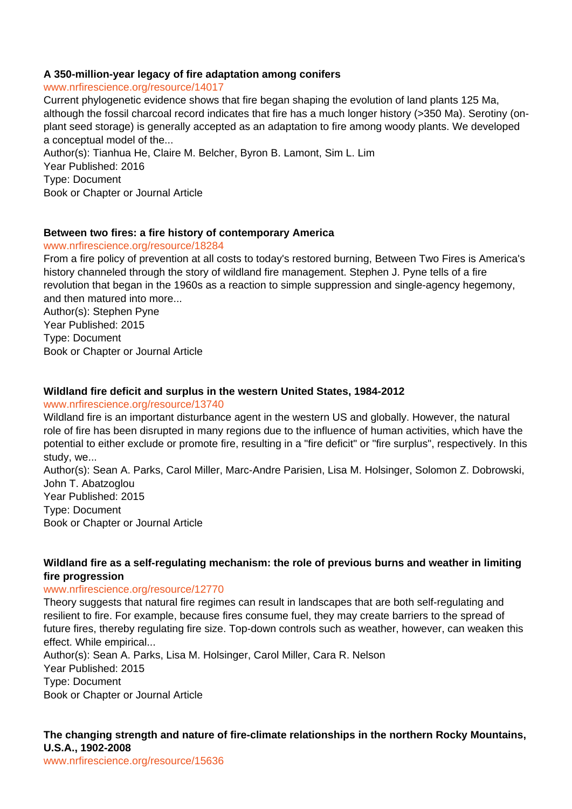## **A 350-million-year legacy of fire adaptation among conifers**

www.nrfirescience.org/resource/14017

Current phylogenetic evidence shows that fire began shaping the evolution of land plants 125 Ma, although the fossil charcoal record indicates that fire has a much longer history (>350 Ma). Serotiny (onplant seed storage) is generally accepted as an adaptation to fire among woody plants. We developed a conceptual model of the...

Author(s): Tianhua He, Claire M. Belcher, Byron B. Lamont, Sim L. Lim Year Published: 2016 Type: Document Book or Chapter or Journal Article

## **Between two fires: a fire history of contemporary America**

#### www.nrfirescience.org/resource/18284

From a fire policy of prevention at all costs to today's restored burning, Between Two Fires is America's history channeled through the story of wildland fire management. Stephen J. Pyne tells of a fire revolution that began in the 1960s as a reaction to simple suppression and single-agency hegemony, and then matured into more...

Author(s): Stephen Pyne Year Published: 2015 Type: Document Book or Chapter or Journal Article

## **Wildland fire deficit and surplus in the western United States, 1984-2012**

#### www.nrfirescience.org/resource/13740

Wildland fire is an important disturbance agent in the western US and globally. However, the natural role of fire has been disrupted in many regions due to the influence of human activities, which have the potential to either exclude or promote fire, resulting in a "fire deficit" or "fire surplus", respectively. In this study, we...

Author(s): Sean A. Parks, Carol Miller, Marc-Andre Parisien, Lisa M. Holsinger, Solomon Z. Dobrowski, John T. Abatzoglou

Year Published: 2015 Type: Document Book or Chapter or Journal Article

## **Wildland fire as a self-regulating mechanism: the role of previous burns and weather in limiting fire progression**

#### www.nrfirescience.org/resource/12770

Theory suggests that natural fire regimes can result in landscapes that are both self-regulating and resilient to fire. For example, because fires consume fuel, they may create barriers to the spread of future fires, thereby regulating fire size. Top-down controls such as weather, however, can weaken this effect. While empirical...

Author(s): Sean A. Parks, Lisa M. Holsinger, Carol Miller, Cara R. Nelson Year Published: 2015 Type: Document Book or Chapter or Journal Article

# **The changing strength and nature of fire-climate relationships in the northern Rocky Mountains, U.S.A., 1902-2008**

www.nrfirescience.org/resource/15636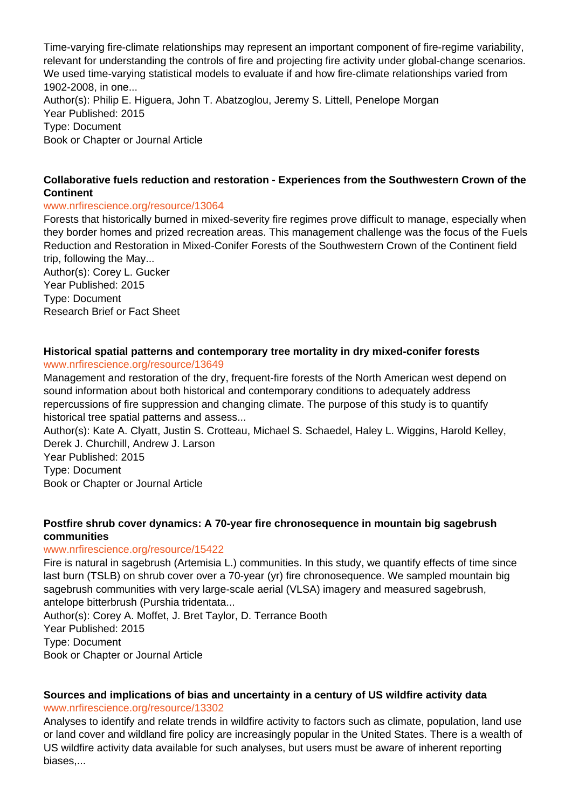Time-varying fire-climate relationships may represent an important component of fire-regime variability, relevant for understanding the controls of fire and projecting fire activity under global-change scenarios. We used time-varying statistical models to evaluate if and how fire-climate relationships varied from 1902-2008, in one... Author(s): Philip E. Higuera, John T. Abatzoglou, Jeremy S. Littell, Penelope Morgan Year Published: 2015 Type: Document Book or Chapter or Journal Article

# **Collaborative fuels reduction and restoration - Experiences from the Southwestern Crown of the Continent**

## www.nrfirescience.org/resource/13064

Forests that historically burned in mixed-severity fire regimes prove difficult to manage, especially when they border homes and prized recreation areas. This management challenge was the focus of the Fuels Reduction and Restoration in Mixed-Conifer Forests of the Southwestern Crown of the Continent field trip, following the May...

Author(s): Corey L. Gucker Year Published: 2015 Type: Document Research Brief or Fact Sheet

# **Historical spatial patterns and contemporary tree mortality in dry mixed-conifer forests**

www.nrfirescience.org/resource/13649

Management and restoration of the dry, frequent-fire forests of the North American west depend on sound information about both historical and contemporary conditions to adequately address repercussions of fire suppression and changing climate. The purpose of this study is to quantify historical tree spatial patterns and assess...

Author(s): Kate A. Clyatt, Justin S. Crotteau, Michael S. Schaedel, Haley L. Wiggins, Harold Kelley, Derek J. Churchill, Andrew J. Larson

Year Published: 2015 Type: Document

Book or Chapter or Journal Article

## **Postfire shrub cover dynamics: A 70-year fire chronosequence in mountain big sagebrush communities**

## www.nrfirescience.org/resource/15422

Fire is natural in sagebrush (Artemisia L.) communities. In this study, we quantify effects of time since last burn (TSLB) on shrub cover over a 70-year (yr) fire chronosequence. We sampled mountain big sagebrush communities with very large-scale aerial (VLSA) imagery and measured sagebrush, antelope bitterbrush (Purshia tridentata...

Author(s): Corey A. Moffet, J. Bret Taylor, D. Terrance Booth Year Published: 2015 Type: Document Book or Chapter or Journal Article

# **Sources and implications of bias and uncertainty in a century of US wildfire activity data** www.nrfirescience.org/resource/13302

Analyses to identify and relate trends in wildfire activity to factors such as climate, population, land use or land cover and wildland fire policy are increasingly popular in the United States. There is a wealth of US wildfire activity data available for such analyses, but users must be aware of inherent reporting biases,...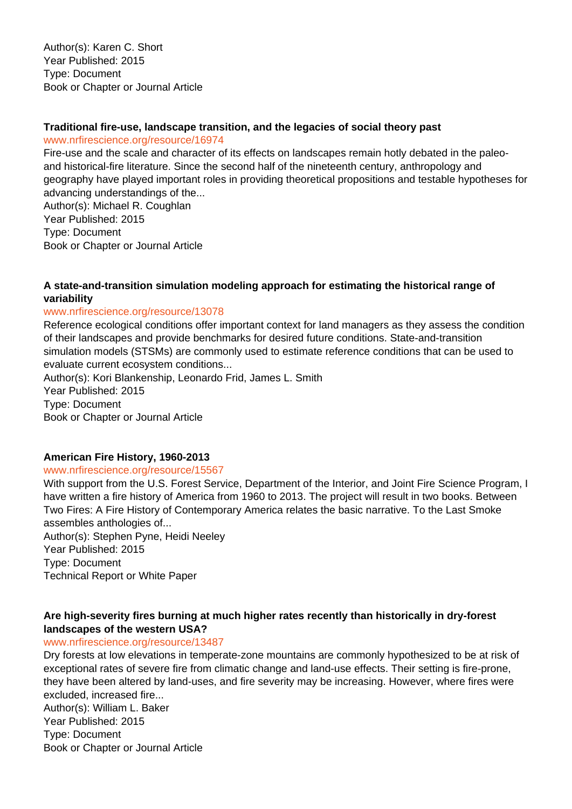Author(s): Karen C. Short Year Published: 2015 Type: Document Book or Chapter or Journal Article

## **Traditional fire-use, landscape transition, and the legacies of social theory past**

www.nrfirescience.org/resource/16974

Fire-use and the scale and character of its effects on landscapes remain hotly debated in the paleoand historical-fire literature. Since the second half of the nineteenth century, anthropology and geography have played important roles in providing theoretical propositions and testable hypotheses for advancing understandings of the...

Author(s): Michael R. Coughlan Year Published: 2015 Type: Document Book or Chapter or Journal Article

# **A state-and-transition simulation modeling approach for estimating the historical range of variability**

## www.nrfirescience.org/resource/13078

Reference ecological conditions offer important context for land managers as they assess the condition of their landscapes and provide benchmarks for desired future conditions. State-and-transition simulation models (STSMs) are commonly used to estimate reference conditions that can be used to evaluate current ecosystem conditions...

Author(s): Kori Blankenship, Leonardo Frid, James L. Smith Year Published: 2015 Type: Document Book or Chapter or Journal Article

## **American Fire History, 1960-2013**

## www.nrfirescience.org/resource/15567

With support from the U.S. Forest Service, Department of the Interior, and Joint Fire Science Program, I have written a fire history of America from 1960 to 2013. The project will result in two books. Between Two Fires: A Fire History of Contemporary America relates the basic narrative. To the Last Smoke assembles anthologies of...

Author(s): Stephen Pyne, Heidi Neeley Year Published: 2015 Type: Document Technical Report or White Paper

# **Are high-severity fires burning at much higher rates recently than historically in dry-forest landscapes of the western USA?**

## www.nrfirescience.org/resource/13487

Dry forests at low elevations in temperate-zone mountains are commonly hypothesized to be at risk of exceptional rates of severe fire from climatic change and land-use effects. Their setting is fire-prone, they have been altered by land-uses, and fire severity may be increasing. However, where fires were excluded, increased fire... Author(s): William L. Baker Year Published: 2015 Type: Document Book or Chapter or Journal Article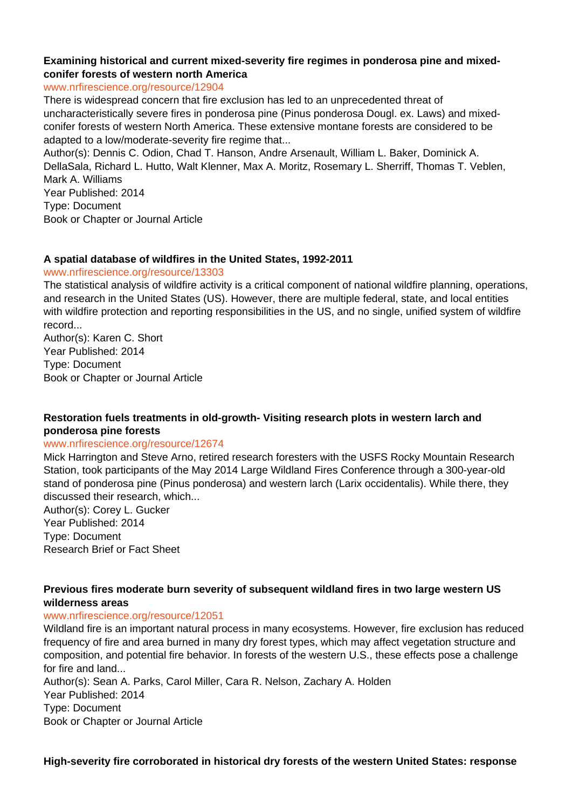## **Examining historical and current mixed-severity fire regimes in ponderosa pine and mixedconifer forests of western north America**

www.nrfirescience.org/resource/12904

There is widespread concern that fire exclusion has led to an unprecedented threat of uncharacteristically severe fires in ponderosa pine (Pinus ponderosa Dougl. ex. Laws) and mixedconifer forests of western North America. These extensive montane forests are considered to be adapted to a low/moderate-severity fire regime that...

Author(s): Dennis C. Odion, Chad T. Hanson, Andre Arsenault, William L. Baker, Dominick A. DellaSala, Richard L. Hutto, Walt Klenner, Max A. Moritz, Rosemary L. Sherriff, Thomas T. Veblen, Mark A. Williams

Year Published: 2014 Type: Document Book or Chapter or Journal Article

## **A spatial database of wildfires in the United States, 1992-2011**

## www.nrfirescience.org/resource/13303

The statistical analysis of wildfire activity is a critical component of national wildfire planning, operations, and research in the United States (US). However, there are multiple federal, state, and local entities with wildfire protection and reporting responsibilities in the US, and no single, unified system of wildfire record...

Author(s): Karen C. Short Year Published: 2014 Type: Document Book or Chapter or Journal Article

# **Restoration fuels treatments in old-growth- Visiting research plots in western larch and ponderosa pine forests**

#### www.nrfirescience.org/resource/12674

Mick Harrington and Steve Arno, retired research foresters with the USFS Rocky Mountain Research Station, took participants of the May 2014 Large Wildland Fires Conference through a 300-year-old stand of ponderosa pine (Pinus ponderosa) and western larch (Larix occidentalis). While there, they discussed their research, which...

Author(s): Corey L. Gucker Year Published: 2014 Type: Document Research Brief or Fact Sheet

## **Previous fires moderate burn severity of subsequent wildland fires in two large western US wilderness areas**

## www.nrfirescience.org/resource/12051

Wildland fire is an important natural process in many ecosystems. However, fire exclusion has reduced frequency of fire and area burned in many dry forest types, which may affect vegetation structure and composition, and potential fire behavior. In forests of the western U.S., these effects pose a challenge for fire and land...

Author(s): Sean A. Parks, Carol Miller, Cara R. Nelson, Zachary A. Holden Year Published: 2014 Type: Document

Book or Chapter or Journal Article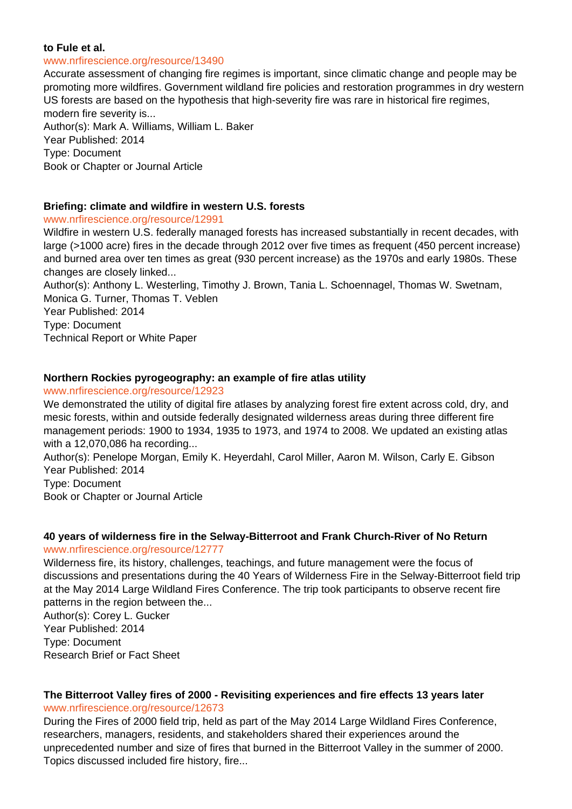#### **to Fule et al.**

#### www.nrfirescience.org/resource/13490

Accurate assessment of changing fire regimes is important, since climatic change and people may be promoting more wildfires. Government wildland fire policies and restoration programmes in dry western US forests are based on the hypothesis that high-severity fire was rare in historical fire regimes, modern fire severity is... Author(s): Mark A. Williams, William L. Baker Year Published: 2014 Type: Document

Book or Chapter or Journal Article

## **Briefing: climate and wildfire in western U.S. forests**

## www.nrfirescience.org/resource/12991

Wildfire in western U.S. federally managed forests has increased substantially in recent decades, with large (>1000 acre) fires in the decade through 2012 over five times as frequent (450 percent increase) and burned area over ten times as great (930 percent increase) as the 1970s and early 1980s. These changes are closely linked...

Author(s): Anthony L. Westerling, Timothy J. Brown, Tania L. Schoennagel, Thomas W. Swetnam, Monica G. Turner, Thomas T. Veblen

Year Published: 2014 Type: Document

Technical Report or White Paper

## **Northern Rockies pyrogeography: an example of fire atlas utility**

www.nrfirescience.org/resource/12923

We demonstrated the utility of digital fire atlases by analyzing forest fire extent across cold, dry, and mesic forests, within and outside federally designated wilderness areas during three different fire management periods: 1900 to 1934, 1935 to 1973, and 1974 to 2008. We updated an existing atlas with a 12,070,086 ha recording...

Author(s): Penelope Morgan, Emily K. Heyerdahl, Carol Miller, Aaron M. Wilson, Carly E. Gibson Year Published: 2014

Type: Document

Book or Chapter or Journal Article

# **40 years of wilderness fire in the Selway-Bitterroot and Frank Church-River of No Return**

## www.nrfirescience.org/resource/12777

Wilderness fire, its history, challenges, teachings, and future management were the focus of discussions and presentations during the 40 Years of Wilderness Fire in the Selway-Bitterroot field trip at the May 2014 Large Wildland Fires Conference. The trip took participants to observe recent fire patterns in the region between the...

Author(s): Corey L. Gucker Year Published: 2014 Type: Document Research Brief or Fact Sheet

# **The Bitterroot Valley fires of 2000 - Revisiting experiences and fire effects 13 years later** www.nrfirescience.org/resource/12673

During the Fires of 2000 field trip, held as part of the May 2014 Large Wildland Fires Conference, researchers, managers, residents, and stakeholders shared their experiences around the unprecedented number and size of fires that burned in the Bitterroot Valley in the summer of 2000. Topics discussed included fire history, fire...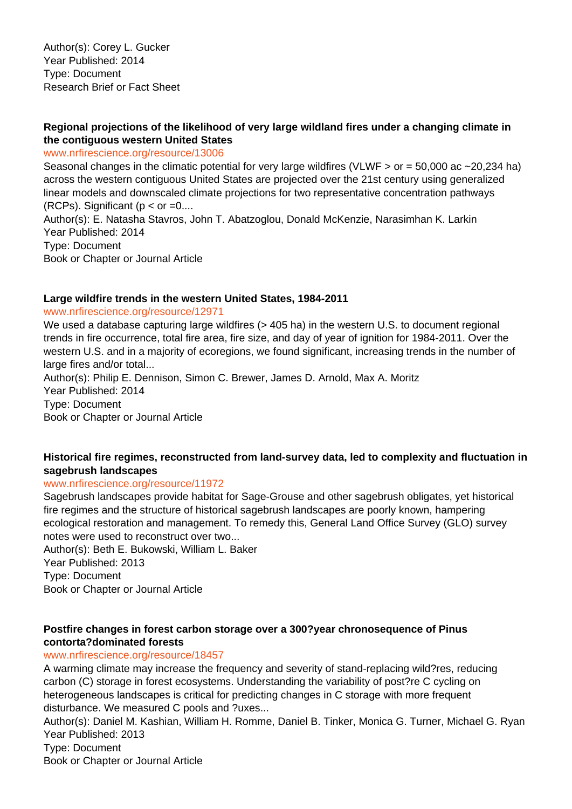# **Regional projections of the likelihood of very large wildland fires under a changing climate in the contiguous western United States**

## www.nrfirescience.org/resource/13006

Seasonal changes in the climatic potential for very large wildfires (VLWF  $>$  or = 50,000 ac  $\sim$  20,234 ha) across the western contiguous United States are projected over the 21st century using generalized linear models and downscaled climate projections for two representative concentration pathways (RCPs). Significant ( $p <$  or  $=0...$ ) Author(s): E. Natasha Stavros, John T. Abatzoglou, Donald McKenzie, Narasimhan K. Larkin Year Published: 2014 Type: Document Book or Chapter or Journal Article

## **Large wildfire trends in the western United States, 1984-2011**

#### www.nrfirescience.org/resource/12971

We used a database capturing large wildfires (> 405 ha) in the western U.S. to document regional trends in fire occurrence, total fire area, fire size, and day of year of ignition for 1984-2011. Over the western U.S. and in a majority of ecoregions, we found significant, increasing trends in the number of large fires and/or total... Author(s): Philip E. Dennison, Simon C. Brewer, James D. Arnold, Max A. Moritz

Year Published: 2014 Type: Document Book or Chapter or Journal Article

## **Historical fire regimes, reconstructed from land-survey data, led to complexity and fluctuation in sagebrush landscapes**

## www.nrfirescience.org/resource/11972

Sagebrush landscapes provide habitat for Sage-Grouse and other sagebrush obligates, yet historical fire regimes and the structure of historical sagebrush landscapes are poorly known, hampering ecological restoration and management. To remedy this, General Land Office Survey (GLO) survey notes were used to reconstruct over two...

Author(s): Beth E. Bukowski, William L. Baker Year Published: 2013 Type: Document

Book or Chapter or Journal Article

## **Postfire changes in forest carbon storage over a 300?year chronosequence of Pinus contorta?dominated forests**

## www.nrfirescience.org/resource/18457

A warming climate may increase the frequency and severity of stand-replacing wild?res, reducing carbon (C) storage in forest ecosystems. Understanding the variability of post?re C cycling on heterogeneous landscapes is critical for predicting changes in C storage with more frequent disturbance. We measured C pools and ?uxes...

Author(s): Daniel M. Kashian, William H. Romme, Daniel B. Tinker, Monica G. Turner, Michael G. Ryan Year Published: 2013

Type: Document

Book or Chapter or Journal Article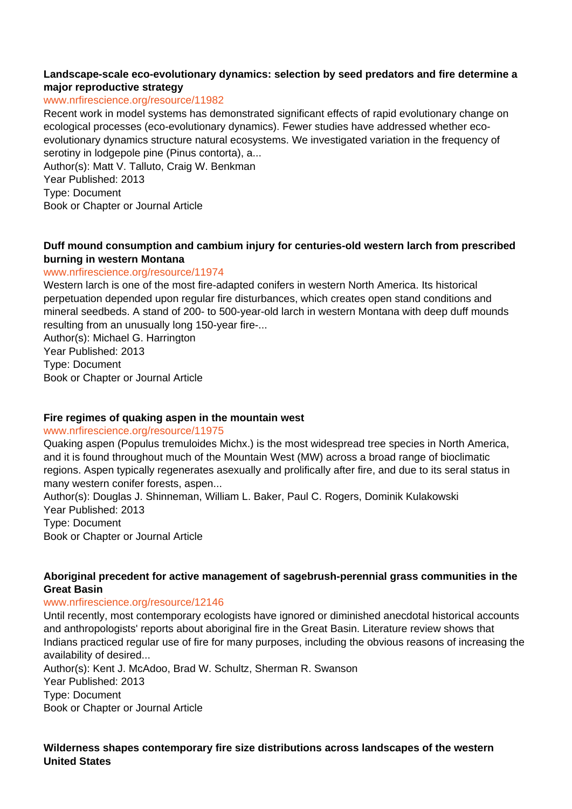# **Landscape-scale eco-evolutionary dynamics: selection by seed predators and fire determine a major reproductive strategy**

# www.nrfirescience.org/resource/11982

Recent work in model systems has demonstrated significant effects of rapid evolutionary change on ecological processes (eco-evolutionary dynamics). Fewer studies have addressed whether ecoevolutionary dynamics structure natural ecosystems. We investigated variation in the frequency of serotiny in lodgepole pine (Pinus contorta), a...

Author(s): Matt V. Talluto, Craig W. Benkman Year Published: 2013 Type: Document

Book or Chapter or Journal Article

# **Duff mound consumption and cambium injury for centuries-old western larch from prescribed burning in western Montana**

# www.nrfirescience.org/resource/11974

Western larch is one of the most fire-adapted conifers in western North America. Its historical perpetuation depended upon regular fire disturbances, which creates open stand conditions and mineral seedbeds. A stand of 200- to 500-year-old larch in western Montana with deep duff mounds resulting from an unusually long 150-year fire-...

Author(s): Michael G. Harrington Year Published: 2013 Type: Document Book or Chapter or Journal Article

#### **Fire regimes of quaking aspen in the mountain west**

#### www.nrfirescience.org/resource/11975

Quaking aspen (Populus tremuloides Michx.) is the most widespread tree species in North America, and it is found throughout much of the Mountain West (MW) across a broad range of bioclimatic regions. Aspen typically regenerates asexually and prolifically after fire, and due to its seral status in many western conifer forests, aspen...

Author(s): Douglas J. Shinneman, William L. Baker, Paul C. Rogers, Dominik Kulakowski Year Published: 2013 Type: Document

Book or Chapter or Journal Article

# **Aboriginal precedent for active management of sagebrush-perennial grass communities in the Great Basin**

#### www.nrfirescience.org/resource/12146

Until recently, most contemporary ecologists have ignored or diminished anecdotal historical accounts and anthropologists' reports about aboriginal fire in the Great Basin. Literature review shows that Indians practiced regular use of fire for many purposes, including the obvious reasons of increasing the availability of desired...

Author(s): Kent J. McAdoo, Brad W. Schultz, Sherman R. Swanson

Year Published: 2013

Type: Document

Book or Chapter or Journal Article

**Wilderness shapes contemporary fire size distributions across landscapes of the western United States**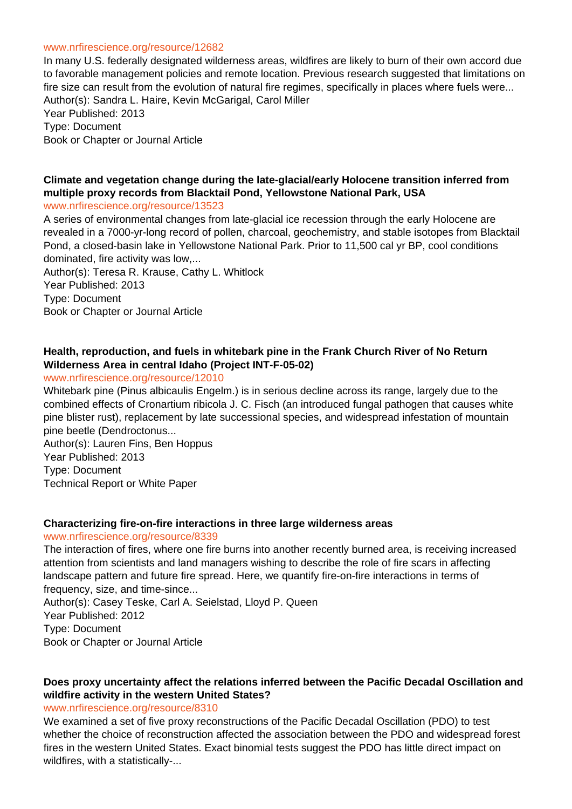#### www.nrfirescience.org/resource/12682

In many U.S. federally designated wilderness areas, wildfires are likely to burn of their own accord due to favorable management policies and remote location. Previous research suggested that limitations on fire size can result from the evolution of natural fire regimes, specifically in places where fuels were... Author(s): Sandra L. Haire, Kevin McGarigal, Carol Miller Year Published: 2013 Type: Document

Book or Chapter or Journal Article

# **Climate and vegetation change during the late-glacial/early Holocene transition inferred from multiple proxy records from Blacktail Pond, Yellowstone National Park, USA**

#### www.nrfirescience.org/resource/13523

A series of environmental changes from late-glacial ice recession through the early Holocene are revealed in a 7000-yr-long record of pollen, charcoal, geochemistry, and stable isotopes from Blacktail Pond, a closed-basin lake in Yellowstone National Park. Prior to 11,500 cal yr BP, cool conditions dominated, fire activity was low,...

Author(s): Teresa R. Krause, Cathy L. Whitlock Year Published: 2013 Type: Document Book or Chapter or Journal Article

# **Health, reproduction, and fuels in whitebark pine in the Frank Church River of No Return Wilderness Area in central Idaho (Project INT-F-05-02)**

#### www.nrfirescience.org/resource/12010

Whitebark pine (Pinus albicaulis Engelm.) is in serious decline across its range, largely due to the combined effects of Cronartium ribicola J. C. Fisch (an introduced fungal pathogen that causes white pine blister rust), replacement by late successional species, and widespread infestation of mountain pine beetle (Dendroctonus...

Author(s): Lauren Fins, Ben Hoppus Year Published: 2013 Type: Document Technical Report or White Paper

#### **Characterizing fire-on-fire interactions in three large wilderness areas**

#### www.nrfirescience.org/resource/8339

The interaction of fires, where one fire burns into another recently burned area, is receiving increased attention from scientists and land managers wishing to describe the role of fire scars in affecting landscape pattern and future fire spread. Here, we quantify fire-on-fire interactions in terms of frequency, size, and time-since...

Author(s): Casey Teske, Carl A. Seielstad, Lloyd P. Queen Year Published: 2012 Type: Document Book or Chapter or Journal Article

# **Does proxy uncertainty affect the relations inferred between the Pacific Decadal Oscillation and wildfire activity in the western United States?**

#### www.nrfirescience.org/resource/8310

We examined a set of five proxy reconstructions of the Pacific Decadal Oscillation (PDO) to test whether the choice of reconstruction affected the association between the PDO and widespread forest fires in the western United States. Exact binomial tests suggest the PDO has little direct impact on wildfires, with a statistically-...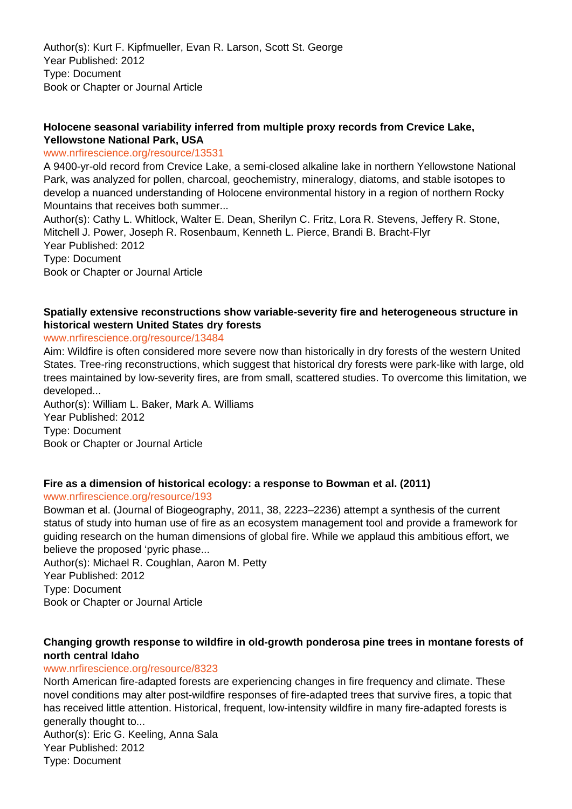Author(s): Kurt F. Kipfmueller, Evan R. Larson, Scott St. George Year Published: 2012 Type: Document Book or Chapter or Journal Article

# **Holocene seasonal variability inferred from multiple proxy records from Crevice Lake, Yellowstone National Park, USA**

#### www.nrfirescience.org/resource/13531

A 9400-yr-old record from Crevice Lake, a semi-closed alkaline lake in northern Yellowstone National Park, was analyzed for pollen, charcoal, geochemistry, mineralogy, diatoms, and stable isotopes to develop a nuanced understanding of Holocene environmental history in a region of northern Rocky Mountains that receives both summer...

Author(s): Cathy L. Whitlock, Walter E. Dean, Sherilyn C. Fritz, Lora R. Stevens, Jeffery R. Stone, Mitchell J. Power, Joseph R. Rosenbaum, Kenneth L. Pierce, Brandi B. Bracht-Flyr Year Published: 2012 Type: Document Book or Chapter or Journal Article

# **Spatially extensive reconstructions show variable-severity fire and heterogeneous structure in historical western United States dry forests**

#### www.nrfirescience.org/resource/13484

Aim: Wildfire is often considered more severe now than historically in dry forests of the western United States. Tree-ring reconstructions, which suggest that historical dry forests were park-like with large, old trees maintained by low-severity fires, are from small, scattered studies. To overcome this limitation, we developed...

Author(s): William L. Baker, Mark A. Williams Year Published: 2012 Type: Document Book or Chapter or Journal Article

# **Fire as a dimension of historical ecology: a response to Bowman et al. (2011)**

#### www.nrfirescience.org/resource/193

Bowman et al. (Journal of Biogeography, 2011, 38, 2223–2236) attempt a synthesis of the current status of study into human use of fire as an ecosystem management tool and provide a framework for guiding research on the human dimensions of global fire. While we applaud this ambitious effort, we believe the proposed 'pyric phase...

Author(s): Michael R. Coughlan, Aaron M. Petty Year Published: 2012 Type: Document Book or Chapter or Journal Article

## **Changing growth response to wildfire in old-growth ponderosa pine trees in montane forests of north central Idaho**

#### www.nrfirescience.org/resource/8323

North American fire-adapted forests are experiencing changes in fire frequency and climate. These novel conditions may alter post-wildfire responses of fire-adapted trees that survive fires, a topic that has received little attention. Historical, frequent, low-intensity wildfire in many fire-adapted forests is generally thought to...

Author(s): Eric G. Keeling, Anna Sala Year Published: 2012 Type: Document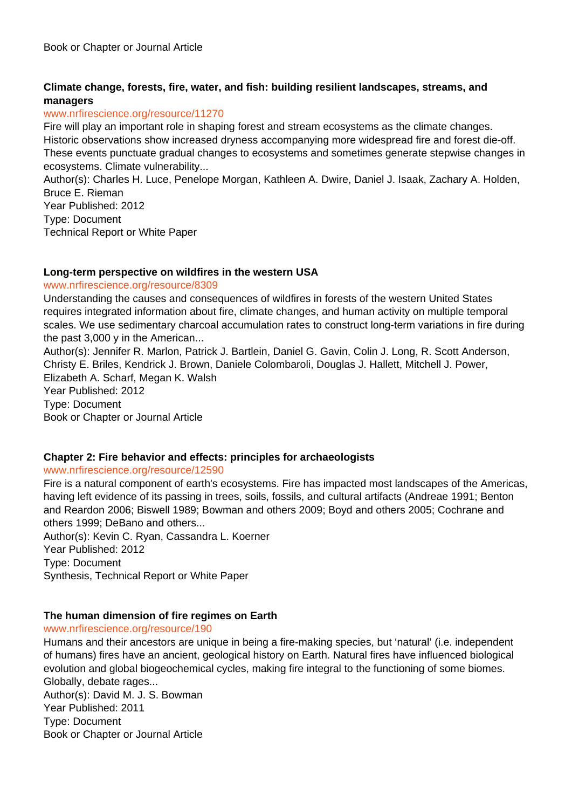# **Climate change, forests, fire, water, and fish: building resilient landscapes, streams, and managers**

## www.nrfirescience.org/resource/11270

Fire will play an important role in shaping forest and stream ecosystems as the climate changes. Historic observations show increased dryness accompanying more widespread fire and forest die-off. These events punctuate gradual changes to ecosystems and sometimes generate stepwise changes in ecosystems. Climate vulnerability...

Author(s): Charles H. Luce, Penelope Morgan, Kathleen A. Dwire, Daniel J. Isaak, Zachary A. Holden, Bruce E. Rieman

Year Published: 2012 Type: Document Technical Report or White Paper

# **Long-term perspective on wildfires in the western USA**

#### www.nrfirescience.org/resource/8309

Understanding the causes and consequences of wildfires in forests of the western United States requires integrated information about fire, climate changes, and human activity on multiple temporal scales. We use sedimentary charcoal accumulation rates to construct long-term variations in fire during the past 3,000 y in the American...

Author(s): Jennifer R. Marlon, Patrick J. Bartlein, Daniel G. Gavin, Colin J. Long, R. Scott Anderson, Christy E. Briles, Kendrick J. Brown, Daniele Colombaroli, Douglas J. Hallett, Mitchell J. Power, Elizabeth A. Scharf, Megan K. Walsh Year Published: 2012 Type: Document

Book or Chapter or Journal Article

#### **Chapter 2: Fire behavior and effects: principles for archaeologists**

#### www.nrfirescience.org/resource/12590

Fire is a natural component of earth's ecosystems. Fire has impacted most landscapes of the Americas, having left evidence of its passing in trees, soils, fossils, and cultural artifacts (Andreae 1991; Benton and Reardon 2006; Biswell 1989; Bowman and others 2009; Boyd and others 2005; Cochrane and others 1999; DeBano and others...

Author(s): Kevin C. Ryan, Cassandra L. Koerner Year Published: 2012 Type: Document Synthesis, Technical Report or White Paper

# **The human dimension of fire regimes on Earth**

#### www.nrfirescience.org/resource/190

Humans and their ancestors are unique in being a fire-making species, but 'natural' (i.e. independent of humans) fires have an ancient, geological history on Earth. Natural fires have influenced biological evolution and global biogeochemical cycles, making fire integral to the functioning of some biomes. Globally, debate rages...

Author(s): David M. J. S. Bowman Year Published: 2011 Type: Document Book or Chapter or Journal Article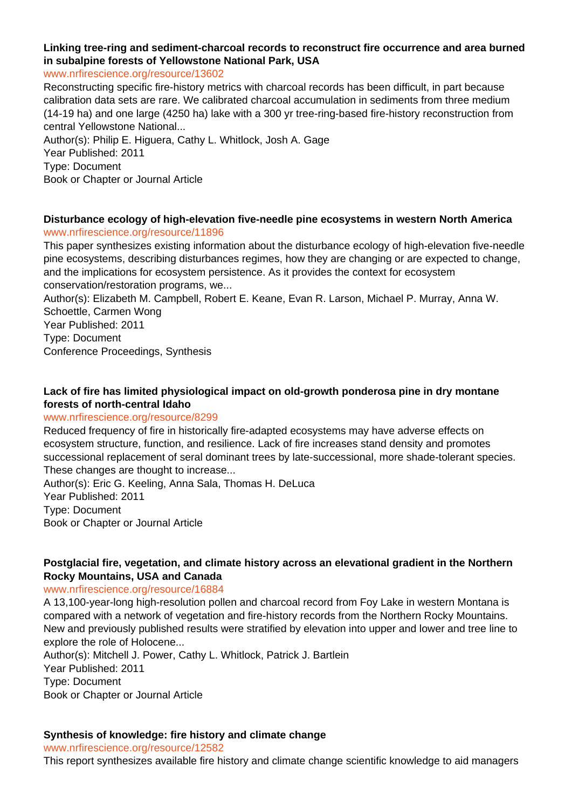# **Linking tree-ring and sediment-charcoal records to reconstruct fire occurrence and area burned in subalpine forests of Yellowstone National Park, USA**

www.nrfirescience.org/resource/13602

Reconstructing specific fire-history metrics with charcoal records has been difficult, in part because calibration data sets are rare. We calibrated charcoal accumulation in sediments from three medium (14-19 ha) and one large (4250 ha) lake with a 300 yr tree-ring-based fire-history reconstruction from central Yellowstone National...

Author(s): Philip E. Higuera, Cathy L. Whitlock, Josh A. Gage Year Published: 2011 Type: Document Book or Chapter or Journal Article

## **Disturbance ecology of high-elevation five-needle pine ecosystems in western North America** www.nrfirescience.org/resource/11896

This paper synthesizes existing information about the disturbance ecology of high-elevation five-needle pine ecosystems, describing disturbances regimes, how they are changing or are expected to change, and the implications for ecosystem persistence. As it provides the context for ecosystem conservation/restoration programs, we...

Author(s): Elizabeth M. Campbell, Robert E. Keane, Evan R. Larson, Michael P. Murray, Anna W. Schoettle, Carmen Wong

Year Published: 2011

Type: Document

Conference Proceedings, Synthesis

# **Lack of fire has limited physiological impact on old-growth ponderosa pine in dry montane forests of north-central Idaho**

#### www.nrfirescience.org/resource/8299

Reduced frequency of fire in historically fire-adapted ecosystems may have adverse effects on ecosystem structure, function, and resilience. Lack of fire increases stand density and promotes successional replacement of seral dominant trees by late-successional, more shade-tolerant species. These changes are thought to increase...

Author(s): Eric G. Keeling, Anna Sala, Thomas H. DeLuca Year Published: 2011 Type: Document Book or Chapter or Journal Article

# **Postglacial fire, vegetation, and climate history across an elevational gradient in the Northern Rocky Mountains, USA and Canada**

#### www.nrfirescience.org/resource/16884

A 13,100-year-long high-resolution pollen and charcoal record from Foy Lake in western Montana is compared with a network of vegetation and fire-history records from the Northern Rocky Mountains. New and previously published results were stratified by elevation into upper and lower and tree line to explore the role of Holocene...

Author(s): Mitchell J. Power, Cathy L. Whitlock, Patrick J. Bartlein Year Published: 2011 Type: Document Book or Chapter or Journal Article

# **Synthesis of knowledge: fire history and climate change**

www.nrfirescience.org/resource/12582

This report synthesizes available fire history and climate change scientific knowledge to aid managers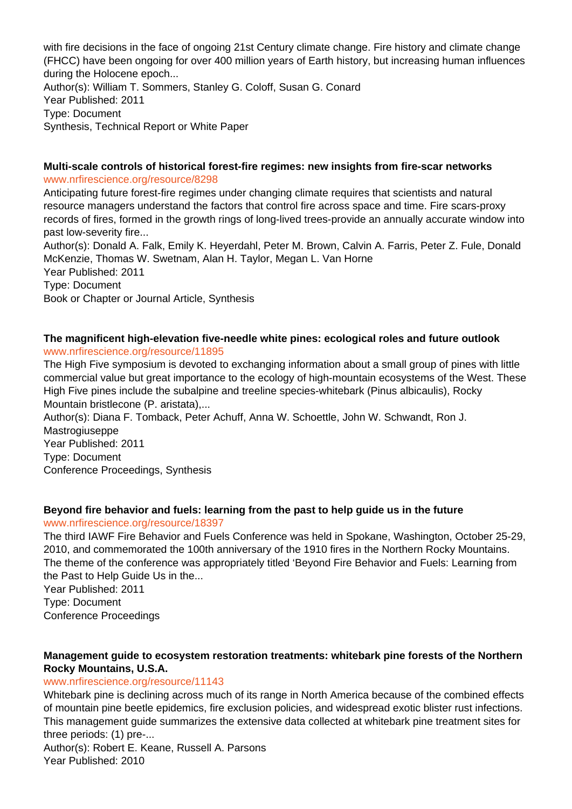with fire decisions in the face of ongoing 21st Century climate change. Fire history and climate change (FHCC) have been ongoing for over 400 million years of Earth history, but increasing human influences during the Holocene epoch... Author(s): William T. Sommers, Stanley G. Coloff, Susan G. Conard Year Published: 2011 Type: Document

Synthesis, Technical Report or White Paper

#### **Multi-scale controls of historical forest-fire regimes: new insights from fire-scar networks** www.nrfirescience.org/resource/8298

Anticipating future forest-fire regimes under changing climate requires that scientists and natural resource managers understand the factors that control fire across space and time. Fire scars-proxy records of fires, formed in the growth rings of long-lived trees-provide an annually accurate window into past low-severity fire...

Author(s): Donald A. Falk, Emily K. Heyerdahl, Peter M. Brown, Calvin A. Farris, Peter Z. Fule, Donald McKenzie, Thomas W. Swetnam, Alan H. Taylor, Megan L. Van Horne Year Published: 2011 Type: Document Book or Chapter or Journal Article, Synthesis

## **The magnificent high-elevation five-needle white pines: ecological roles and future outlook** www.nrfirescience.org/resource/11895

The High Five symposium is devoted to exchanging information about a small group of pines with little commercial value but great importance to the ecology of high-mountain ecosystems of the West. These High Five pines include the subalpine and treeline species-whitebark (Pinus albicaulis), Rocky Mountain bristlecone (P. aristata),...

Author(s): Diana F. Tomback, Peter Achuff, Anna W. Schoettle, John W. Schwandt, Ron J. Mastrogiuseppe Year Published: 2011 Type: Document Conference Proceedings, Synthesis

# **Beyond fire behavior and fuels: learning from the past to help guide us in the future**

www.nrfirescience.org/resource/18397

The third IAWF Fire Behavior and Fuels Conference was held in Spokane, Washington, October 25-29, 2010, and commemorated the 100th anniversary of the 1910 fires in the Northern Rocky Mountains. The theme of the conference was appropriately titled 'Beyond Fire Behavior and Fuels: Learning from the Past to Help Guide Us in the...

Year Published: 2011 Type: Document

Conference Proceedings

# **Management guide to ecosystem restoration treatments: whitebark pine forests of the Northern Rocky Mountains, U.S.A.**

# www.nrfirescience.org/resource/11143

Whitebark pine is declining across much of its range in North America because of the combined effects of mountain pine beetle epidemics, fire exclusion policies, and widespread exotic blister rust infections. This management guide summarizes the extensive data collected at whitebark pine treatment sites for three periods: (1) pre-...

Author(s): Robert E. Keane, Russell A. Parsons Year Published: 2010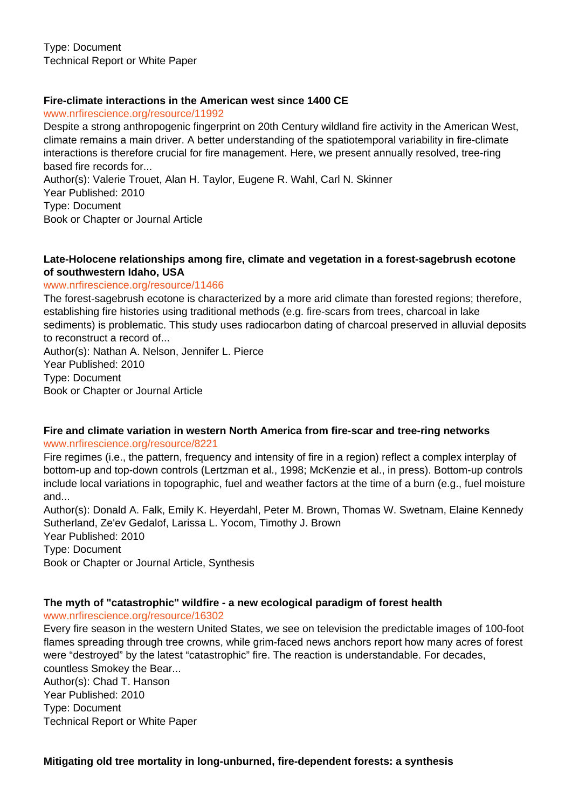Type: Document Technical Report or White Paper

# **Fire-climate interactions in the American west since 1400 CE**

www.nrfirescience.org/resource/11992

Despite a strong anthropogenic fingerprint on 20th Century wildland fire activity in the American West, climate remains a main driver. A better understanding of the spatiotemporal variability in fire-climate interactions is therefore crucial for fire management. Here, we present annually resolved, tree-ring based fire records for...

Author(s): Valerie Trouet, Alan H. Taylor, Eugene R. Wahl, Carl N. Skinner Year Published: 2010 Type: Document Book or Chapter or Journal Article

## **Late-Holocene relationships among fire, climate and vegetation in a forest-sagebrush ecotone of southwestern Idaho, USA**

#### www.nrfirescience.org/resource/11466

The forest-sagebrush ecotone is characterized by a more arid climate than forested regions; therefore, establishing fire histories using traditional methods (e.g. fire-scars from trees, charcoal in lake sediments) is problematic. This study uses radiocarbon dating of charcoal preserved in alluvial deposits to reconstruct a record of...

Author(s): Nathan A. Nelson, Jennifer L. Pierce Year Published: 2010 Type: Document Book or Chapter or Journal Article

**Fire and climate variation in western North America from fire-scar and tree-ring networks** www.nrfirescience.org/resource/8221

Fire regimes (i.e., the pattern, frequency and intensity of fire in a region) reflect a complex interplay of bottom-up and top-down controls (Lertzman et al., 1998; McKenzie et al., in press). Bottom-up controls include local variations in topographic, fuel and weather factors at the time of a burn (e.g., fuel moisture and...

Author(s): Donald A. Falk, Emily K. Heyerdahl, Peter M. Brown, Thomas W. Swetnam, Elaine Kennedy Sutherland, Ze'ev Gedalof, Larissa L. Yocom, Timothy J. Brown Year Published: 2010 Type: Document Book or Chapter or Journal Article, Synthesis

# **The myth of "catastrophic" wildfire - a new ecological paradigm of forest health**

www.nrfirescience.org/resource/16302

Every fire season in the western United States, we see on television the predictable images of 100-foot flames spreading through tree crowns, while grim-faced news anchors report how many acres of forest were "destroyed" by the latest "catastrophic" fire. The reaction is understandable. For decades, countless Smokey the Bear...

Author(s): Chad T. Hanson Year Published: 2010 Type: Document Technical Report or White Paper

**Mitigating old tree mortality in long-unburned, fire-dependent forests: a synthesis**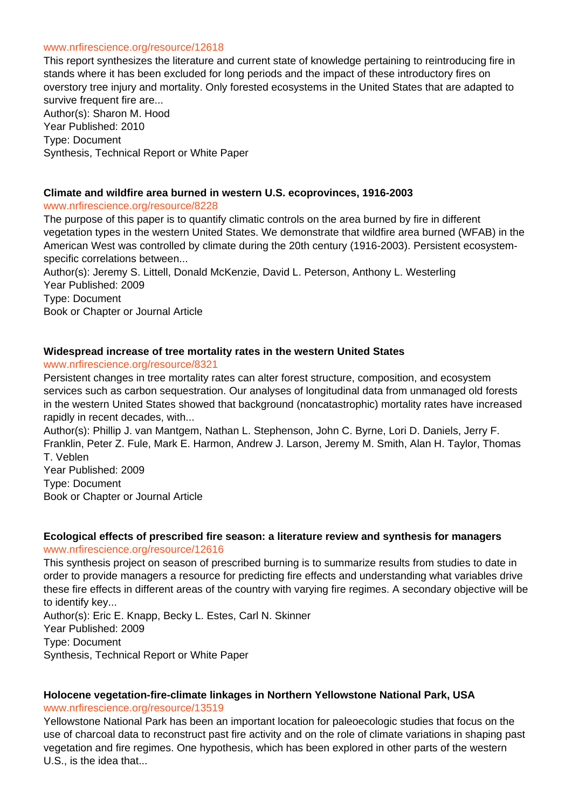#### www.nrfirescience.org/resource/12618

This report synthesizes the literature and current state of knowledge pertaining to reintroducing fire in stands where it has been excluded for long periods and the impact of these introductory fires on overstory tree injury and mortality. Only forested ecosystems in the United States that are adapted to survive frequent fire are... Author(s): Sharon M. Hood Year Published: 2010 Type: Document

Synthesis, Technical Report or White Paper

# **Climate and wildfire area burned in western U.S. ecoprovinces, 1916-2003**

#### www.nrfirescience.org/resource/8228

The purpose of this paper is to quantify climatic controls on the area burned by fire in different vegetation types in the western United States. We demonstrate that wildfire area burned (WFAB) in the American West was controlled by climate during the 20th century (1916-2003). Persistent ecosystemspecific correlations between...

Author(s): Jeremy S. Littell, Donald McKenzie, David L. Peterson, Anthony L. Westerling Year Published: 2009 Type: Document

Book or Chapter or Journal Article

# **Widespread increase of tree mortality rates in the western United States**

#### www.nrfirescience.org/resource/8321

Persistent changes in tree mortality rates can alter forest structure, composition, and ecosystem services such as carbon sequestration. Our analyses of longitudinal data from unmanaged old forests in the western United States showed that background (noncatastrophic) mortality rates have increased rapidly in recent decades, with...

Author(s): Phillip J. van Mantgem, Nathan L. Stephenson, John C. Byrne, Lori D. Daniels, Jerry F. Franklin, Peter Z. Fule, Mark E. Harmon, Andrew J. Larson, Jeremy M. Smith, Alan H. Taylor, Thomas T. Veblen

Year Published: 2009 Type: Document Book or Chapter or Journal Article

#### **Ecological effects of prescribed fire season: a literature review and synthesis for managers** www.nrfirescience.org/resource/12616

This synthesis project on season of prescribed burning is to summarize results from studies to date in order to provide managers a resource for predicting fire effects and understanding what variables drive these fire effects in different areas of the country with varying fire regimes. A secondary objective will be to identify key...

Author(s): Eric E. Knapp, Becky L. Estes, Carl N. Skinner Year Published: 2009 Type: Document Synthesis, Technical Report or White Paper

# **Holocene vegetation-fire-climate linkages in Northern Yellowstone National Park, USA** www.nrfirescience.org/resource/13519

Yellowstone National Park has been an important location for paleoecologic studies that focus on the use of charcoal data to reconstruct past fire activity and on the role of climate variations in shaping past vegetation and fire regimes. One hypothesis, which has been explored in other parts of the western U.S., is the idea that...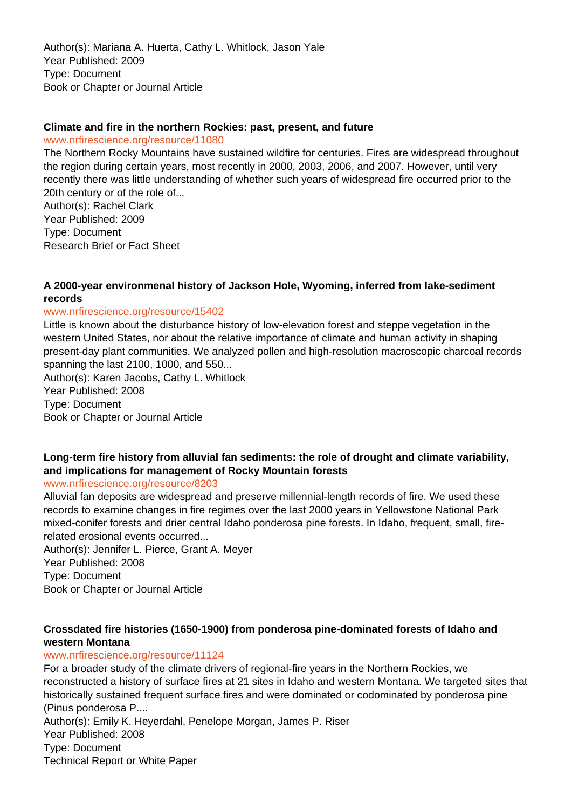Author(s): Mariana A. Huerta, Cathy L. Whitlock, Jason Yale Year Published: 2009 Type: Document Book or Chapter or Journal Article

## **Climate and fire in the northern Rockies: past, present, and future**

www.nrfirescience.org/resource/11080

The Northern Rocky Mountains have sustained wildfire for centuries. Fires are widespread throughout the region during certain years, most recently in 2000, 2003, 2006, and 2007. However, until very recently there was little understanding of whether such years of widespread fire occurred prior to the 20th century or of the role of...

Author(s): Rachel Clark Year Published: 2009 Type: Document Research Brief or Fact Sheet

# **A 2000-year environmenal history of Jackson Hole, Wyoming, inferred from lake-sediment records**

#### www.nrfirescience.org/resource/15402

Little is known about the disturbance history of low-elevation forest and steppe vegetation in the western United States, nor about the relative importance of climate and human activity in shaping present-day plant communities. We analyzed pollen and high-resolution macroscopic charcoal records spanning the last 2100, 1000, and 550...

Author(s): Karen Jacobs, Cathy L. Whitlock Year Published: 2008 Type: Document Book or Chapter or Journal Article

# **Long-term fire history from alluvial fan sediments: the role of drought and climate variability, and implications for management of Rocky Mountain forests**

www.nrfirescience.org/resource/8203

Alluvial fan deposits are widespread and preserve millennial-length records of fire. We used these records to examine changes in fire regimes over the last 2000 years in Yellowstone National Park mixed-conifer forests and drier central Idaho ponderosa pine forests. In Idaho, frequent, small, firerelated erosional events occurred...

Author(s): Jennifer L. Pierce, Grant A. Meyer Year Published: 2008 Type: Document Book or Chapter or Journal Article

# **Crossdated fire histories (1650-1900) from ponderosa pine-dominated forests of Idaho and western Montana**

# www.nrfirescience.org/resource/11124

For a broader study of the climate drivers of regional-fire years in the Northern Rockies, we reconstructed a history of surface fires at 21 sites in Idaho and western Montana. We targeted sites that historically sustained frequent surface fires and were dominated or codominated by ponderosa pine (Pinus ponderosa P.... Author(s): Emily K. Heyerdahl, Penelope Morgan, James P. Riser Year Published: 2008

Type: Document

Technical Report or White Paper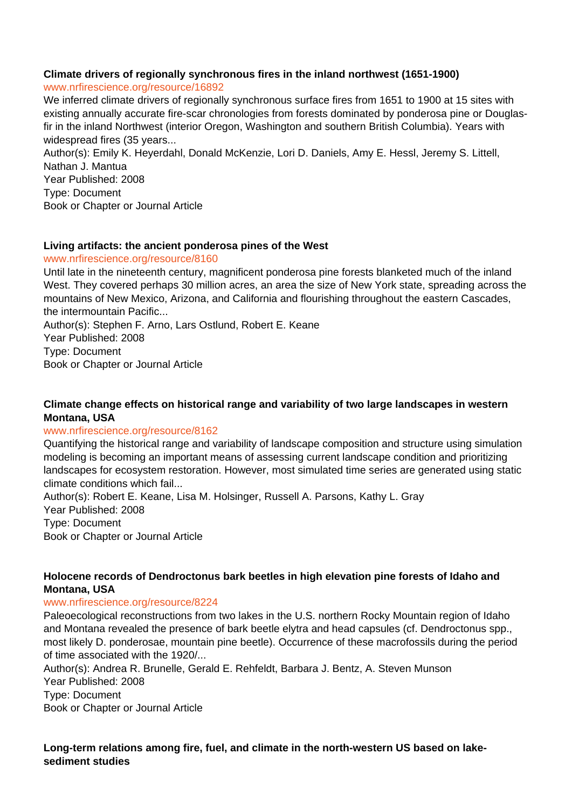# **Climate drivers of regionally synchronous fires in the inland northwest (1651-1900)**

www.nrfirescience.org/resource/16892

We inferred climate drivers of regionally synchronous surface fires from 1651 to 1900 at 15 sites with existing annually accurate fire-scar chronologies from forests dominated by ponderosa pine or Douglasfir in the inland Northwest (interior Oregon, Washington and southern British Columbia). Years with widespread fires (35 years...

Author(s): Emily K. Heyerdahl, Donald McKenzie, Lori D. Daniels, Amy E. Hessl, Jeremy S. Littell, Nathan J. Mantua Year Published: 2008 Type: Document Book or Chapter or Journal Article

# **Living artifacts: the ancient ponderosa pines of the West**

www.nrfirescience.org/resource/8160

Until late in the nineteenth century, magnificent ponderosa pine forests blanketed much of the inland West. They covered perhaps 30 million acres, an area the size of New York state, spreading across the mountains of New Mexico, Arizona, and California and flourishing throughout the eastern Cascades, the intermountain Pacific...

Author(s): Stephen F. Arno, Lars Ostlund, Robert E. Keane Year Published: 2008 Type: Document Book or Chapter or Journal Article

# **Climate change effects on historical range and variability of two large landscapes in western Montana, USA**

# www.nrfirescience.org/resource/8162

Quantifying the historical range and variability of landscape composition and structure using simulation modeling is becoming an important means of assessing current landscape condition and prioritizing landscapes for ecosystem restoration. However, most simulated time series are generated using static climate conditions which fail...

Author(s): Robert E. Keane, Lisa M. Holsinger, Russell A. Parsons, Kathy L. Gray Year Published: 2008 Type: Document Book or Chapter or Journal Article

# **Holocene records of Dendroctonus bark beetles in high elevation pine forests of Idaho and Montana, USA**

# www.nrfirescience.org/resource/8224

Paleoecological reconstructions from two lakes in the U.S. northern Rocky Mountain region of Idaho and Montana revealed the presence of bark beetle elytra and head capsules (cf. Dendroctonus spp., most likely D. ponderosae, mountain pine beetle). Occurrence of these macrofossils during the period of time associated with the 1920/...

Author(s): Andrea R. Brunelle, Gerald E. Rehfeldt, Barbara J. Bentz, A. Steven Munson Year Published: 2008

Type: Document

Book or Chapter or Journal Article

**Long-term relations among fire, fuel, and climate in the north-western US based on lakesediment studies**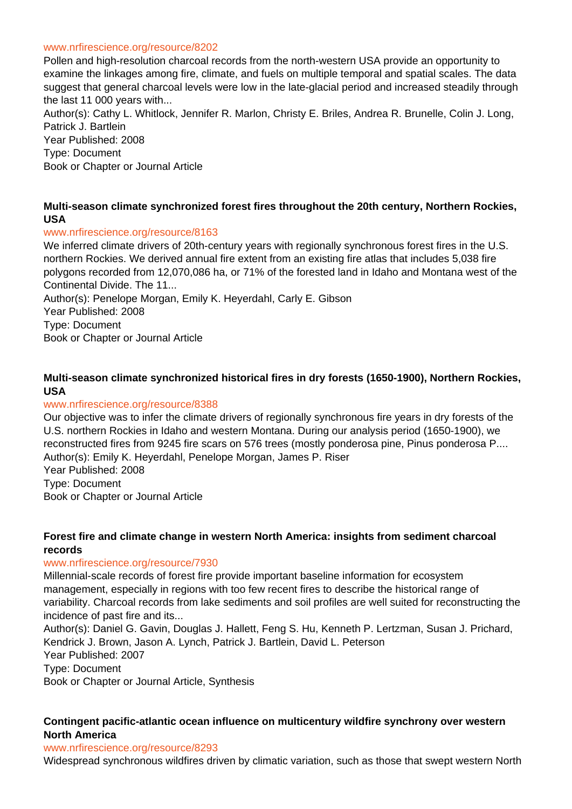#### www.nrfirescience.org/resource/8202

Pollen and high-resolution charcoal records from the north-western USA provide an opportunity to examine the linkages among fire, climate, and fuels on multiple temporal and spatial scales. The data suggest that general charcoal levels were low in the late-glacial period and increased steadily through the last 11 000 years with...

Author(s): Cathy L. Whitlock, Jennifer R. Marlon, Christy E. Briles, Andrea R. Brunelle, Colin J. Long, Patrick J. Bartlein Year Published: 2008

Type: Document

Book or Chapter or Journal Article

## **Multi-season climate synchronized forest fires throughout the 20th century, Northern Rockies, USA**

#### www.nrfirescience.org/resource/8163

We inferred climate drivers of 20th-century years with regionally synchronous forest fires in the U.S. northern Rockies. We derived annual fire extent from an existing fire atlas that includes 5,038 fire polygons recorded from 12,070,086 ha, or 71% of the forested land in Idaho and Montana west of the Continental Divide. The 11...

Author(s): Penelope Morgan, Emily K. Heyerdahl, Carly E. Gibson

Year Published: 2008

Type: Document

Book or Chapter or Journal Article

# **Multi-season climate synchronized historical fires in dry forests (1650-1900), Northern Rockies, USA**

## www.nrfirescience.org/resource/8388

Our objective was to infer the climate drivers of regionally synchronous fire years in dry forests of the U.S. northern Rockies in Idaho and western Montana. During our analysis period (1650-1900), we reconstructed fires from 9245 fire scars on 576 trees (mostly ponderosa pine, Pinus ponderosa P.... Author(s): Emily K. Heyerdahl, Penelope Morgan, James P. Riser Year Published: 2008 Type: Document Book or Chapter or Journal Article

#### **Forest fire and climate change in western North America: insights from sediment charcoal records**

#### www.nrfirescience.org/resource/7930

Millennial-scale records of forest fire provide important baseline information for ecosystem management, especially in regions with too few recent fires to describe the historical range of variability. Charcoal records from lake sediments and soil profiles are well suited for reconstructing the incidence of past fire and its...

Author(s): Daniel G. Gavin, Douglas J. Hallett, Feng S. Hu, Kenneth P. Lertzman, Susan J. Prichard, Kendrick J. Brown, Jason A. Lynch, Patrick J. Bartlein, David L. Peterson Year Published: 2007 Type: Document Book or Chapter or Journal Article, Synthesis

# **Contingent pacific-atlantic ocean influence on multicentury wildfire synchrony over western North America**

#### www.nrfirescience.org/resource/8293

Widespread synchronous wildfires driven by climatic variation, such as those that swept western North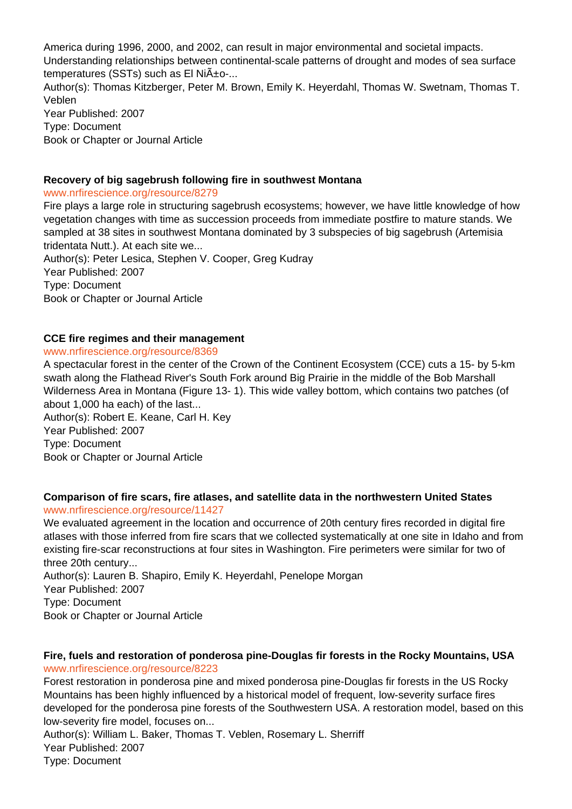America during 1996, 2000, and 2002, can result in major environmental and societal impacts. Understanding relationships between continental-scale patterns of drought and modes of sea surface temperatures (SSTs) such as El Ni $\tilde{A}$ +o-... Author(s): Thomas Kitzberger, Peter M. Brown, Emily K. Heyerdahl, Thomas W. Swetnam, Thomas T. Veblen Year Published: 2007 Type: Document Book or Chapter or Journal Article

# **Recovery of big sagebrush following fire in southwest Montana**

#### www.nrfirescience.org/resource/8279

Fire plays a large role in structuring sagebrush ecosystems; however, we have little knowledge of how vegetation changes with time as succession proceeds from immediate postfire to mature stands. We sampled at 38 sites in southwest Montana dominated by 3 subspecies of big sagebrush (Artemisia tridentata Nutt.). At each site we...

Author(s): Peter Lesica, Stephen V. Cooper, Greg Kudray Year Published: 2007 Type: Document Book or Chapter or Journal Article

#### **CCE fire regimes and their management**

#### www.nrfirescience.org/resource/8369

A spectacular forest in the center of the Crown of the Continent Ecosystem (CCE) cuts a 15- by 5-km swath along the Flathead River's South Fork around Big Prairie in the middle of the Bob Marshall Wilderness Area in Montana (Figure 13- 1). This wide valley bottom, which contains two patches (of about 1,000 ha each) of the last...

Author(s): Robert E. Keane, Carl H. Key Year Published: 2007 Type: Document Book or Chapter or Journal Article

#### **Comparison of fire scars, fire atlases, and satellite data in the northwestern United States** www.nrfirescience.org/resource/11427

We evaluated agreement in the location and occurrence of 20th century fires recorded in digital fire atlases with those inferred from fire scars that we collected systematically at one site in Idaho and from existing fire-scar reconstructions at four sites in Washington. Fire perimeters were similar for two of three 20th century...

Author(s): Lauren B. Shapiro, Emily K. Heyerdahl, Penelope Morgan Year Published: 2007 Type: Document Book or Chapter or Journal Article

#### **Fire, fuels and restoration of ponderosa pine-Douglas fir forests in the Rocky Mountains, USA** www.nrfirescience.org/resource/8223

Forest restoration in ponderosa pine and mixed ponderosa pine-Douglas fir forests in the US Rocky Mountains has been highly influenced by a historical model of frequent, low-severity surface fires developed for the ponderosa pine forests of the Southwestern USA. A restoration model, based on this low-severity fire model, focuses on...

Author(s): William L. Baker, Thomas T. Veblen, Rosemary L. Sherriff Year Published: 2007 Type: Document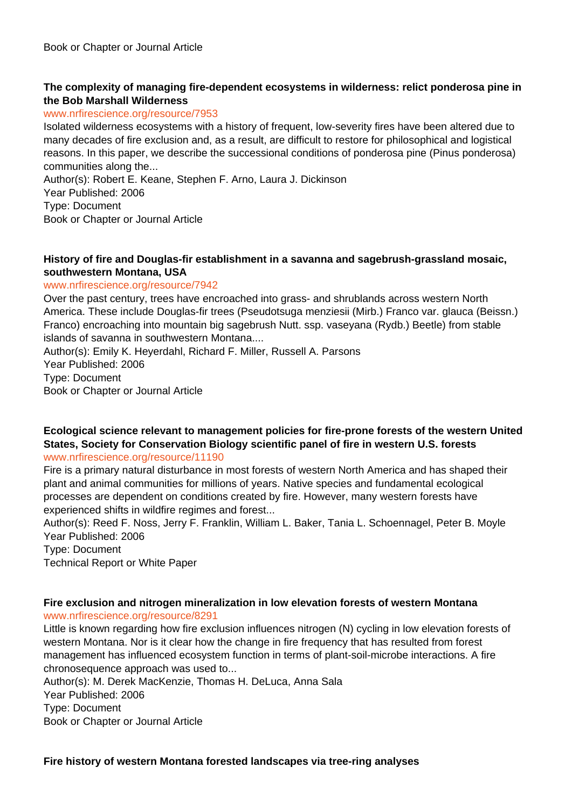# **The complexity of managing fire-dependent ecosystems in wilderness: relict ponderosa pine in the Bob Marshall Wilderness**

#### www.nrfirescience.org/resource/7953

Isolated wilderness ecosystems with a history of frequent, low-severity fires have been altered due to many decades of fire exclusion and, as a result, are difficult to restore for philosophical and logistical reasons. In this paper, we describe the successional conditions of ponderosa pine (Pinus ponderosa) communities along the...

Author(s): Robert E. Keane, Stephen F. Arno, Laura J. Dickinson

Year Published: 2006

Type: Document

Book or Chapter or Journal Article

## **History of fire and Douglas-fir establishment in a savanna and sagebrush-grassland mosaic, southwestern Montana, USA**

#### www.nrfirescience.org/resource/7942

Over the past century, trees have encroached into grass- and shrublands across western North America. These include Douglas-fir trees (Pseudotsuga menziesii (Mirb.) Franco var. glauca (Beissn.) Franco) encroaching into mountain big sagebrush Nutt. ssp. vaseyana (Rydb.) Beetle) from stable islands of savanna in southwestern Montana....

Author(s): Emily K. Heyerdahl, Richard F. Miller, Russell A. Parsons Year Published: 2006 Type: Document Book or Chapter or Journal Article

#### **Ecological science relevant to management policies for fire-prone forests of the western United States, Society for Conservation Biology scientific panel of fire in western U.S. forests** www.nrfirescience.org/resource/11190

Fire is a primary natural disturbance in most forests of western North America and has shaped their plant and animal communities for millions of years. Native species and fundamental ecological processes are dependent on conditions created by fire. However, many western forests have experienced shifts in wildfire regimes and forest...

Author(s): Reed F. Noss, Jerry F. Franklin, William L. Baker, Tania L. Schoennagel, Peter B. Moyle Year Published: 2006

Type: Document

Technical Report or White Paper

# **Fire exclusion and nitrogen mineralization in low elevation forests of western Montana**

www.nrfirescience.org/resource/8291

Little is known regarding how fire exclusion influences nitrogen (N) cycling in low elevation forests of western Montana. Nor is it clear how the change in fire frequency that has resulted from forest management has influenced ecosystem function in terms of plant-soil-microbe interactions. A fire chronosequence approach was used to...

Author(s): M. Derek MacKenzie, Thomas H. DeLuca, Anna Sala Year Published: 2006 Type: Document

Book or Chapter or Journal Article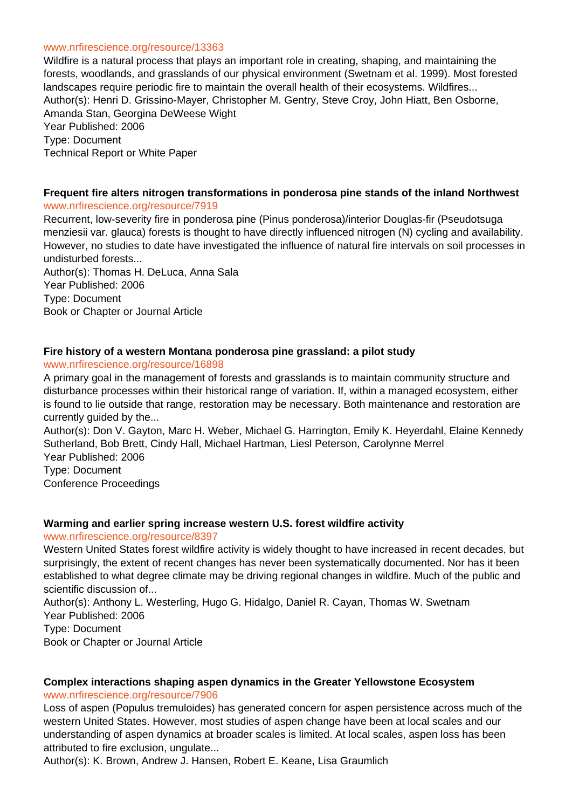#### www.nrfirescience.org/resource/13363

Wildfire is a natural process that plays an important role in creating, shaping, and maintaining the forests, woodlands, and grasslands of our physical environment (Swetnam et al. 1999). Most forested landscapes require periodic fire to maintain the overall health of their ecosystems. Wildfires... Author(s): Henri D. Grissino-Mayer, Christopher M. Gentry, Steve Croy, John Hiatt, Ben Osborne, Amanda Stan, Georgina DeWeese Wight Year Published: 2006 Type: Document Technical Report or White Paper

#### **Frequent fire alters nitrogen transformations in ponderosa pine stands of the inland Northwest** www.nrfirescience.org/resource/7919

Recurrent, low-severity fire in ponderosa pine (Pinus ponderosa)/interior Douglas-fir (Pseudotsuga menziesii var. glauca) forests is thought to have directly influenced nitrogen (N) cycling and availability. However, no studies to date have investigated the influence of natural fire intervals on soil processes in undisturbed forests...

Author(s): Thomas H. DeLuca, Anna Sala Year Published: 2006 Type: Document Book or Chapter or Journal Article

#### **Fire history of a western Montana ponderosa pine grassland: a pilot study**

www.nrfirescience.org/resource/16898

A primary goal in the management of forests and grasslands is to maintain community structure and disturbance processes within their historical range of variation. If, within a managed ecosystem, either is found to lie outside that range, restoration may be necessary. Both maintenance and restoration are currently guided by the...

Author(s): Don V. Gayton, Marc H. Weber, Michael G. Harrington, Emily K. Heyerdahl, Elaine Kennedy Sutherland, Bob Brett, Cindy Hall, Michael Hartman, Liesl Peterson, Carolynne Merrel Year Published: 2006 Type: Document

Conference Proceedings

#### **Warming and earlier spring increase western U.S. forest wildfire activity**

www.nrfirescience.org/resource/8397

Western United States forest wildfire activity is widely thought to have increased in recent decades, but surprisingly, the extent of recent changes has never been systematically documented. Nor has it been established to what degree climate may be driving regional changes in wildfire. Much of the public and scientific discussion of...

Author(s): Anthony L. Westerling, Hugo G. Hidalgo, Daniel R. Cayan, Thomas W. Swetnam Year Published: 2006 Type: Document

Book or Chapter or Journal Article

# **Complex interactions shaping aspen dynamics in the Greater Yellowstone Ecosystem**

www.nrfirescience.org/resource/7906

Loss of aspen (Populus tremuloides) has generated concern for aspen persistence across much of the western United States. However, most studies of aspen change have been at local scales and our understanding of aspen dynamics at broader scales is limited. At local scales, aspen loss has been attributed to fire exclusion, ungulate...

Author(s): K. Brown, Andrew J. Hansen, Robert E. Keane, Lisa Graumlich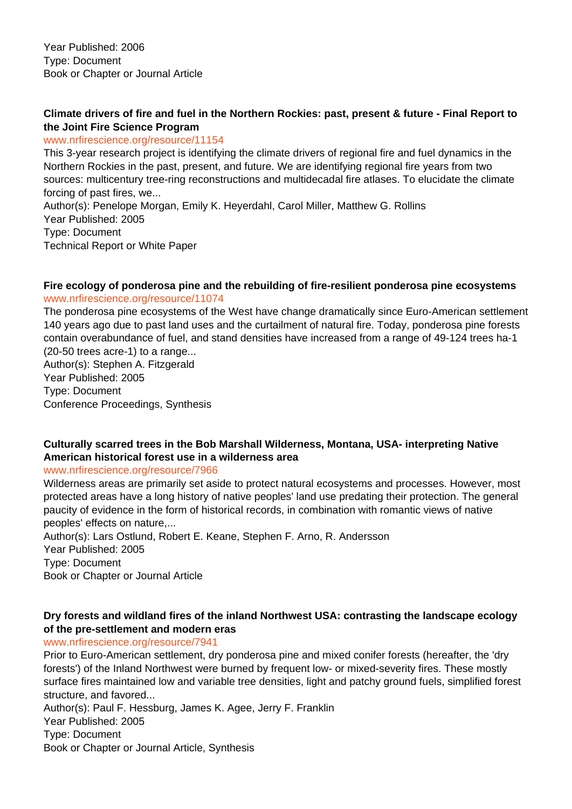Year Published: 2006 Type: Document Book or Chapter or Journal Article

# **Climate drivers of fire and fuel in the Northern Rockies: past, present & future - Final Report to the Joint Fire Science Program**

#### www.nrfirescience.org/resource/11154

This 3-year research project is identifying the climate drivers of regional fire and fuel dynamics in the Northern Rockies in the past, present, and future. We are identifying regional fire years from two sources: multicentury tree-ring reconstructions and multidecadal fire atlases. To elucidate the climate forcing of past fires, we...

Author(s): Penelope Morgan, Emily K. Heyerdahl, Carol Miller, Matthew G. Rollins Year Published: 2005 Type: Document Technical Report or White Paper

#### **Fire ecology of ponderosa pine and the rebuilding of fire-resilient ponderosa pine ecosystems** www.nrfirescience.org/resource/11074

The ponderosa pine ecosystems of the West have change dramatically since Euro-American settlement 140 years ago due to past land uses and the curtailment of natural fire. Today, ponderosa pine forests contain overabundance of fuel, and stand densities have increased from a range of 49-124 trees ha-1 (20-50 trees acre-1) to a range... Author(s): Stephen A. Fitzgerald

Year Published: 2005 Type: Document Conference Proceedings, Synthesis

# **Culturally scarred trees in the Bob Marshall Wilderness, Montana, USA- interpreting Native American historical forest use in a wilderness area**

#### www.nrfirescience.org/resource/7966

Wilderness areas are primarily set aside to protect natural ecosystems and processes. However, most protected areas have a long history of native peoples' land use predating their protection. The general paucity of evidence in the form of historical records, in combination with romantic views of native peoples' effects on nature,...

Author(s): Lars Ostlund, Robert E. Keane, Stephen F. Arno, R. Andersson Year Published: 2005 Type: Document Book or Chapter or Journal Article

# **Dry forests and wildland fires of the inland Northwest USA: contrasting the landscape ecology of the pre-settlement and modern eras**

# www.nrfirescience.org/resource/7941

Prior to Euro-American settlement, dry ponderosa pine and mixed conifer forests (hereafter, the 'dry forests') of the Inland Northwest were burned by frequent low- or mixed-severity fires. These mostly surface fires maintained low and variable tree densities, light and patchy ground fuels, simplified forest structure, and favored...

Author(s): Paul F. Hessburg, James K. Agee, Jerry F. Franklin Year Published: 2005 Type: Document Book or Chapter or Journal Article, Synthesis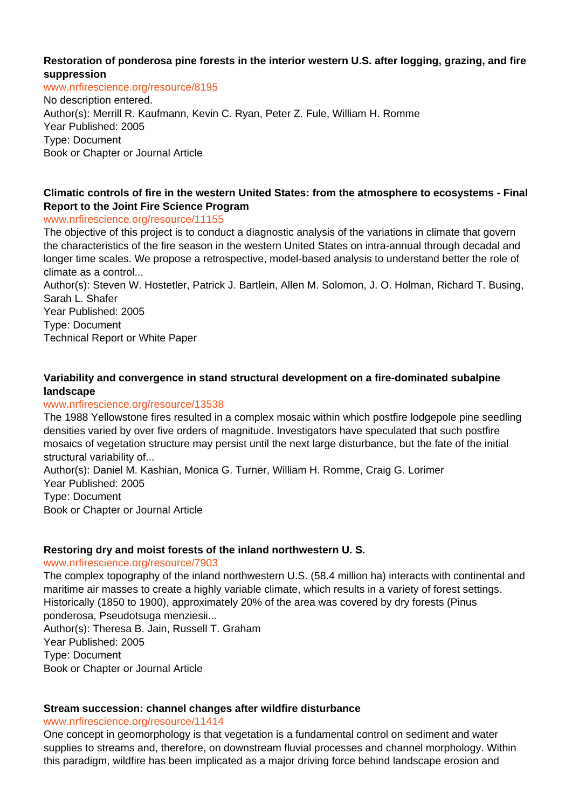## **Restoration of ponderosa pine forests in the interior western U.S. after logging, grazing, and fire suppression**

www.nrfirescience.org/resource/8195

No description entered. Author(s): Merrill R. Kaufmann, Kevin C. Ryan, Peter Z. Fule, William H. Romme Year Published: 2005 Type: Document Book or Chapter or Journal Article

# **Climatic controls of fire in the western United States: from the atmosphere to ecosystems - Final Report to the Joint Fire Science Program**

#### www.nrfirescience.org/resource/11155

The objective of this project is to conduct a diagnostic analysis of the variations in climate that govern the characteristics of the fire season in the western United States on intra-annual through decadal and longer time scales. We propose a retrospective, model-based analysis to understand better the role of climate as a control...

Author(s): Steven W. Hostetler, Patrick J. Bartlein, Allen M. Solomon, J. O. Holman, Richard T. Busing, Sarah L. Shafer

Year Published: 2005 Type: Document Technical Report or White Paper

# **Variability and convergence in stand structural development on a fire-dominated subalpine landscape**

#### www.nrfirescience.org/resource/13538

The 1988 Yellowstone fires resulted in a complex mosaic within which postfire lodgepole pine seedling densities varied by over five orders of magnitude. Investigators have speculated that such postfire mosaics of vegetation structure may persist until the next large disturbance, but the fate of the initial structural variability of...

Author(s): Daniel M. Kashian, Monica G. Turner, William H. Romme, Craig G. Lorimer Year Published: 2005 Type: Document

Book or Chapter or Journal Article

#### **Restoring dry and moist forests of the inland northwestern U. S.**

#### www.nrfirescience.org/resource/7903

The complex topography of the inland northwestern U.S. (58.4 million ha) interacts with continental and maritime air masses to create a highly variable climate, which results in a variety of forest settings. Historically (1850 to 1900), approximately 20% of the area was covered by dry forests (Pinus ponderosa, Pseudotsuga menziesii...

Author(s): Theresa B. Jain, Russell T. Graham Year Published: 2005 Type: Document Book or Chapter or Journal Article

# **Stream succession: channel changes after wildfire disturbance**

www.nrfirescience.org/resource/11414

One concept in geomorphology is that vegetation is a fundamental control on sediment and water supplies to streams and, therefore, on downstream fluvial processes and channel morphology. Within this paradigm, wildfire has been implicated as a major driving force behind landscape erosion and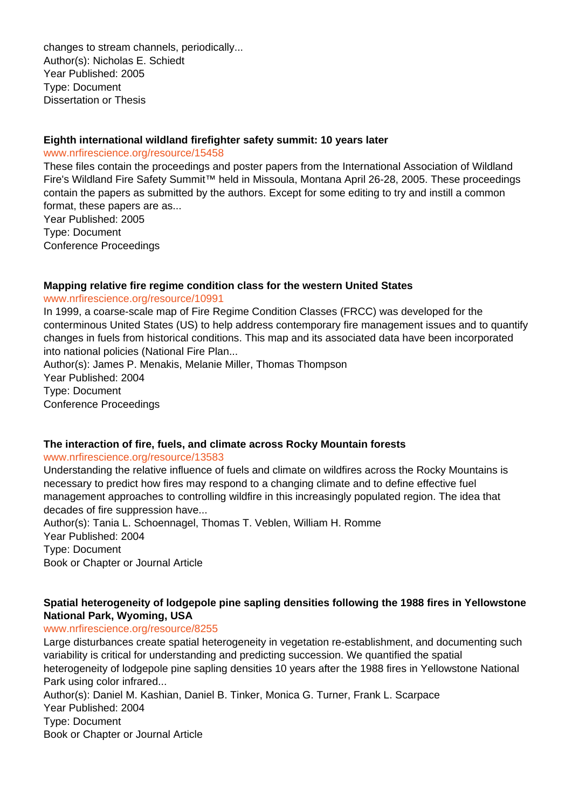changes to stream channels, periodically... Author(s): Nicholas E. Schiedt Year Published: 2005 Type: Document Dissertation or Thesis

#### **Eighth international wildland firefighter safety summit: 10 years later**

#### www.nrfirescience.org/resource/15458

These files contain the proceedings and poster papers from the International Association of Wildland Fire's Wildland Fire Safety Summit™ held in Missoula, Montana April 26-28, 2005. These proceedings contain the papers as submitted by the authors. Except for some editing to try and instill a common format, these papers are as...

Year Published: 2005 Type: Document Conference Proceedings

#### **Mapping relative fire regime condition class for the western United States**

www.nrfirescience.org/resource/10991

In 1999, a coarse-scale map of Fire Regime Condition Classes (FRCC) was developed for the conterminous United States (US) to help address contemporary fire management issues and to quantify changes in fuels from historical conditions. This map and its associated data have been incorporated into national policies (National Fire Plan...

Author(s): James P. Menakis, Melanie Miller, Thomas Thompson Year Published: 2004

Type: Document Conference Proceedings

# **The interaction of fire, fuels, and climate across Rocky Mountain forests**

# www.nrfirescience.org/resource/13583

Understanding the relative influence of fuels and climate on wildfires across the Rocky Mountains is necessary to predict how fires may respond to a changing climate and to define effective fuel management approaches to controlling wildfire in this increasingly populated region. The idea that decades of fire suppression have...

Author(s): Tania L. Schoennagel, Thomas T. Veblen, William H. Romme Year Published: 2004 Type: Document Book or Chapter or Journal Article

# **Spatial heterogeneity of lodgepole pine sapling densities following the 1988 fires in Yellowstone National Park, Wyoming, USA**

#### www.nrfirescience.org/resource/8255

Large disturbances create spatial heterogeneity in vegetation re-establishment, and documenting such variability is critical for understanding and predicting succession. We quantified the spatial heterogeneity of lodgepole pine sapling densities 10 years after the 1988 fires in Yellowstone National Park using color infrared...

Author(s): Daniel M. Kashian, Daniel B. Tinker, Monica G. Turner, Frank L. Scarpace Year Published: 2004 Type: Document Book or Chapter or Journal Article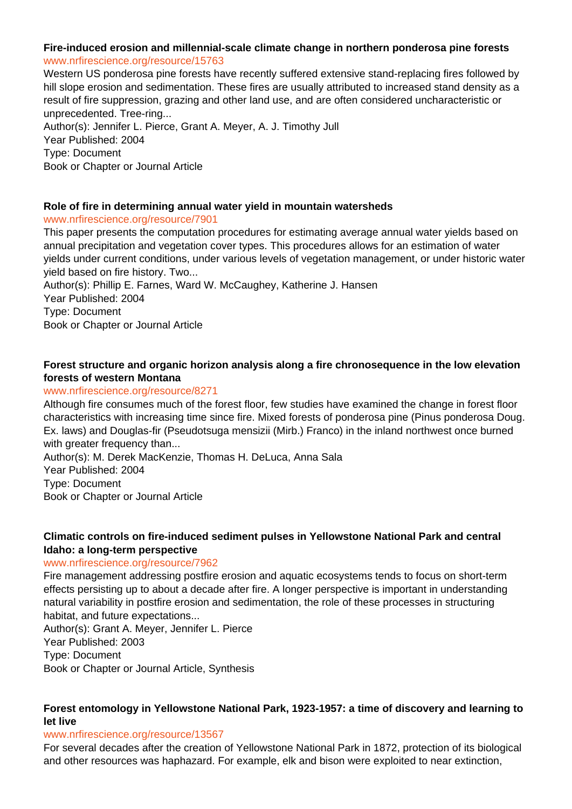# **Fire-induced erosion and millennial-scale climate change in northern ponderosa pine forests** www.nrfirescience.org/resource/15763

Western US ponderosa pine forests have recently suffered extensive stand-replacing fires followed by hill slope erosion and sedimentation. These fires are usually attributed to increased stand density as a result of fire suppression, grazing and other land use, and are often considered uncharacteristic or unprecedented. Tree-ring...

Author(s): Jennifer L. Pierce, Grant A. Meyer, A. J. Timothy Jull Year Published: 2004 Type: Document Book or Chapter or Journal Article

# **Role of fire in determining annual water yield in mountain watersheds**

# www.nrfirescience.org/resource/7901

This paper presents the computation procedures for estimating average annual water yields based on annual precipitation and vegetation cover types. This procedures allows for an estimation of water yields under current conditions, under various levels of vegetation management, or under historic water yield based on fire history. Two...

Author(s): Phillip E. Farnes, Ward W. McCaughey, Katherine J. Hansen Year Published: 2004 Type: Document Book or Chapter or Journal Article

# **Forest structure and organic horizon analysis along a fire chronosequence in the low elevation forests of western Montana**

# www.nrfirescience.org/resource/8271

Although fire consumes much of the forest floor, few studies have examined the change in forest floor characteristics with increasing time since fire. Mixed forests of ponderosa pine (Pinus ponderosa Doug. Ex. laws) and Douglas-fir (Pseudotsuga mensizii (Mirb.) Franco) in the inland northwest once burned with greater frequency than...

Author(s): M. Derek MacKenzie, Thomas H. DeLuca, Anna Sala Year Published: 2004 Type: Document Book or Chapter or Journal Article

# **Climatic controls on fire-induced sediment pulses in Yellowstone National Park and central Idaho: a long-term perspective**

#### www.nrfirescience.org/resource/7962

Fire management addressing postfire erosion and aquatic ecosystems tends to focus on short-term effects persisting up to about a decade after fire. A longer perspective is important in understanding natural variability in postfire erosion and sedimentation, the role of these processes in structuring habitat, and future expectations...

Author(s): Grant A. Meyer, Jennifer L. Pierce Year Published: 2003 Type: Document Book or Chapter or Journal Article, Synthesis

# **Forest entomology in Yellowstone National Park, 1923-1957: a time of discovery and learning to let live**

#### www.nrfirescience.org/resource/13567

For several decades after the creation of Yellowstone National Park in 1872, protection of its biological and other resources was haphazard. For example, elk and bison were exploited to near extinction,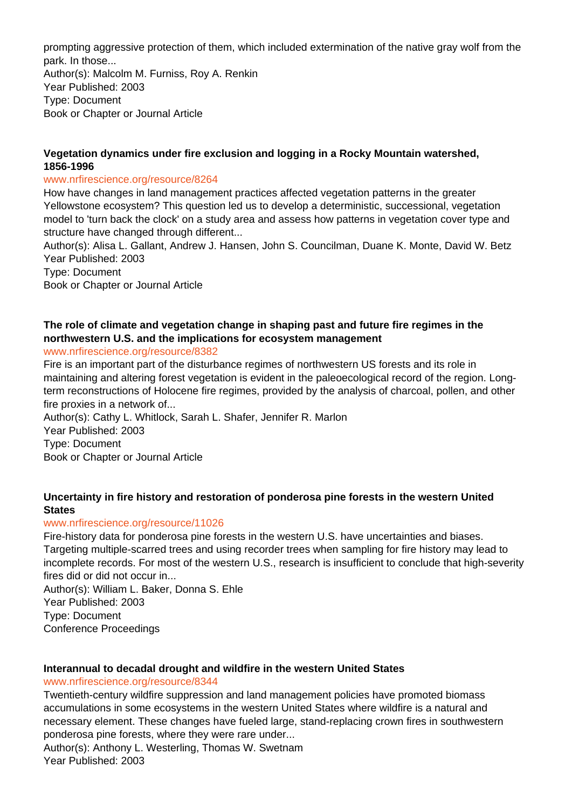prompting aggressive protection of them, which included extermination of the native gray wolf from the park. In those...

Author(s): Malcolm M. Furniss, Roy A. Renkin Year Published: 2003 Type: Document Book or Chapter or Journal Article

# **Vegetation dynamics under fire exclusion and logging in a Rocky Mountain watershed, 1856-1996**

#### www.nrfirescience.org/resource/8264

How have changes in land management practices affected vegetation patterns in the greater Yellowstone ecosystem? This question led us to develop a deterministic, successional, vegetation model to 'turn back the clock' on a study area and assess how patterns in vegetation cover type and structure have changed through different...

Author(s): Alisa L. Gallant, Andrew J. Hansen, John S. Councilman, Duane K. Monte, David W. Betz Year Published: 2003

Type: Document

Book or Chapter or Journal Article

# **The role of climate and vegetation change in shaping past and future fire regimes in the northwestern U.S. and the implications for ecosystem management**

# www.nrfirescience.org/resource/8382

Fire is an important part of the disturbance regimes of northwestern US forests and its role in maintaining and altering forest vegetation is evident in the paleoecological record of the region. Longterm reconstructions of Holocene fire regimes, provided by the analysis of charcoal, pollen, and other fire proxies in a network of...

Author(s): Cathy L. Whitlock, Sarah L. Shafer, Jennifer R. Marlon Year Published: 2003 Type: Document Book or Chapter or Journal Article

# **Uncertainty in fire history and restoration of ponderosa pine forests in the western United States**

#### www.nrfirescience.org/resource/11026

Fire-history data for ponderosa pine forests in the western U.S. have uncertainties and biases. Targeting multiple-scarred trees and using recorder trees when sampling for fire history may lead to incomplete records. For most of the western U.S., research is insufficient to conclude that high-severity fires did or did not occur in...

Author(s): William L. Baker, Donna S. Ehle Year Published: 2003 Type: Document Conference Proceedings

# **Interannual to decadal drought and wildfire in the western United States**

#### www.nrfirescience.org/resource/8344

Twentieth-century wildfire suppression and land management policies have promoted biomass accumulations in some ecosystems in the western United States where wildfire is a natural and necessary element. These changes have fueled large, stand-replacing crown fires in southwestern ponderosa pine forests, where they were rare under...

Author(s): Anthony L. Westerling, Thomas W. Swetnam Year Published: 2003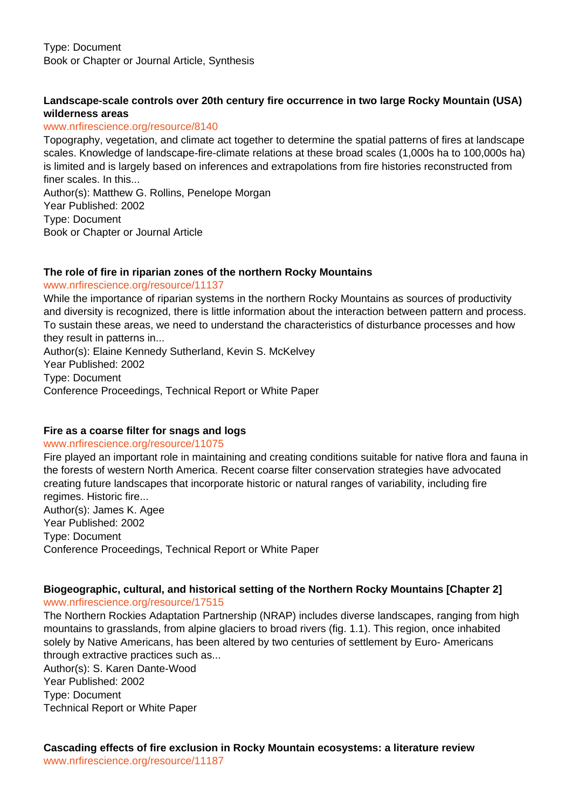# **Landscape-scale controls over 20th century fire occurrence in two large Rocky Mountain (USA) wilderness areas**

#### www.nrfirescience.org/resource/8140

Topography, vegetation, and climate act together to determine the spatial patterns of fires at landscape scales. Knowledge of landscape-fire-climate relations at these broad scales (1,000s ha to 100,000s ha) is limited and is largely based on inferences and extrapolations from fire histories reconstructed from finer scales. In this...

Author(s): Matthew G. Rollins, Penelope Morgan Year Published: 2002 Type: Document Book or Chapter or Journal Article

# **The role of fire in riparian zones of the northern Rocky Mountains**

www.nrfirescience.org/resource/11137

While the importance of riparian systems in the northern Rocky Mountains as sources of productivity and diversity is recognized, there is little information about the interaction between pattern and process. To sustain these areas, we need to understand the characteristics of disturbance processes and how they result in patterns in... Author(s): Elaine Kennedy Sutherland, Kevin S. McKelvey Year Published: 2002

Type: Document

Conference Proceedings, Technical Report or White Paper

# **Fire as a coarse filter for snags and logs**

#### www.nrfirescience.org/resource/11075

Fire played an important role in maintaining and creating conditions suitable for native flora and fauna in the forests of western North America. Recent coarse filter conservation strategies have advocated creating future landscapes that incorporate historic or natural ranges of variability, including fire regimes. Historic fire... Author(s): James K. Agee Year Published: 2002 Type: Document Conference Proceedings, Technical Report or White Paper

# **Biogeographic, cultural, and historical setting of the Northern Rocky Mountains [Chapter 2]**

www.nrfirescience.org/resource/17515

The Northern Rockies Adaptation Partnership (NRAP) includes diverse landscapes, ranging from high mountains to grasslands, from alpine glaciers to broad rivers (fig. 1.1). This region, once inhabited solely by Native Americans, has been altered by two centuries of settlement by Euro- Americans through extractive practices such as...

Author(s): S. Karen Dante-Wood Year Published: 2002

Type: Document Technical Report or White Paper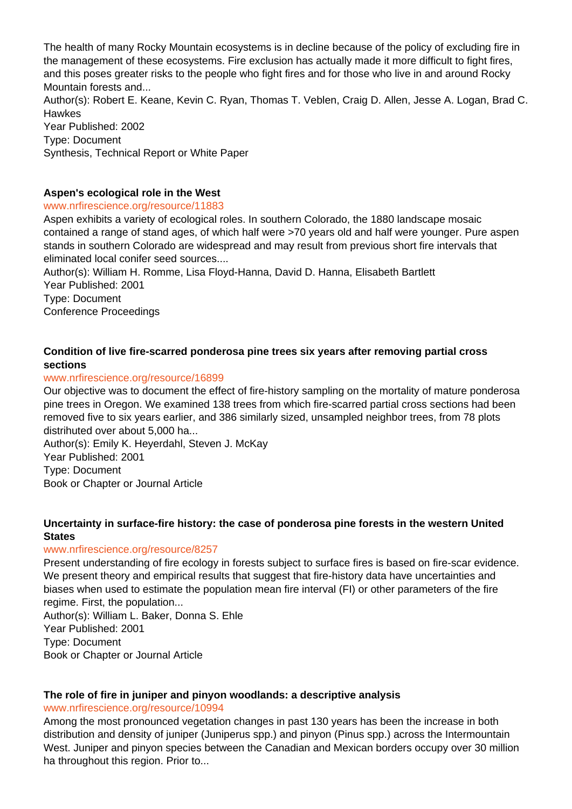The health of many Rocky Mountain ecosystems is in decline because of the policy of excluding fire in the management of these ecosystems. Fire exclusion has actually made it more difficult to fight fires, and this poses greater risks to the people who fight fires and for those who live in and around Rocky Mountain forests and...

Author(s): Robert E. Keane, Kevin C. Ryan, Thomas T. Veblen, Craig D. Allen, Jesse A. Logan, Brad C. **Hawkes** 

Year Published: 2002 Type: Document Synthesis, Technical Report or White Paper

# **Aspen's ecological role in the West**

# www.nrfirescience.org/resource/11883

Aspen exhibits a variety of ecological roles. In southern Colorado, the 1880 landscape mosaic contained a range of stand ages, of which half were >70 years old and half were younger. Pure aspen stands in southern Colorado are widespread and may result from previous short fire intervals that eliminated local conifer seed sources....

Author(s): William H. Romme, Lisa Floyd-Hanna, David D. Hanna, Elisabeth Bartlett Year Published: 2001 Type: Document

Conference Proceedings

# **Condition of live fire-scarred ponderosa pine trees six years after removing partial cross sections**

# www.nrfirescience.org/resource/16899

Our objective was to document the effect of fire-history sampling on the mortality of mature ponderosa pine trees in Oregon. We examined 138 trees from which fire-scarred partial cross sections had been removed five to six years earlier, and 386 similarly sized, unsampled neighbor trees, from 78 plots distrihuted over about 5,000 ha...

Author(s): Emily K. Heyerdahl, Steven J. McKay

Year Published: 2001

Type: Document

Book or Chapter or Journal Article

# **Uncertainty in surface-fire history: the case of ponderosa pine forests in the western United States**

# www.nrfirescience.org/resource/8257

Present understanding of fire ecology in forests subject to surface fires is based on fire-scar evidence. We present theory and empirical results that suggest that fire-history data have uncertainties and biases when used to estimate the population mean fire interval (FI) or other parameters of the fire regime. First, the population...

Author(s): William L. Baker, Donna S. Ehle Year Published: 2001 Type: Document Book or Chapter or Journal Article

#### **The role of fire in juniper and pinyon woodlands: a descriptive analysis** www.nrfirescience.org/resource/10994

Among the most pronounced vegetation changes in past 130 years has been the increase in both distribution and density of juniper (Juniperus spp.) and pinyon (Pinus spp.) across the Intermountain West. Juniper and pinyon species between the Canadian and Mexican borders occupy over 30 million ha throughout this region. Prior to...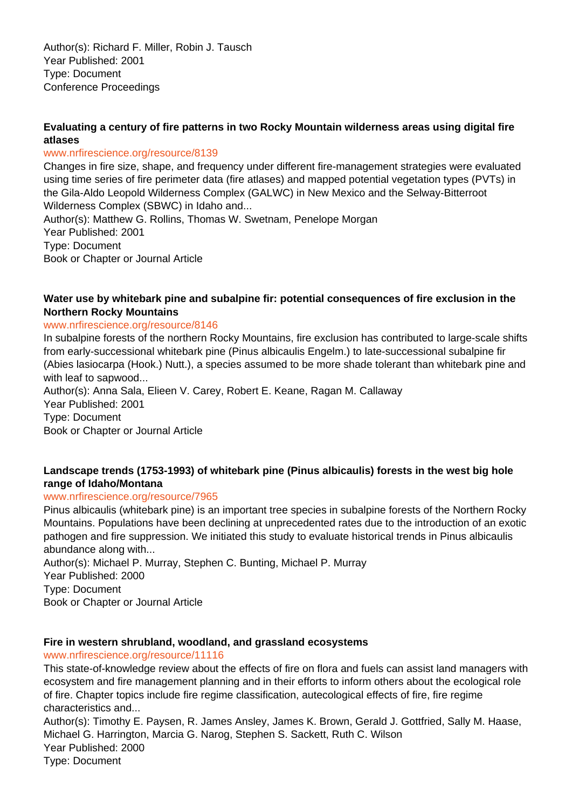Author(s): Richard F. Miller, Robin J. Tausch Year Published: 2001 Type: Document Conference Proceedings

# **Evaluating a century of fire patterns in two Rocky Mountain wilderness areas using digital fire atlases**

#### www.nrfirescience.org/resource/8139

Changes in fire size, shape, and frequency under different fire-management strategies were evaluated using time series of fire perimeter data (fire atlases) and mapped potential vegetation types (PVTs) in the Gila-Aldo Leopold Wilderness Complex (GALWC) in New Mexico and the Selway-Bitterroot Wilderness Complex (SBWC) in Idaho and...

Author(s): Matthew G. Rollins, Thomas W. Swetnam, Penelope Morgan Year Published: 2001 Type: Document Book or Chapter or Journal Article

# **Water use by whitebark pine and subalpine fir: potential consequences of fire exclusion in the Northern Rocky Mountains**

# www.nrfirescience.org/resource/8146

In subalpine forests of the northern Rocky Mountains, fire exclusion has contributed to large-scale shifts from early-successional whitebark pine (Pinus albicaulis Engelm.) to late-successional subalpine fir (Abies lasiocarpa (Hook.) Nutt.), a species assumed to be more shade tolerant than whitebark pine and with leaf to sapwood...

Author(s): Anna Sala, Elieen V. Carey, Robert E. Keane, Ragan M. Callaway Year Published: 2001 Type: Document Book or Chapter or Journal Article

# **Landscape trends (1753-1993) of whitebark pine (Pinus albicaulis) forests in the west big hole range of Idaho/Montana**

#### www.nrfirescience.org/resource/7965

Pinus albicaulis (whitebark pine) is an important tree species in subalpine forests of the Northern Rocky Mountains. Populations have been declining at unprecedented rates due to the introduction of an exotic pathogen and fire suppression. We initiated this study to evaluate historical trends in Pinus albicaulis abundance along with...

Author(s): Michael P. Murray, Stephen C. Bunting, Michael P. Murray Year Published: 2000 Type: Document Book or Chapter or Journal Article

# **Fire in western shrubland, woodland, and grassland ecosystems**

www.nrfirescience.org/resource/11116

This state-of-knowledge review about the effects of fire on flora and fuels can assist land managers with ecosystem and fire management planning and in their efforts to inform others about the ecological role of fire. Chapter topics include fire regime classification, autecological effects of fire, fire regime characteristics and...

Author(s): Timothy E. Paysen, R. James Ansley, James K. Brown, Gerald J. Gottfried, Sally M. Haase, Michael G. Harrington, Marcia G. Narog, Stephen S. Sackett, Ruth C. Wilson Year Published: 2000 Type: Document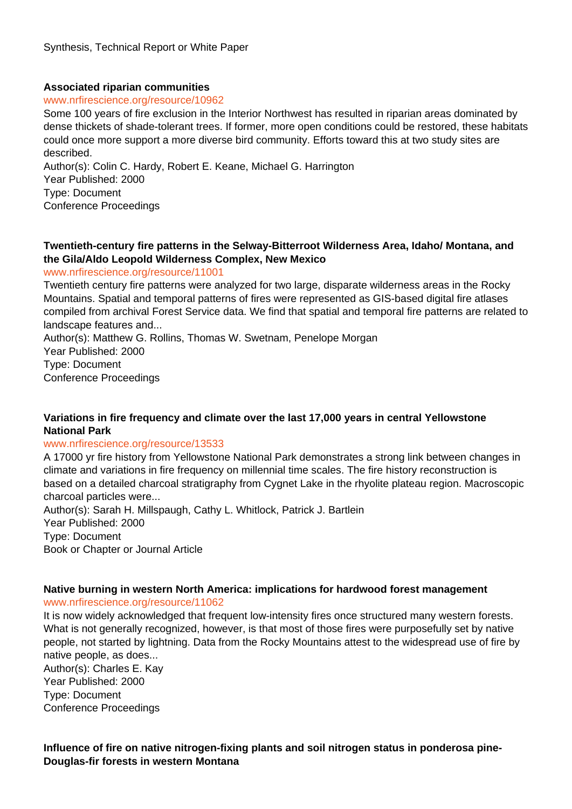# **Associated riparian communities**

#### www.nrfirescience.org/resource/10962

Some 100 years of fire exclusion in the Interior Northwest has resulted in riparian areas dominated by dense thickets of shade-tolerant trees. If former, more open conditions could be restored, these habitats could once more support a more diverse bird community. Efforts toward this at two study sites are described.

Author(s): Colin C. Hardy, Robert E. Keane, Michael G. Harrington Year Published: 2000 Type: Document Conference Proceedings

# **Twentieth-century fire patterns in the Selway-Bitterroot Wilderness Area, Idaho/ Montana, and the Gila/Aldo Leopold Wilderness Complex, New Mexico**

#### www.nrfirescience.org/resource/11001

Twentieth century fire patterns were analyzed for two large, disparate wilderness areas in the Rocky Mountains. Spatial and temporal patterns of fires were represented as GIS-based digital fire atlases compiled from archival Forest Service data. We find that spatial and temporal fire patterns are related to landscape features and...

Author(s): Matthew G. Rollins, Thomas W. Swetnam, Penelope Morgan Year Published: 2000 Type: Document Conference Proceedings

# **Variations in fire frequency and climate over the last 17,000 years in central Yellowstone National Park**

#### www.nrfirescience.org/resource/13533

A 17000 yr fire history from Yellowstone National Park demonstrates a strong link between changes in climate and variations in fire frequency on millennial time scales. The fire history reconstruction is based on a detailed charcoal stratigraphy from Cygnet Lake in the rhyolite plateau region. Macroscopic charcoal particles were...

Author(s): Sarah H. Millspaugh, Cathy L. Whitlock, Patrick J. Bartlein Year Published: 2000 Type: Document Book or Chapter or Journal Article

# **Native burning in western North America: implications for hardwood forest management**

www.nrfirescience.org/resource/11062

It is now widely acknowledged that frequent low-intensity fires once structured many western forests. What is not generally recognized, however, is that most of those fires were purposefully set by native people, not started by lightning. Data from the Rocky Mountains attest to the widespread use of fire by native people, as does...

Author(s): Charles E. Kay Year Published: 2000 Type: Document Conference Proceedings

**Influence of fire on native nitrogen-fixing plants and soil nitrogen status in ponderosa pine-Douglas-fir forests in western Montana**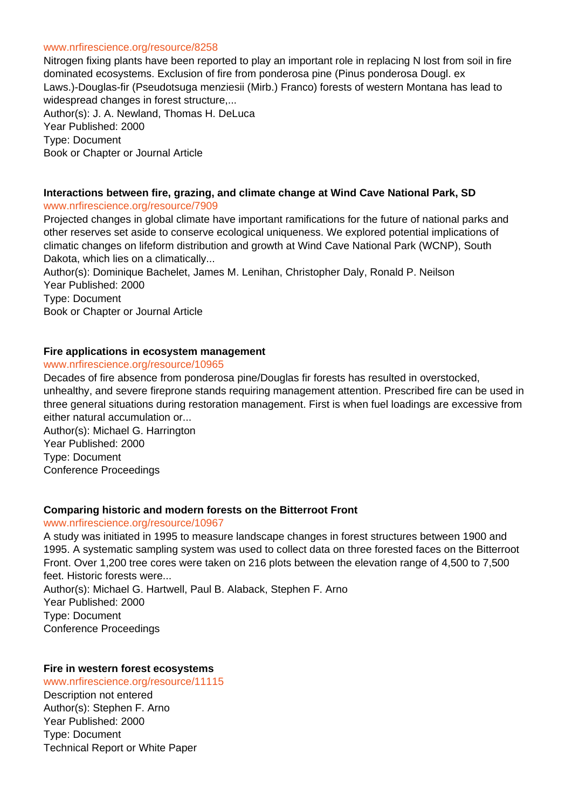#### www.nrfirescience.org/resource/8258

Nitrogen fixing plants have been reported to play an important role in replacing N lost from soil in fire dominated ecosystems. Exclusion of fire from ponderosa pine (Pinus ponderosa Dougl. ex Laws.)-Douglas-fir (Pseudotsuga menziesii (Mirb.) Franco) forests of western Montana has lead to widespread changes in forest structure,...

Author(s): J. A. Newland, Thomas H. DeLuca Year Published: 2000 Type: Document Book or Chapter or Journal Article

#### **Interactions between fire, grazing, and climate change at Wind Cave National Park, SD** www.nrfirescience.org/resource/7909

Projected changes in global climate have important ramifications for the future of national parks and other reserves set aside to conserve ecological uniqueness. We explored potential implications of climatic changes on lifeform distribution and growth at Wind Cave National Park (WCNP), South Dakota, which lies on a climatically...

Author(s): Dominique Bachelet, James M. Lenihan, Christopher Daly, Ronald P. Neilson Year Published: 2000

Type: Document Book or Chapter or Journal Article

# **Fire applications in ecosystem management**

## www.nrfirescience.org/resource/10965

Decades of fire absence from ponderosa pine/Douglas fir forests has resulted in overstocked, unhealthy, and severe fireprone stands requiring management attention. Prescribed fire can be used in three general situations during restoration management. First is when fuel loadings are excessive from either natural accumulation or...

Author(s): Michael G. Harrington Year Published: 2000 Type: Document Conference Proceedings

#### **Comparing historic and modern forests on the Bitterroot Front**

# www.nrfirescience.org/resource/10967

A study was initiated in 1995 to measure landscape changes in forest structures between 1900 and 1995. A systematic sampling system was used to collect data on three forested faces on the Bitterroot Front. Over 1,200 tree cores were taken on 216 plots between the elevation range of 4,500 to 7,500 feet. Historic forests were...

Author(s): Michael G. Hartwell, Paul B. Alaback, Stephen F. Arno Year Published: 2000 Type: Document Conference Proceedings

#### **Fire in western forest ecosystems**

www.nrfirescience.org/resource/11115

Description not entered Author(s): Stephen F. Arno Year Published: 2000 Type: Document Technical Report or White Paper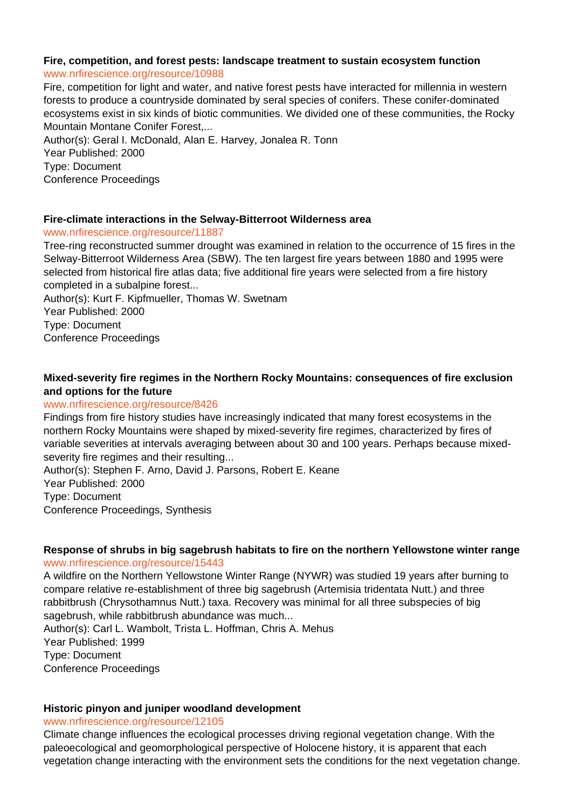# **Fire, competition, and forest pests: landscape treatment to sustain ecosystem function**

#### www.nrfirescience.org/resource/10988

Fire, competition for light and water, and native forest pests have interacted for millennia in western forests to produce a countryside dominated by seral species of conifers. These conifer-dominated ecosystems exist in six kinds of biotic communities. We divided one of these communities, the Rocky Mountain Montane Conifer Forest,...

Author(s): Geral I. McDonald, Alan E. Harvey, Jonalea R. Tonn Year Published: 2000 Type: Document Conference Proceedings

#### **Fire-climate interactions in the Selway-Bitterroot Wilderness area**

#### www.nrfirescience.org/resource/11887

Tree-ring reconstructed summer drought was examined in relation to the occurrence of 15 fires in the Selway-Bitterroot Wilderness Area (SBW). The ten largest fire years between 1880 and 1995 were selected from historical fire atlas data; five additional fire years were selected from a fire history completed in a subalpine forest...

Author(s): Kurt F. Kipfmueller, Thomas W. Swetnam Year Published: 2000 Type: Document Conference Proceedings

# **Mixed-severity fire regimes in the Northern Rocky Mountains: consequences of fire exclusion and options for the future**

#### www.nrfirescience.org/resource/8426

Findings from fire history studies have increasingly indicated that many forest ecosystems in the northern Rocky Mountains were shaped by mixed-severity fire regimes, characterized by fires of variable severities at intervals averaging between about 30 and 100 years. Perhaps because mixedseverity fire regimes and their resulting...

Author(s): Stephen F. Arno, David J. Parsons, Robert E. Keane Year Published: 2000 Type: Document Conference Proceedings, Synthesis

# **Response of shrubs in big sagebrush habitats to fire on the northern Yellowstone winter range**

## www.nrfirescience.org/resource/15443

A wildfire on the Northern Yellowstone Winter Range (NYWR) was studied 19 years after burning to compare relative re-establishment of three big sagebrush (Artemisia tridentata Nutt.) and three rabbitbrush (Chrysothamnus Nutt.) taxa. Recovery was minimal for all three subspecies of big sagebrush, while rabbitbrush abundance was much...

Author(s): Carl L. Wambolt, Trista L. Hoffman, Chris A. Mehus Year Published: 1999 Type: Document Conference Proceedings

#### **Historic pinyon and juniper woodland development**

www.nrfirescience.org/resource/12105

Climate change influences the ecological processes driving regional vegetation change. With the paleoecological and geomorphological perspective of Holocene history, it is apparent that each vegetation change interacting with the environment sets the conditions for the next vegetation change.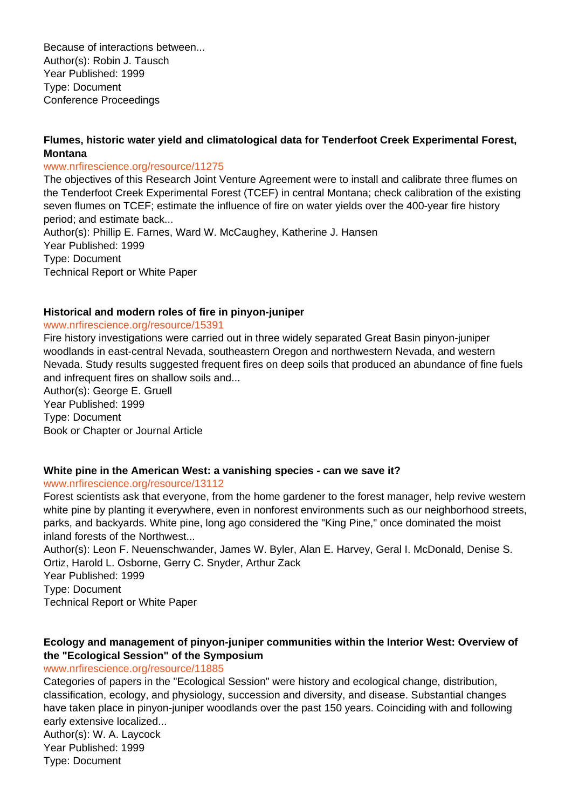Because of interactions between... Author(s): Robin J. Tausch Year Published: 1999 Type: Document Conference Proceedings

# **Flumes, historic water yield and climatological data for Tenderfoot Creek Experimental Forest, Montana**

## www.nrfirescience.org/resource/11275

The objectives of this Research Joint Venture Agreement were to install and calibrate three flumes on the Tenderfoot Creek Experimental Forest (TCEF) in central Montana; check calibration of the existing seven flumes on TCEF; estimate the influence of fire on water yields over the 400-year fire history period; and estimate back...

Author(s): Phillip E. Farnes, Ward W. McCaughey, Katherine J. Hansen Year Published: 1999 Type: Document Technical Report or White Paper

# **Historical and modern roles of fire in pinyon-juniper**

#### www.nrfirescience.org/resource/15391

Fire history investigations were carried out in three widely separated Great Basin pinyon-juniper woodlands in east-central Nevada, southeastern Oregon and northwestern Nevada, and western Nevada. Study results suggested frequent fires on deep soils that produced an abundance of fine fuels and infrequent fires on shallow soils and...

Author(s): George E. Gruell Year Published: 1999 Type: Document Book or Chapter or Journal Article

# **White pine in the American West: a vanishing species - can we save it?**

www.nrfirescience.org/resource/13112

Forest scientists ask that everyone, from the home gardener to the forest manager, help revive western white pine by planting it everywhere, even in nonforest environments such as our neighborhood streets, parks, and backyards. White pine, long ago considered the "King Pine," once dominated the moist inland forests of the Northwest...

Author(s): Leon F. Neuenschwander, James W. Byler, Alan E. Harvey, Geral I. McDonald, Denise S. Ortiz, Harold L. Osborne, Gerry C. Snyder, Arthur Zack

Year Published: 1999

Type: Document

Technical Report or White Paper

# **Ecology and management of pinyon-juniper communities within the Interior West: Overview of the "Ecological Session" of the Symposium**

www.nrfirescience.org/resource/11885

Categories of papers in the "Ecological Session" were history and ecological change, distribution, classification, ecology, and physiology, succession and diversity, and disease. Substantial changes have taken place in pinyon-juniper woodlands over the past 150 years. Coinciding with and following early extensive localized...

Author(s): W. A. Laycock Year Published: 1999 Type: Document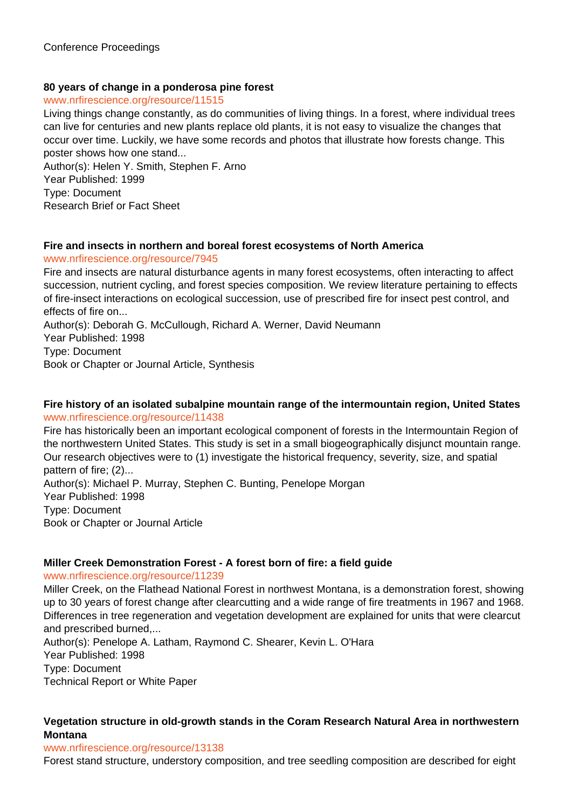# **80 years of change in a ponderosa pine forest**

## www.nrfirescience.org/resource/11515

Living things change constantly, as do communities of living things. In a forest, where individual trees can live for centuries and new plants replace old plants, it is not easy to visualize the changes that occur over time. Luckily, we have some records and photos that illustrate how forests change. This poster shows how one stand...

Author(s): Helen Y. Smith, Stephen F. Arno Year Published: 1999 Type: Document Research Brief or Fact Sheet

# **Fire and insects in northern and boreal forest ecosystems of North America**

#### www.nrfirescience.org/resource/7945

Fire and insects are natural disturbance agents in many forest ecosystems, often interacting to affect succession, nutrient cycling, and forest species composition. We review literature pertaining to effects of fire-insect interactions on ecological succession, use of prescribed fire for insect pest control, and effects of fire on...

Author(s): Deborah G. McCullough, Richard A. Werner, David Neumann Year Published: 1998 Type: Document Book or Chapter or Journal Article, Synthesis

#### **Fire history of an isolated subalpine mountain range of the intermountain region, United States** www.nrfirescience.org/resource/11438

Fire has historically been an important ecological component of forests in the Intermountain Region of the northwestern United States. This study is set in a small biogeographically disjunct mountain range. Our research objectives were to (1) investigate the historical frequency, severity, size, and spatial pattern of fire; (2)... Author(s): Michael P. Murray, Stephen C. Bunting, Penelope Morgan Year Published: 1998 Type: Document Book or Chapter or Journal Article

#### **Miller Creek Demonstration Forest - A forest born of fire: a field guide**

www.nrfirescience.org/resource/11239

Miller Creek, on the Flathead National Forest in northwest Montana, is a demonstration forest, showing up to 30 years of forest change after clearcutting and a wide range of fire treatments in 1967 and 1968. Differences in tree regeneration and vegetation development are explained for units that were clearcut and prescribed burned,...

Author(s): Penelope A. Latham, Raymond C. Shearer, Kevin L. O'Hara Year Published: 1998 Type: Document Technical Report or White Paper

# **Vegetation structure in old-growth stands in the Coram Research Natural Area in northwestern Montana**

#### www.nrfirescience.org/resource/13138

Forest stand structure, understory composition, and tree seedling composition are described for eight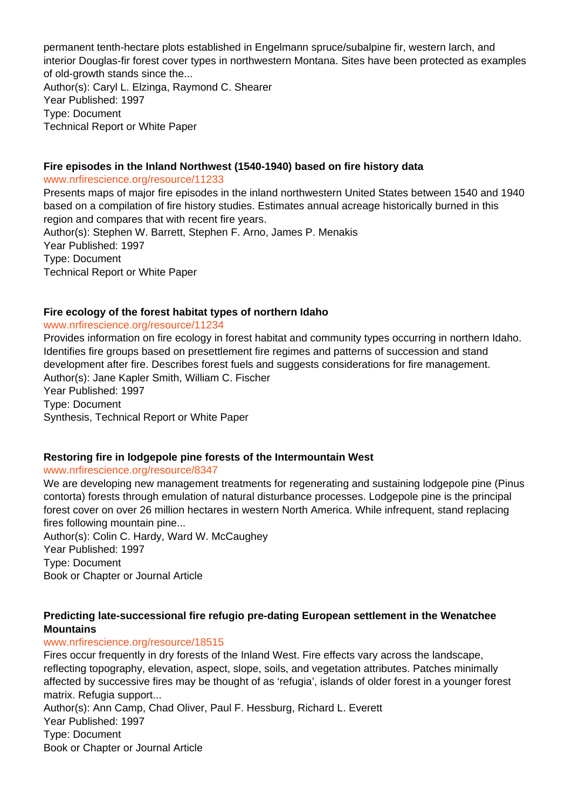permanent tenth-hectare plots established in Engelmann spruce/subalpine fir, western larch, and interior Douglas-fir forest cover types in northwestern Montana. Sites have been protected as examples of old-growth stands since the... Author(s): Caryl L. Elzinga, Raymond C. Shearer Year Published: 1997 Type: Document Technical Report or White Paper

# **Fire episodes in the Inland Northwest (1540-1940) based on fire history data**

www.nrfirescience.org/resource/11233

Presents maps of major fire episodes in the inland northwestern United States between 1540 and 1940 based on a compilation of fire history studies. Estimates annual acreage historically burned in this region and compares that with recent fire years. Author(s): Stephen W. Barrett, Stephen F. Arno, James P. Menakis

Year Published: 1997 Type: Document

Technical Report or White Paper

# **Fire ecology of the forest habitat types of northern Idaho**

#### www.nrfirescience.org/resource/11234

Provides information on fire ecology in forest habitat and community types occurring in northern Idaho. Identifies fire groups based on presettlement fire regimes and patterns of succession and stand development after fire. Describes forest fuels and suggests considerations for fire management. Author(s): Jane Kapler Smith, William C. Fischer Year Published: 1997 Type: Document Synthesis, Technical Report or White Paper

# **Restoring fire in lodgepole pine forests of the Intermountain West**

#### www.nrfirescience.org/resource/8347

We are developing new management treatments for regenerating and sustaining lodgepole pine (Pinus contorta) forests through emulation of natural disturbance processes. Lodgepole pine is the principal forest cover on over 26 million hectares in western North America. While infrequent, stand replacing fires following mountain pine...

Author(s): Colin C. Hardy, Ward W. McCaughey Year Published: 1997 Type: Document Book or Chapter or Journal Article

# **Predicting late-successional fire refugio pre-dating European settlement in the Wenatchee Mountains**

# www.nrfirescience.org/resource/18515

Fires occur frequently in dry forests of the Inland West. Fire effects vary across the landscape, reflecting topography, elevation, aspect, slope, soils, and vegetation attributes. Patches minimally affected by successive fires may be thought of as 'refugia', islands of older forest in a younger forest matrix. Refugia support...

Author(s): Ann Camp, Chad Oliver, Paul F. Hessburg, Richard L. Everett Year Published: 1997 Type: Document Book or Chapter or Journal Article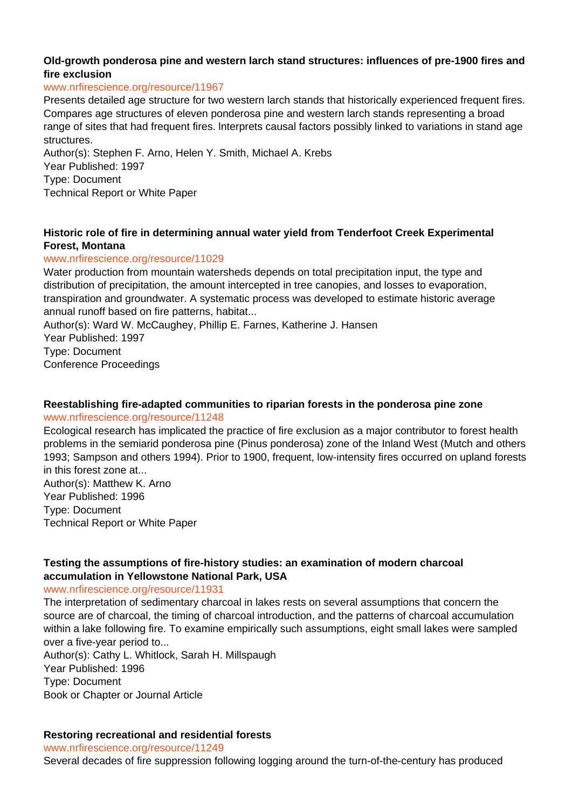# **Old-growth ponderosa pine and western larch stand structures: influences of pre-1900 fires and fire exclusion**

## www.nrfirescience.org/resource/11967

Presents detailed age structure for two western larch stands that historically experienced frequent fires. Compares age structures of eleven ponderosa pine and western larch stands representing a broad range of sites that had frequent fires. lnterprets causal factors possibly linked to variations in stand age structures.

Author(s): Stephen F. Arno, Helen Y. Smith, Michael A. Krebs Year Published: 1997 Type: Document Technical Report or White Paper

# **Historic role of fire in determining annual water yield from Tenderfoot Creek Experimental Forest, Montana**

# www.nrfirescience.org/resource/11029

Water production from mountain watersheds depends on total precipitation input, the type and distribution of precipitation, the amount intercepted in tree canopies, and losses to evaporation, transpiration and groundwater. A systematic process was developed to estimate historic average annual runoff based on fire patterns, habitat...

Author(s): Ward W. McCaughey, Phillip E. Farnes, Katherine J. Hansen

Year Published: 1997

Type: Document

Conference Proceedings

# **Reestablishing fire-adapted communities to riparian forests in the ponderosa pine zone**

#### www.nrfirescience.org/resource/11248

Ecological research has implicated the practice of fire exclusion as a major contributor to forest health problems in the semiarid ponderosa pine (Pinus ponderosa) zone of the Inland West (Mutch and others 1993; Sampson and others 1994). Prior to 1900, frequent, low-intensity fires occurred on upland forests in this forest zone at...

Author(s): Matthew K. Arno Year Published: 1996 Type: Document Technical Report or White Paper

# **Testing the assumptions of fire-history studies: an examination of modern charcoal accumulation in Yellowstone National Park, USA**

#### www.nrfirescience.org/resource/11931

The interpretation of sedimentary charcoal in lakes rests on several assumptions that concern the source are of charcoal, the timing of charcoal introduction, and the patterns of charcoal accumulation within a lake following fire. To examine empirically such assumptions, eight small lakes were sampled over a five-year period to...

Author(s): Cathy L. Whitlock, Sarah H. Millspaugh Year Published: 1996 Type: Document Book or Chapter or Journal Article

# **Restoring recreational and residential forests**

www.nrfirescience.org/resource/11249

Several decades of fire suppression following logging around the turn-of-the-century has produced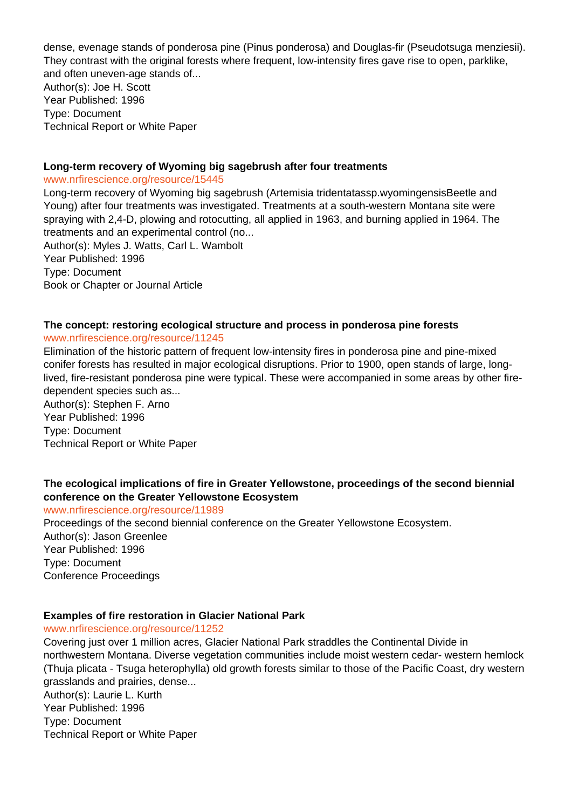dense, evenage stands of ponderosa pine (Pinus ponderosa) and Douglas-fir (Pseudotsuga menziesii). They contrast with the original forests where frequent, low-intensity fires gave rise to open, parklike, and often uneven-age stands of...

Author(s): Joe H. Scott Year Published: 1996 Type: Document Technical Report or White Paper

#### **Long-term recovery of Wyoming big sagebrush after four treatments**

www.nrfirescience.org/resource/15445

Long-term recovery of Wyoming big sagebrush (Artemisia tridentatassp.wyomingensisBeetle and Young) after four treatments was investigated. Treatments at a south-western Montana site were spraying with 2,4-D, plowing and rotocutting, all applied in 1963, and burning applied in 1964. The treatments and an experimental control (no...

Author(s): Myles J. Watts, Carl L. Wambolt Year Published: 1996 Type: Document Book or Chapter or Journal Article

# **The concept: restoring ecological structure and process in ponderosa pine forests**

#### www.nrfirescience.org/resource/11245

Elimination of the historic pattern of frequent low-intensity fires in ponderosa pine and pine-mixed conifer forests has resulted in major ecological disruptions. Prior to 1900, open stands of large, longlived, fire-resistant ponderosa pine were typical. These were accompanied in some areas by other firedependent species such as...

Author(s): Stephen F. Arno Year Published: 1996 Type: Document Technical Report or White Paper

# **The ecological implications of fire in Greater Yellowstone, proceedings of the second biennial conference on the Greater Yellowstone Ecosystem**

www.nrfirescience.org/resource/11989

Proceedings of the second biennial conference on the Greater Yellowstone Ecosystem. Author(s): Jason Greenlee Year Published: 1996 Type: Document Conference Proceedings

#### **Examples of fire restoration in Glacier National Park**

www.nrfirescience.org/resource/11252

Covering just over 1 million acres, Glacier National Park straddles the Continental Divide in northwestern Montana. Diverse vegetation communities include moist western cedar- western hemlock (Thuja plicata - Tsuga heterophylla) old growth forests similar to those of the Pacific Coast, dry western grasslands and prairies, dense...

Author(s): Laurie L. Kurth Year Published: 1996 Type: Document Technical Report or White Paper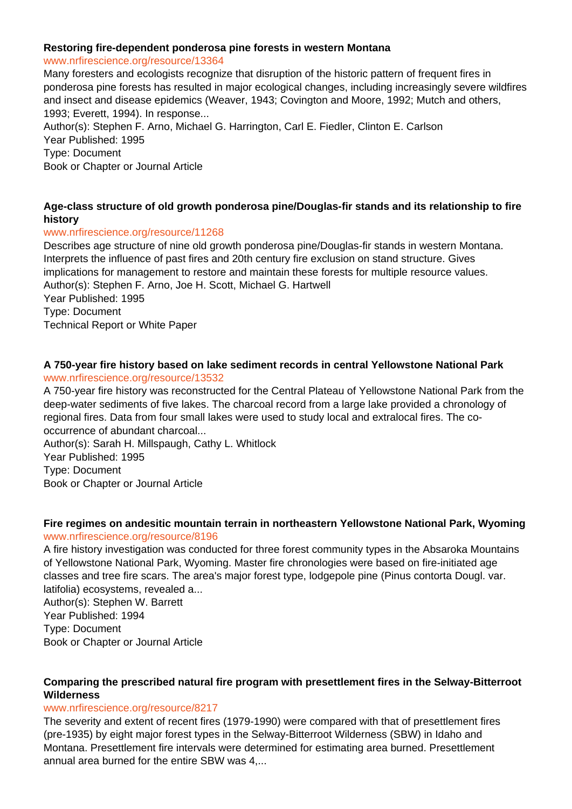#### **Restoring fire-dependent ponderosa pine forests in western Montana**

#### www.nrfirescience.org/resource/13364

Many foresters and ecologists recognize that disruption of the historic pattern of frequent fires in ponderosa pine forests has resulted in major ecological changes, including increasingly severe wildfires and insect and disease epidemics (Weaver, 1943; Covington and Moore, 1992; Mutch and others, 1993; Everett, 1994). In response...

Author(s): Stephen F. Arno, Michael G. Harrington, Carl E. Fiedler, Clinton E. Carlson Year Published: 1995

Type: Document

Book or Chapter or Journal Article

# **Age-class structure of old growth ponderosa pine/Douglas-fir stands and its relationship to fire history**

# www.nrfirescience.org/resource/11268

Describes age structure of nine old growth ponderosa pine/Douglas-fir stands in western Montana. Interprets the influence of past fires and 20th century fire exclusion on stand structure. Gives implications for management to restore and maintain these forests for multiple resource values. Author(s): Stephen F. Arno, Joe H. Scott, Michael G. Hartwell Year Published: 1995 Type: Document Technical Report or White Paper

#### **A 750-year fire history based on lake sediment records in central Yellowstone National Park** www.nrfirescience.org/resource/13532

A 750-year fire history was reconstructed for the Central Plateau of Yellowstone National Park from the deep-water sediments of five lakes. The charcoal record from a large lake provided a chronology of regional fires. Data from four small lakes were used to study local and extralocal fires. The cooccurrence of abundant charcoal...

Author(s): Sarah H. Millspaugh, Cathy L. Whitlock Year Published: 1995 Type: Document Book or Chapter or Journal Article

# **Fire regimes on andesitic mountain terrain in northeastern Yellowstone National Park, Wyoming** www.nrfirescience.org/resource/8196

A fire history investigation was conducted for three forest community types in the Absaroka Mountains of Yellowstone National Park, Wyoming. Master fire chronologies were based on fire-initiated age classes and tree fire scars. The area's major forest type, lodgepole pine (Pinus contorta Dougl. var. latifolia) ecosystems, revealed a...

Author(s): Stephen W. Barrett Year Published: 1994 Type: Document Book or Chapter or Journal Article

# **Comparing the prescribed natural fire program with presettlement fires in the Selway-Bitterroot Wilderness**

# www.nrfirescience.org/resource/8217

The severity and extent of recent fires (1979-1990) were compared with that of presettlement fires (pre-1935) by eight major forest types in the Selway-Bitterroot Wilderness (SBW) in Idaho and Montana. Presettlement fire intervals were determined for estimating area burned. Presettlement annual area burned for the entire SBW was 4,...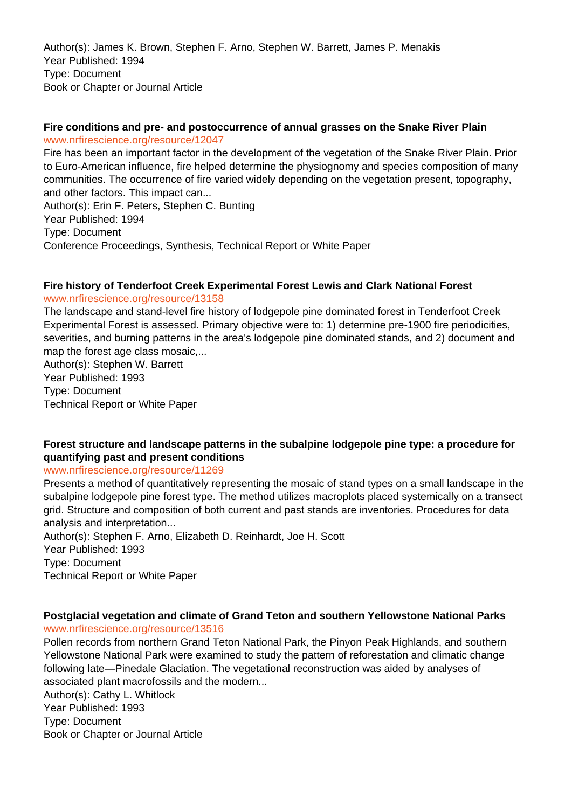Author(s): James K. Brown, Stephen F. Arno, Stephen W. Barrett, James P. Menakis Year Published: 1994 Type: Document Book or Chapter or Journal Article

#### **Fire conditions and pre- and postoccurrence of annual grasses on the Snake River Plain** www.nrfirescience.org/resource/12047

Fire has been an important factor in the development of the vegetation of the Snake River Plain. Prior to Euro-American influence, fire helped determine the physiognomy and species composition of many communities. The occurrence of fire varied widely depending on the vegetation present, topography, and other factors. This impact can... Author(s): Erin F. Peters, Stephen C. Bunting Year Published: 1994 Type: Document Conference Proceedings, Synthesis, Technical Report or White Paper

# **Fire history of Tenderfoot Creek Experimental Forest Lewis and Clark National Forest**

www.nrfirescience.org/resource/13158

The landscape and stand-level fire history of lodgepole pine dominated forest in Tenderfoot Creek Experimental Forest is assessed. Primary objective were to: 1) determine pre-1900 fire periodicities, severities, and burning patterns in the area's lodgepole pine dominated stands, and 2) document and map the forest age class mosaic,...

Author(s): Stephen W. Barrett Year Published: 1993 Type: Document Technical Report or White Paper

# **Forest structure and landscape patterns in the subalpine lodgepole pine type: a procedure for quantifying past and present conditions**

#### www.nrfirescience.org/resource/11269

Presents a method of quantitatively representing the mosaic of stand types on a small landscape in the subalpine lodgepole pine forest type. The method utilizes macroplots placed systemically on a transect grid. Structure and composition of both current and past stands are inventories. Procedures for data analysis and interpretation...

Author(s): Stephen F. Arno, Elizabeth D. Reinhardt, Joe H. Scott Year Published: 1993 Type: Document Technical Report or White Paper

#### **Postglacial vegetation and climate of Grand Teton and southern Yellowstone National Parks** www.nrfirescience.org/resource/13516

Pollen records from northern Grand Teton National Park, the Pinyon Peak Highlands, and southern Yellowstone National Park were examined to study the pattern of reforestation and climatic change following late—Pinedale Glaciation. The vegetational reconstruction was aided by analyses of associated plant macrofossils and the modern...

Author(s): Cathy L. Whitlock Year Published: 1993 Type: Document Book or Chapter or Journal Article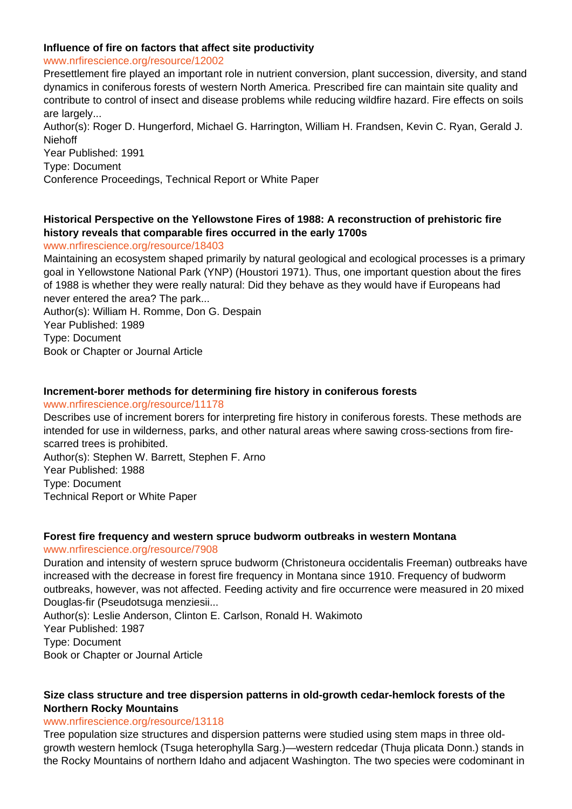## **Influence of fire on factors that affect site productivity**

www.nrfirescience.org/resource/12002

Presettlement fire played an important role in nutrient conversion, plant succession, diversity, and stand dynamics in coniferous forests of western North America. Prescribed fire can maintain site quality and contribute to control of insect and disease problems while reducing wildfire hazard. Fire effects on soils are largely...

Author(s): Roger D. Hungerford, Michael G. Harrington, William H. Frandsen, Kevin C. Ryan, Gerald J. Niehoff

Year Published: 1991

Type: Document

Conference Proceedings, Technical Report or White Paper

# **Historical Perspective on the Yellowstone Fires of 1988: A reconstruction of prehistoric fire history reveals that comparable fires occurred in the early 1700s**

www.nrfirescience.org/resource/18403

Maintaining an ecosystem shaped primarily by natural geological and ecological processes is a primary goal in Yellowstone National Park (YNP) (Houstori 1971). Thus, one important question about the fires of 1988 is whether they were really natural: Did they behave as they would have if Europeans had never entered the area? The park...

Author(s): William H. Romme, Don G. Despain

Year Published: 1989

Type: Document

Book or Chapter or Journal Article

# **Increment-borer methods for determining fire history in coniferous forests**

www.nrfirescience.org/resource/11178

Describes use of increment borers for interpreting fire history in coniferous forests. These methods are intended for use in wilderness, parks, and other natural areas where sawing cross-sections from firescarred trees is prohibited.

Author(s): Stephen W. Barrett, Stephen F. Arno Year Published: 1988 Type: Document Technical Report or White Paper

# **Forest fire frequency and western spruce budworm outbreaks in western Montana**

www.nrfirescience.org/resource/7908

Duration and intensity of western spruce budworm (Christoneura occidentalis Freeman) outbreaks have increased with the decrease in forest fire frequency in Montana since 1910. Frequency of budworm outbreaks, however, was not affected. Feeding activity and fire occurrence were measured in 20 mixed Douglas-fir (Pseudotsuga menziesii...

Author(s): Leslie Anderson, Clinton E. Carlson, Ronald H. Wakimoto Year Published: 1987 Type: Document Book or Chapter or Journal Article

#### **Size class structure and tree dispersion patterns in old-growth cedar-hemlock forests of the Northern Rocky Mountains**

#### www.nrfirescience.org/resource/13118

Tree population size structures and dispersion patterns were studied using stem maps in three oldgrowth western hemlock (Tsuga heterophylla Sarg.)—western redcedar (Thuja plicata Donn.) stands in the Rocky Mountains of northern Idaho and adjacent Washington. The two species were codominant in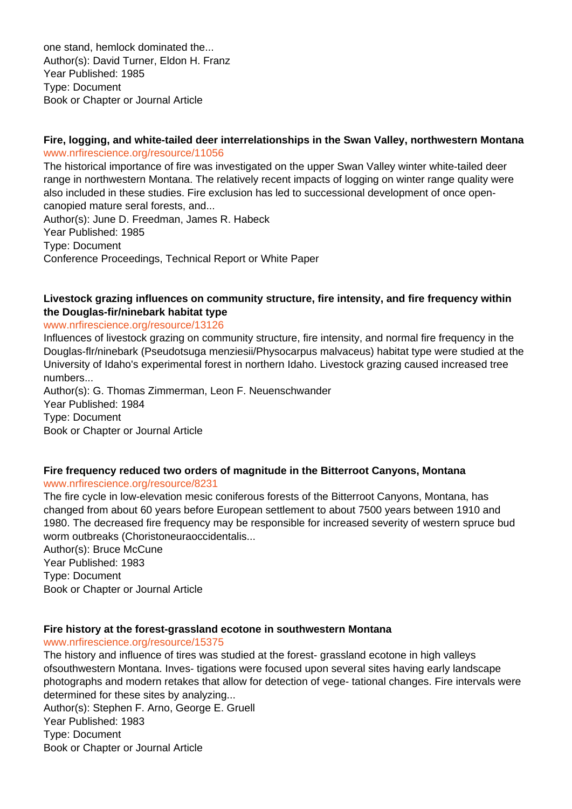one stand, hemlock dominated the... Author(s): David Turner, Eldon H. Franz Year Published: 1985 Type: Document Book or Chapter or Journal Article

# **Fire, logging, and white-tailed deer interrelationships in the Swan Valley, northwestern Montana** www.nrfirescience.org/resource/11056

The historical importance of fire was investigated on the upper Swan Valley winter white-tailed deer range in northwestern Montana. The relatively recent impacts of logging on winter range quality were also included in these studies. Fire exclusion has led to successional development of once opencanopied mature seral forests, and...

Author(s): June D. Freedman, James R. Habeck Year Published: 1985 Type: Document Conference Proceedings, Technical Report or White Paper

# **Livestock grazing influences on community structure, fire intensity, and fire frequency within the Douglas-fir/ninebark habitat type**

#### www.nrfirescience.org/resource/13126

Influences of livestock grazing on community structure, fire intensity, and normal fire frequency in the Douglas-flr/ninebark (Pseudotsuga menziesii/Physocarpus malvaceus) habitat type were studied at the University of Idaho's experimental forest in northern Idaho. Livestock grazing caused increased tree numbers...

Author(s): G. Thomas Zimmerman, Leon F. Neuenschwander Year Published: 1984 Type: Document Book or Chapter or Journal Article

# **Fire frequency reduced two orders of magnitude in the Bitterroot Canyons, Montana**

www.nrfirescience.org/resource/8231

The fire cycle in low-elevation mesic coniferous forests of the Bitterroot Canyons, Montana, has changed from about 60 years before European settlement to about 7500 years between 1910 and 1980. The decreased fire frequency may be responsible for increased severity of western spruce bud worm outbreaks (Choristoneuraoccidentalis...

Author(s): Bruce McCune Year Published: 1983 Type: Document Book or Chapter or Journal Article

# **Fire history at the forest-grassland ecotone in southwestern Montana**

# www.nrfirescience.org/resource/15375

The history and influence of tires was studied at the forest- grassland ecotone in high valleys ofsouthwestern Montana. Inves- tigations were focused upon several sites having early landscape photographs and modern retakes that allow for detection of vege- tational changes. Fire intervals were determined for these sites by analyzing...

Author(s): Stephen F. Arno, George E. Gruell Year Published: 1983 Type: Document Book or Chapter or Journal Article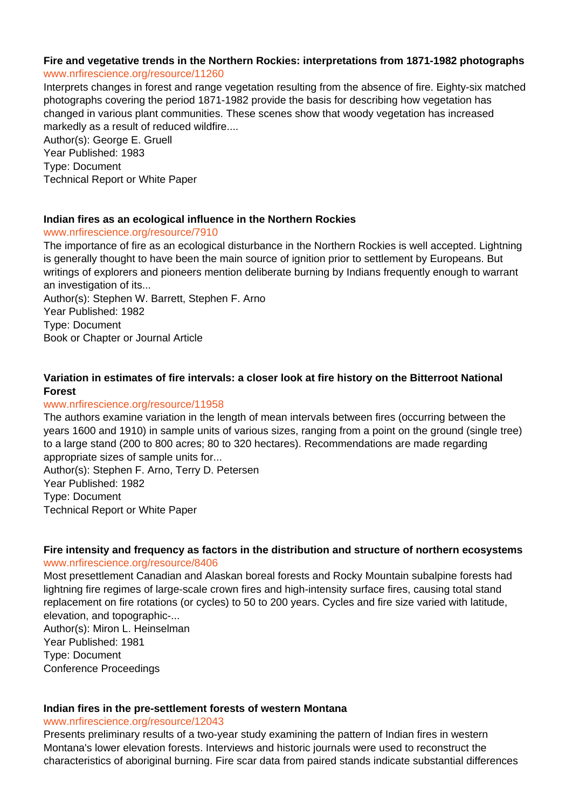# **Fire and vegetative trends in the Northern Rockies: interpretations from 1871-1982 photographs**

# www.nrfirescience.org/resource/11260

Interprets changes in forest and range vegetation resulting from the absence of fire. Eighty-six matched photographs covering the period 1871-1982 provide the basis for describing how vegetation has changed in various plant communities. These scenes show that woody vegetation has increased markedly as a result of reduced wildfire....

Author(s): George E. Gruell Year Published: 1983 Type: Document Technical Report or White Paper

# **Indian fires as an ecological influence in the Northern Rockies**

#### www.nrfirescience.org/resource/7910

The importance of fire as an ecological disturbance in the Northern Rockies is well accepted. Lightning is generally thought to have been the main source of ignition prior to settlement by Europeans. But writings of explorers and pioneers mention deliberate burning by Indians frequently enough to warrant an investigation of its...

Author(s): Stephen W. Barrett, Stephen F. Arno Year Published: 1982 Type: Document Book or Chapter or Journal Article

# **Variation in estimates of fire intervals: a closer look at fire history on the Bitterroot National Forest**

# www.nrfirescience.org/resource/11958

The authors examine variation in the length of mean intervals between fires (occurring between the years 1600 and 1910) in sample units of various sizes, ranging from a point on the ground (single tree) to a large stand (200 to 800 acres; 80 to 320 hectares). Recommendations are made regarding appropriate sizes of sample units for... Author(s): Stephen F. Arno, Terry D. Petersen

Year Published: 1982 Type: Document Technical Report or White Paper

#### **Fire intensity and frequency as factors in the distribution and structure of northern ecosystems** www.nrfirescience.org/resource/8406

Most presettlement Canadian and Alaskan boreal forests and Rocky Mountain subalpine forests had lightning fire regimes of large-scale crown fires and high-intensity surface fires, causing total stand replacement on fire rotations (or cycles) to 50 to 200 years. Cycles and fire size varied with latitude, elevation, and topographic-... Author(s): Miron L. Heinselman

Year Published: 1981 Type: Document Conference Proceedings

# **Indian fires in the pre-settlement forests of western Montana**

www.nrfirescience.org/resource/12043

Presents preliminary results of a two-year study examining the pattern of Indian fires in western Montana's lower elevation forests. Interviews and historic journals were used to reconstruct the characteristics of aboriginal burning. Fire scar data from paired stands indicate substantial differences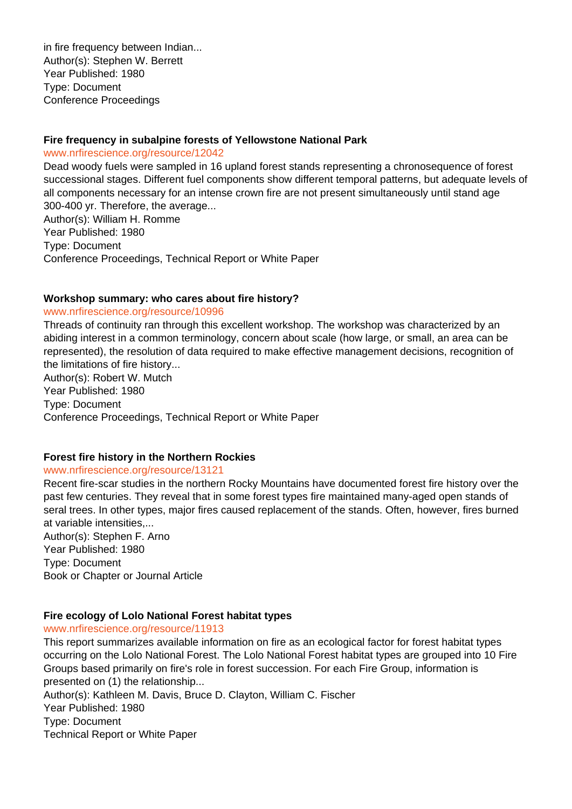in fire frequency between Indian... Author(s): Stephen W. Berrett Year Published: 1980 Type: Document Conference Proceedings

## **Fire frequency in subalpine forests of Yellowstone National Park**

www.nrfirescience.org/resource/12042

Dead woody fuels were sampled in 16 upland forest stands representing a chronosequence of forest successional stages. Different fuel components show different temporal patterns, but adequate levels of all components necessary for an intense crown fire are not present simultaneously until stand age 300-400 yr. Therefore, the average...

Author(s): William H. Romme Year Published: 1980 Type: Document Conference Proceedings, Technical Report or White Paper

# **Workshop summary: who cares about fire history?**

#### www.nrfirescience.org/resource/10996

Threads of continuity ran through this excellent workshop. The workshop was characterized by an abiding interest in a common terminology, concern about scale (how large, or small, an area can be represented), the resolution of data required to make effective management decisions, recognition of the limitations of fire history...

Author(s): Robert W. Mutch Year Published: 1980 Type: Document Conference Proceedings, Technical Report or White Paper

#### **Forest fire history in the Northern Rockies**

#### www.nrfirescience.org/resource/13121

Recent fire-scar studies in the northern Rocky Mountains have documented forest fire history over the past few centuries. They reveal that in some forest types fire maintained many-aged open stands of seral trees. In other types, major fires caused replacement of the stands. Often, however, fires burned at variable intensities,...

Author(s): Stephen F. Arno Year Published: 1980 Type: Document Book or Chapter or Journal Article

# **Fire ecology of Lolo National Forest habitat types**

www.nrfirescience.org/resource/11913

This report summarizes available information on fire as an ecological factor for forest habitat types occurring on the Lolo National Forest. The Lolo National Forest habitat types are grouped into 10 Fire Groups based primarily on fire's role in forest succession. For each Fire Group, information is presented on (1) the relationship...

Author(s): Kathleen M. Davis, Bruce D. Clayton, William C. Fischer Year Published: 1980 Type: Document Technical Report or White Paper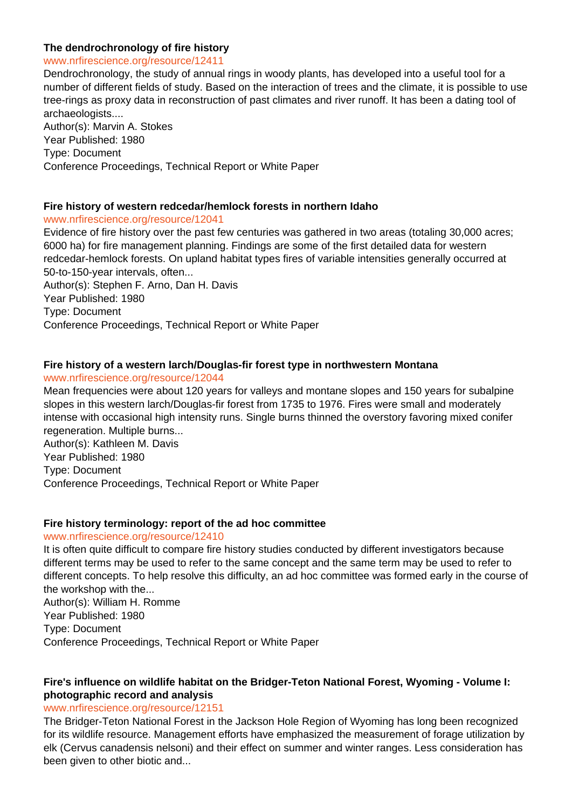### **The dendrochronology of fire history**

#### www.nrfirescience.org/resource/12411

Dendrochronology, the study of annual rings in woody plants, has developed into a useful tool for a number of different fields of study. Based on the interaction of trees and the climate, it is possible to use tree-rings as proxy data in reconstruction of past climates and river runoff. It has been a dating tool of archaeologists.... Author(s): Marvin A. Stokes Year Published: 1980 Type: Document

# Conference Proceedings, Technical Report or White Paper

### **Fire history of western redcedar/hemlock forests in northern Idaho**

#### www.nrfirescience.org/resource/12041

Evidence of fire history over the past few centuries was gathered in two areas (totaling 30,000 acres; 6000 ha) for fire management planning. Findings are some of the first detailed data for western redcedar-hemlock forests. On upland habitat types fires of variable intensities generally occurred at 50-to-150-year intervals, often...

Author(s): Stephen F. Arno, Dan H. Davis Year Published: 1980 Type: Document Conference Proceedings, Technical Report or White Paper

#### **Fire history of a western larch/Douglas-fir forest type in northwestern Montana**

#### www.nrfirescience.org/resource/12044

Mean frequencies were about 120 years for valleys and montane slopes and 150 years for subalpine slopes in this western larch/Douglas-fir forest from 1735 to 1976. Fires were small and moderately intense with occasional high intensity runs. Single burns thinned the overstory favoring mixed conifer regeneration. Multiple burns...

Author(s): Kathleen M. Davis Year Published: 1980 Type: Document Conference Proceedings, Technical Report or White Paper

#### **Fire history terminology: report of the ad hoc committee**

#### www.nrfirescience.org/resource/12410

It is often quite difficult to compare fire history studies conducted by different investigators because different terms may be used to refer to the same concept and the same term may be used to refer to different concepts. To help resolve this difficulty, an ad hoc committee was formed early in the course of the workshop with the... Author(s): William H. Romme Year Published: 1980 Type: Document

Conference Proceedings, Technical Report or White Paper

# **Fire's influence on wildlife habitat on the Bridger-Teton National Forest, Wyoming - Volume I: photographic record and analysis**

### www.nrfirescience.org/resource/12151

The Bridger-Teton National Forest in the Jackson Hole Region of Wyoming has long been recognized for its wildlife resource. Management efforts have emphasized the measurement of forage utilization by elk (Cervus canadensis nelsoni) and their effect on summer and winter ranges. Less consideration has been given to other biotic and...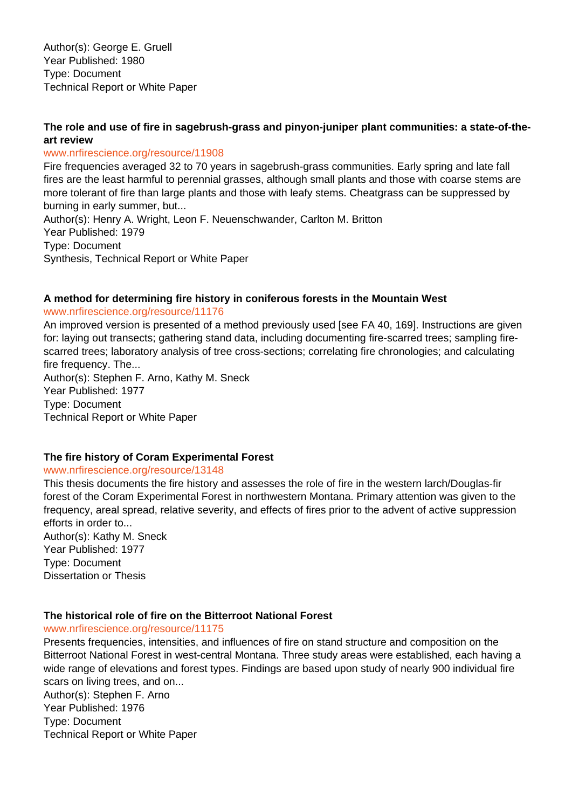Author(s): George E. Gruell Year Published: 1980 Type: Document Technical Report or White Paper

# **The role and use of fire in sagebrush-grass and pinyon-juniper plant communities: a state-of-theart review**

### www.nrfirescience.org/resource/11908

Fire frequencies averaged 32 to 70 years in sagebrush-grass communities. Early spring and late fall fires are the least harmful to perennial grasses, although small plants and those with coarse stems are more tolerant of fire than large plants and those with leafy stems. Cheatgrass can be suppressed by burning in early summer, but...

Author(s): Henry A. Wright, Leon F. Neuenschwander, Carlton M. Britton Year Published: 1979 Type: Document Synthesis, Technical Report or White Paper

# **A method for determining fire history in coniferous forests in the Mountain West**

#### www.nrfirescience.org/resource/11176

An improved version is presented of a method previously used [see FA 40, 169]. Instructions are given for: laying out transects; gathering stand data, including documenting fire-scarred trees; sampling firescarred trees; laboratory analysis of tree cross-sections; correlating fire chronologies; and calculating fire frequency. The...

Author(s): Stephen F. Arno, Kathy M. Sneck Year Published: 1977 Type: Document Technical Report or White Paper

### **The fire history of Coram Experimental Forest**

### www.nrfirescience.org/resource/13148

This thesis documents the fire history and assesses the role of fire in the western larch/Douglas-fir forest of the Coram Experimental Forest in northwestern Montana. Primary attention was given to the frequency, areal spread, relative severity, and effects of fires prior to the advent of active suppression efforts in order to...

Author(s): Kathy M. Sneck Year Published: 1977 Type: Document Dissertation or Thesis

### **The historical role of fire on the Bitterroot National Forest**

#### www.nrfirescience.org/resource/11175

Presents frequencies, intensities, and influences of fire on stand structure and composition on the Bitterroot National Forest in west-central Montana. Three study areas were established, each having a wide range of elevations and forest types. Findings are based upon study of nearly 900 individual fire scars on living trees, and on...

Author(s): Stephen F. Arno Year Published: 1976 Type: Document Technical Report or White Paper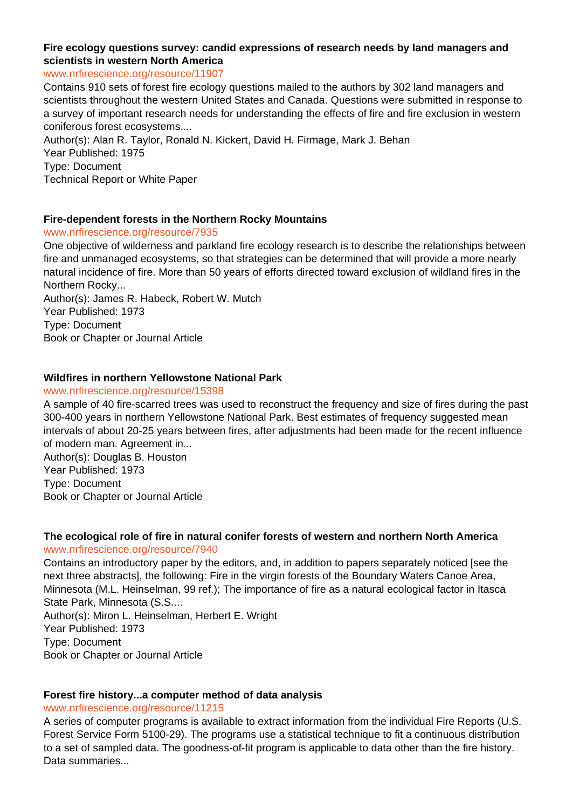# **Fire ecology questions survey: candid expressions of research needs by land managers and scientists in western North America**

#### www.nrfirescience.org/resource/11907

Contains 910 sets of forest fire ecology questions mailed to the authors by 302 land managers and scientists throughout the western United States and Canada. Questions were submitted in response to a survey of important research needs for understanding the effects of fire and fire exclusion in western coniferous forest ecosystems....

Author(s): Alan R. Taylor, Ronald N. Kickert, David H. Firmage, Mark J. Behan Year Published: 1975 Type: Document Technical Report or White Paper

### **Fire-dependent forests in the Northern Rocky Mountains**

### www.nrfirescience.org/resource/7935

One objective of wilderness and parkland fire ecology research is to describe the relationships between fire and unmanaged ecosystems, so that strategies can be determined that will provide a more nearly natural incidence of fire. More than 50 years of efforts directed toward exclusion of wildland fires in the Northern Rocky...

Author(s): James R. Habeck, Robert W. Mutch Year Published: 1973 Type: Document Book or Chapter or Journal Article

# **Wildfires in northern Yellowstone National Park**

### www.nrfirescience.org/resource/15398

A sample of 40 fire-scarred trees was used to reconstruct the frequency and size of fires during the past 300-400 years in northern Yellowstone National Park. Best estimates of frequency suggested mean intervals of about 20-25 years between fires, after adjustments had been made for the recent influence of modern man. Agreement in...

Author(s): Douglas B. Houston Year Published: 1973 Type: Document Book or Chapter or Journal Article

#### **The ecological role of fire in natural conifer forests of western and northern North America** www.nrfirescience.org/resource/7940

Contains an introductory paper by the editors, and, in addition to papers separately noticed [see the next three abstracts], the following: Fire in the virgin forests of the Boundary Waters Canoe Area, Minnesota (M.L. Heinselman, 99 ref.); The importance of fire as a natural ecological factor in Itasca State Park, Minnesota (S.S.... Author(s): Miron L. Heinselman, Herbert E. Wright Year Published: 1973 Type: Document Book or Chapter or Journal Article

### **Forest fire history...a computer method of data analysis**

### www.nrfirescience.org/resource/11215

A series of computer programs is available to extract information from the individual Fire Reports (U.S. Forest Service Form 5100-29). The programs use a statistical technique to fit a continuous distribution to a set of sampled data. The goodness-of-fit program is applicable to data other than the fire history. Data summaries...